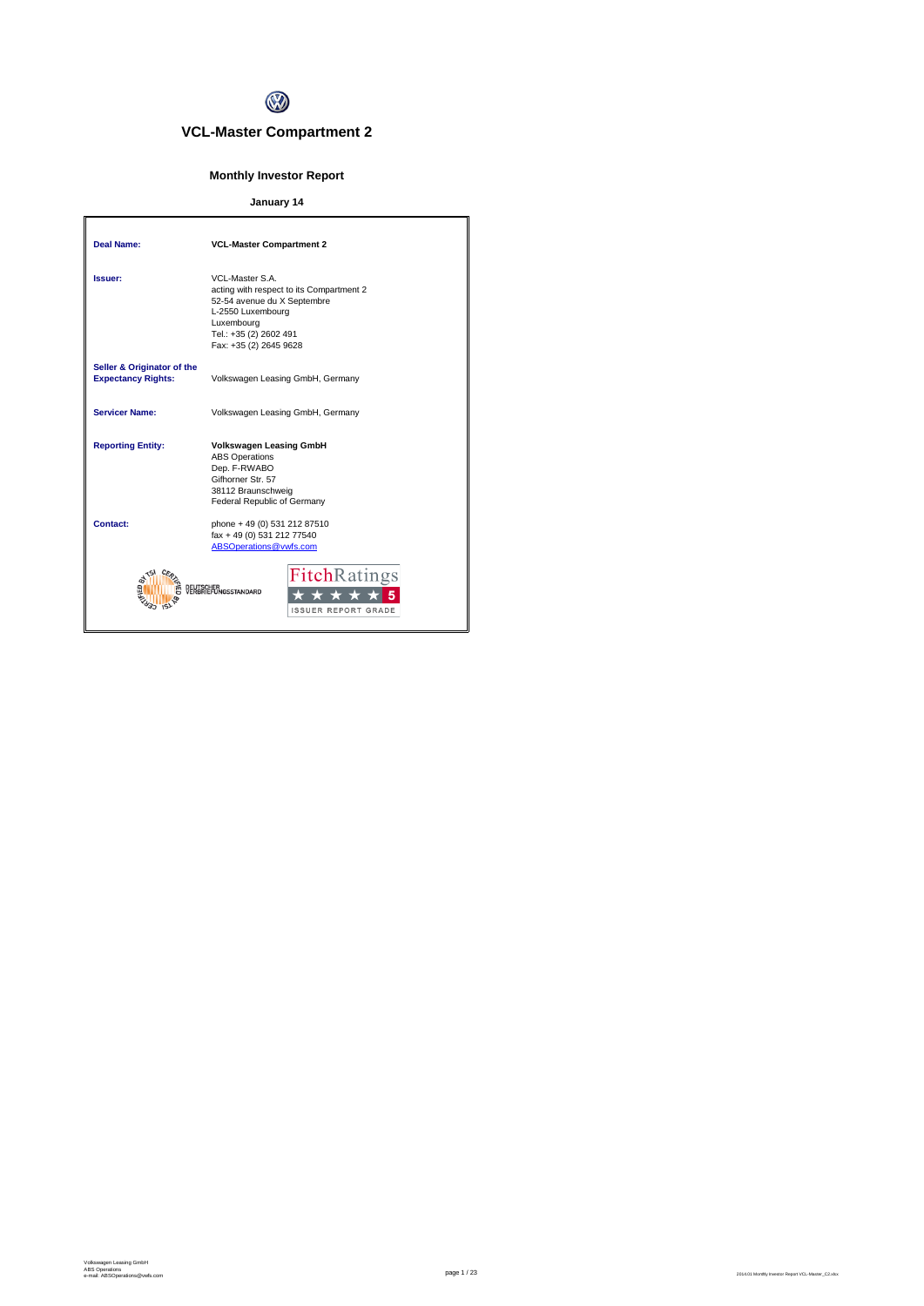

# **VCL-Master Compartment 2**

# **Monthly Investor Report**

# **January 14**

| <b>Deal Name:</b>                                       | <b>VCL-Master Compartment 2</b>                                                                                                                                                   |
|---------------------------------------------------------|-----------------------------------------------------------------------------------------------------------------------------------------------------------------------------------|
| Issuer:                                                 | VCL-Master S.A.<br>acting with respect to its Compartment 2<br>52-54 avenue du X Septembre<br>L-2550 Luxembourg<br>Luxembourg<br>Tel.: +35 (2) 2602 491<br>Fax: +35 (2) 2645 9628 |
| Seller & Originator of the<br><b>Expectancy Rights:</b> | Volkswagen Leasing GmbH, Germany                                                                                                                                                  |
| <b>Servicer Name:</b>                                   | Volkswagen Leasing GmbH, Germany                                                                                                                                                  |
| <b>Reporting Entity:</b>                                | <b>Volkswagen Leasing GmbH</b><br><b>ABS Operations</b><br>Dep. F-RWABO<br>Gifhorner Str. 57<br>38112 Braunschweig<br>Federal Republic of Germany                                 |
| Contact:                                                | phone + 49 (0) 531 212 87510<br>fax + 49 (0) 531 212 77540<br>ABSOperations@vwfs.com                                                                                              |
|                                                         | <b>FitchRatings</b><br><b>IGSSTANDARD</b><br><b>ISSUER REPORT GRADE</b>                                                                                                           |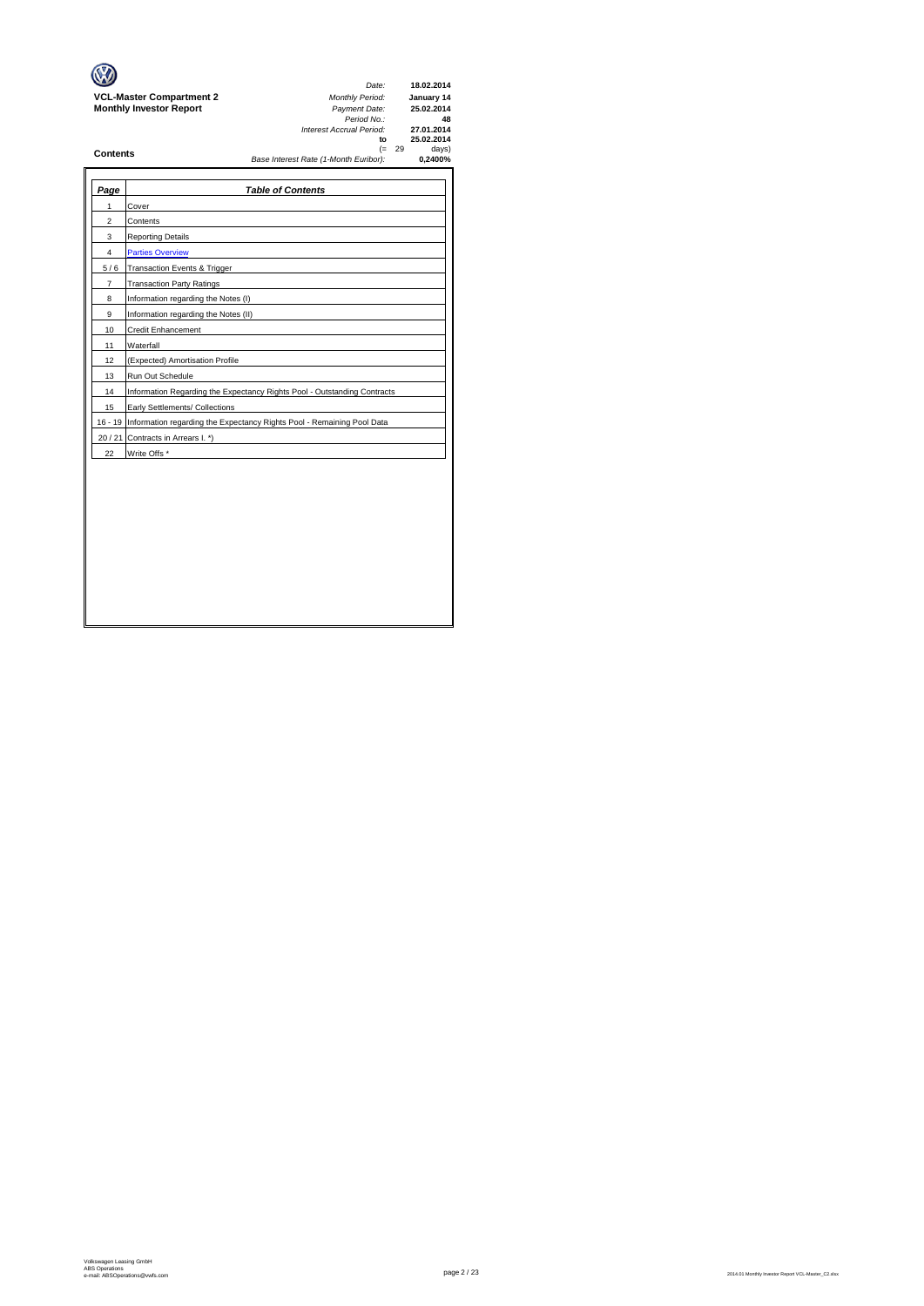|                                 | Date:                                 |          | 18.02.2014 |
|---------------------------------|---------------------------------------|----------|------------|
| <b>VCL-Master Compartment 2</b> | <b>Monthly Period:</b>                |          | January 14 |
| <b>Monthly Investor Report</b>  | Payment Date:                         |          | 25.02.2014 |
|                                 | Period No.:                           |          | 48         |
|                                 | Interest Accrual Period:              |          | 27.01.2014 |
|                                 | to                                    |          | 25.02.2014 |
| <b>Contents</b>                 |                                       | $(= 29)$ | days)      |
|                                 | Base Interest Rate (1-Month Euribor): |          | 0.2400%    |

 $\rightarrow$ 

| Page           | <b>Table of Contents</b>                                                       |
|----------------|--------------------------------------------------------------------------------|
| 1              | Cover                                                                          |
| $\overline{2}$ | Contents                                                                       |
| 3              | <b>Reporting Details</b>                                                       |
| 4              | <b>Parties Overview</b>                                                        |
| 5/6            | Transaction Events & Trigger                                                   |
| $\overline{7}$ | <b>Transaction Party Ratings</b>                                               |
| 8              | Information regarding the Notes (I)                                            |
| 9              | Information regarding the Notes (II)                                           |
| 10             | Credit Enhancement                                                             |
| 11             | Waterfall                                                                      |
| 12             | (Expected) Amortisation Profile                                                |
| 13             | Run Out Schedule                                                               |
| 14             | Information Regarding the Expectancy Rights Pool - Outstanding Contracts       |
| 15             | Early Settlements/ Collections                                                 |
|                | 16 - 19 Information regarding the Expectancy Rights Pool - Remaining Pool Data |
|                | 20 / 21 Contracts in Arrears I. *)                                             |
| 22             | Write Offs *                                                                   |
|                |                                                                                |
|                |                                                                                |
|                |                                                                                |
|                |                                                                                |
|                |                                                                                |
|                |                                                                                |
|                |                                                                                |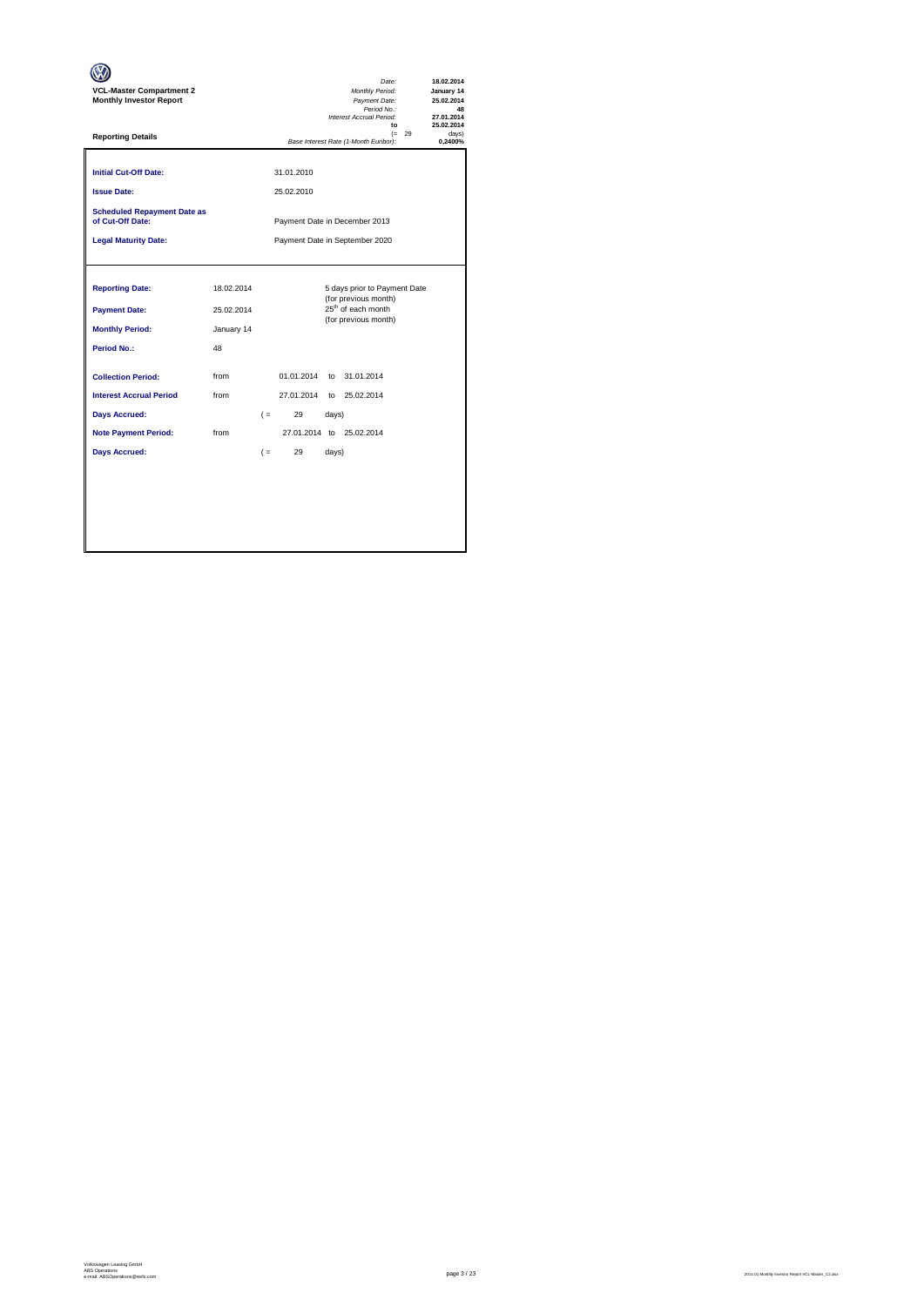| <b>VCL-Master Compartment 2</b><br><b>Monthly Investor Report</b>                                                                          |                                              | Date:<br>Monthly Period:<br>Payment Date:<br>Period No.:<br>Interest Accrual Period:<br>$\mathbf{f}$                                   | 18.02.2014<br>January 14<br>25.02.2014<br>48<br>27.01.2014<br>25.02.2014 |
|--------------------------------------------------------------------------------------------------------------------------------------------|----------------------------------------------|----------------------------------------------------------------------------------------------------------------------------------------|--------------------------------------------------------------------------|
| <b>Reporting Details</b>                                                                                                                   |                                              | $(= 29)$<br>Base Interest Rate (1-Month Euribor):                                                                                      | davs)<br>0.2400%                                                         |
| <b>Initial Cut-Off Date:</b><br><b>Issue Date:</b>                                                                                         |                                              | 31.01.2010<br>25.02.2010                                                                                                               |                                                                          |
| <b>Scheduled Repayment Date as</b><br>of Cut-Off Date:                                                                                     |                                              | Payment Date in December 2013                                                                                                          |                                                                          |
| <b>Legal Maturity Date:</b>                                                                                                                |                                              | Payment Date in September 2020                                                                                                         |                                                                          |
| <b>Reporting Date:</b><br><b>Payment Date:</b><br><b>Monthly Period:</b><br>Period No.:                                                    | 18.02.2014<br>25.02.2014<br>January 14<br>48 | 5 days prior to Payment Date<br>(for previous month)<br>25 <sup>th</sup> of each month<br>(for previous month)                         |                                                                          |
| <b>Collection Period:</b><br><b>Interest Accrual Period</b><br><b>Days Accrued:</b><br><b>Note Payment Period:</b><br><b>Days Accrued:</b> | from<br>from<br>from                         | 01.01.2014<br>to 31.01.2014<br>27.01.2014<br>to 25.02.2014<br>29<br>$($ =<br>days)<br>27.01.2014 to 25.02.2014<br>29<br>$($ =<br>days) |                                                                          |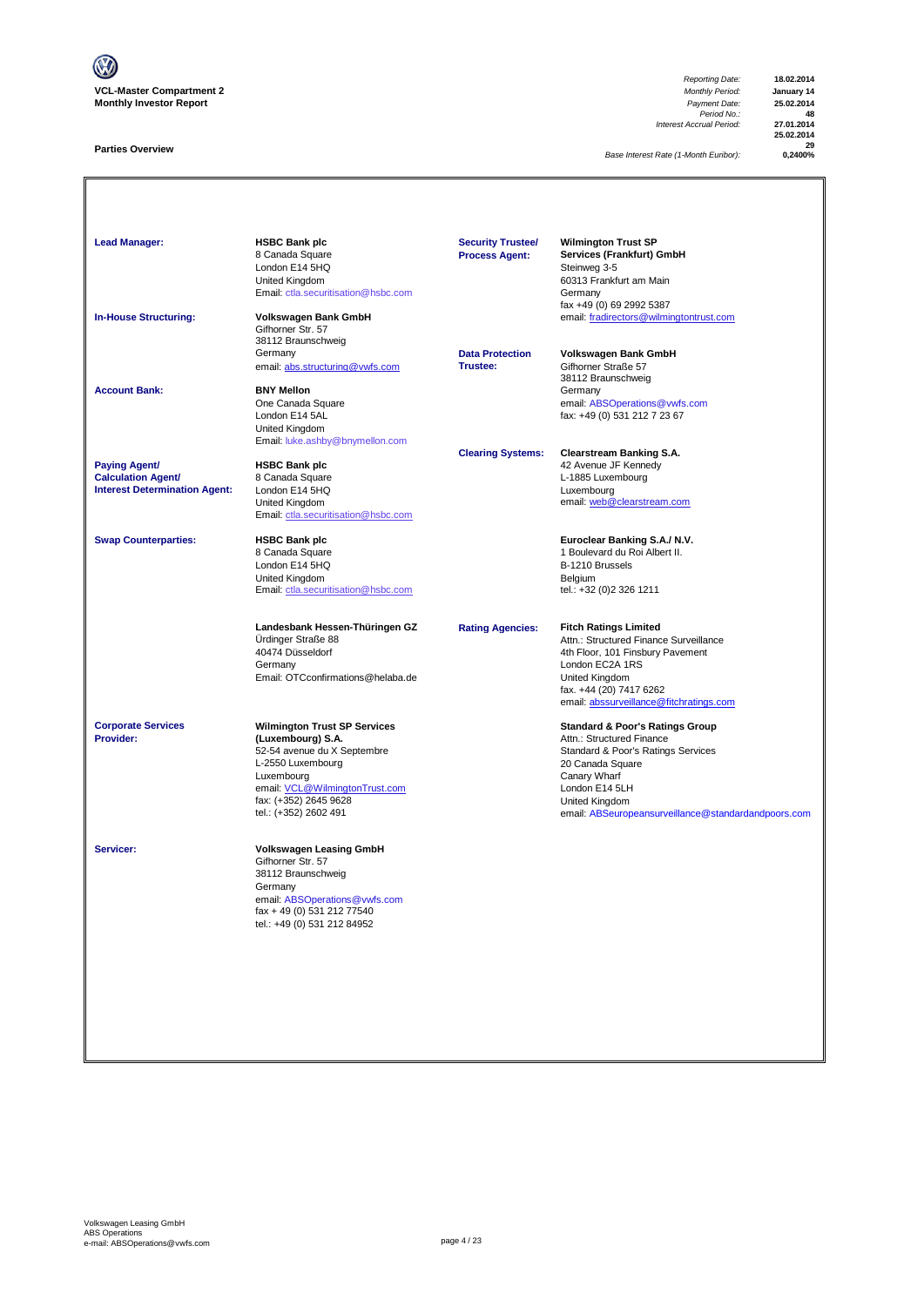

## **Parties Overview**

*Reporting Date:* **18.02.2014** *Payment Date:* **25.02.2014**<br>*Period No.:* **48**<br>*Accrual Period:* **27.01.2014** *Interest Accrual Period:* **27.01.2014**

**25.02.2014 29**

**Base Interest Rate (1-Month Euribor):** 

**Lead Manager: HSBC Bank plc Wilmington Trust SP Services (Frankfurt) GmbH**<br>Steinweg 3-5 8 Canada Square<br>London E14 5HQ<br>United Kingdom Summay 2<br>60313 Frankfurt am Main<br>Germany [Email: ctla.securitisation@hsbc.com](mailto:ctla.securitisation@hsbc.com) fax +49 (0) 69 2992 5387 **In-House Structuring: Volkswagen Bank GmbH** email: fradirectors@wilmingtontrust.com Gifhorner Str. 57 38112 Braunschweig Germany **Data Protection Volkswagen Bank GmbH** email: abs.structuring@vwfs.com 38112 Braunschweig **Account Bank: BNY Mellon**<br>
One Canada Square One Canada Square email: ABSOperations@vwfs.com London E14 5AL fax: +49 (0) 531 212 7 23 67 United Kingdom [Email: luke.ashby@bnymellon.com](mailto:ctla.securitisation@hsbc.com) **Clearing Systems: Clearstream Banking S.A. Paying Agent/ HSBC Bank plc All and Account 1999 12 Avenue JF Kennedy Calculation Agent/** 8 Canada Square **Calculation Agent/ Business Agent/ Business Agent/ Canada Square Calculation Agent/ Canada Square Calculation Agent/ Canada Square Canada Square Calculation Agent/** Interest Determination Agent: London E14 5HQ<br>United Kingdom United Kingdom email: <u>web @clearstream.com</u> [Email: ctla.securitisation@hsbc.com](mailto:ctla.securitisation@hsbc.com) **Swap Counterparties: HSBC Bank plc Euroclear Banking S.A./ N.V.** 1 Boulevard du Roi Albert II.<br>B-1210 Brussels London E14 5HQ<br>
United Kingdom<br>
Email: ctla.securitisation @hsbc.com<br>
Email: ctla.securitisation @hsbc.com<br>
Email: +32 (0)2 326 1211 United Kingdom [Email: ctla.securitisation@hsbc.com](mailto:ctla.securitisation@hsbc.com) **Landesbank Hessen-Thüringen GZ Rating Agencies: Fitch Ratings Limited** Ürdinger Straße 88 Attn.: Structured Finance Surveillance 40474 Düsseldorf 4th Floor, 101 Finsbury Pavement London EC2A 1RS Email: OTCconfirmations@helaba.de United Kingdom fax. +44 (20) 7417 6262 [email: abssurveillance@fitchratings.com](mailto:abssurveillance@fitchratings.com) **Corporate Services Wilmington Trust SP Services Corporate Services Standard & Poor's Ratings Group**<br> **Provider: Constant Corporation (Luxembourg) S.A. Constant Corporation Atthe Structured Finance** Attn.: Structured Finance Standard & Poor's Ratings Services<br>20 Canada Square 52-54 avenue du X Septembre<br>L-2550 Luxembourg<br>Luxembourg Lo Sanada Squa<br>Canary Wharf<br>London E14 5LH email: <u>VCL@WilmingtonTrust.com</u> email: <u>VCL@WilmingtonTrust.com</u> London E14 5LH<br>
fax: (+352) 2645 9628 <br>
United Kingdom fax: (+352) 2645 9628 United Kingdom nsurveillance@standardandpoors.com **Servicer: Volkswagen Leasing GmbH** Gifhorner Str. 57 38112 Braunschweig Germany email: <u>ABSOperations@vwfs.com</u><br>fax + 49 (0) 531 212 77540 tel.: +49 (0) 531 212 84952 **Security Trustee/ Process Agent:**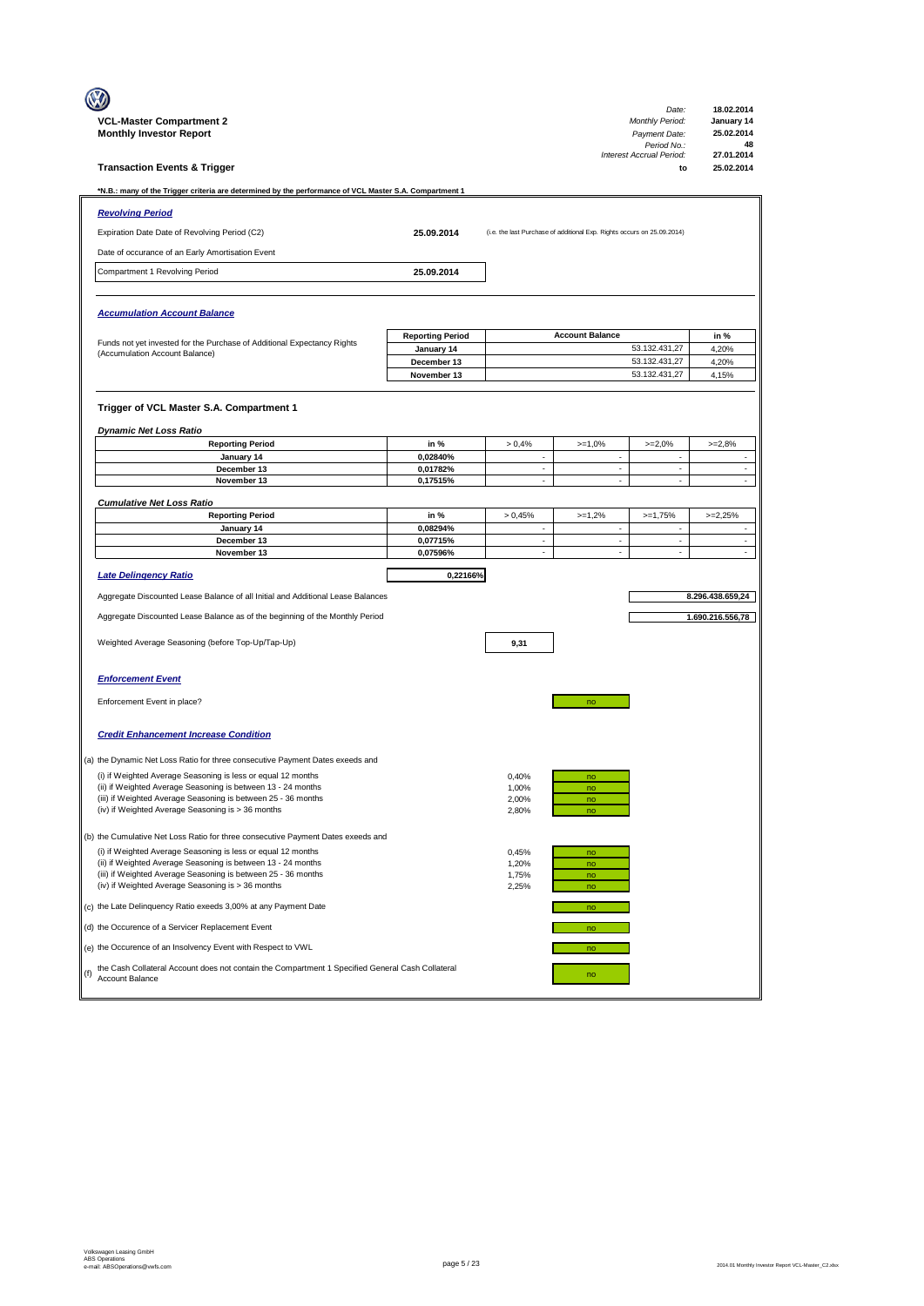|     |                                                                                                                              |                                       |                                |                                                                         | Date:                          | 18.02.2014                        |
|-----|------------------------------------------------------------------------------------------------------------------------------|---------------------------------------|--------------------------------|-------------------------------------------------------------------------|--------------------------------|-----------------------------------|
|     | <b>VCL-Master Compartment 2</b>                                                                                              |                                       |                                |                                                                         | Monthly Period:                | January 14                        |
|     | <b>Monthly Investor Report</b>                                                                                               |                                       |                                |                                                                         | Payment Date:<br>Period No.:   | 25.02.2014<br>48                  |
|     | <b>Transaction Events &amp; Trigger</b>                                                                                      |                                       |                                |                                                                         | Interest Accrual Period:<br>to | 27.01.2014<br>25.02.2014          |
|     |                                                                                                                              |                                       |                                |                                                                         |                                |                                   |
|     | N.B.: many of the Trigger criteria are determined by the performance of VCL Master S.A. Compartment 1*                       |                                       |                                |                                                                         |                                |                                   |
|     | <b>Revolving Period</b>                                                                                                      |                                       |                                |                                                                         |                                |                                   |
|     | Expiration Date Date of Revolving Period (C2)                                                                                | 25.09.2014                            |                                | (i.e. the last Purchase of additional Exp. Rights occurs on 25.09.2014) |                                |                                   |
|     | Date of occurance of an Early Amortisation Event                                                                             |                                       |                                |                                                                         |                                |                                   |
|     | Compartment 1 Revolving Period                                                                                               | 25.09.2014                            |                                |                                                                         |                                |                                   |
|     |                                                                                                                              |                                       |                                |                                                                         |                                |                                   |
|     | <b>Accumulation Account Balance</b>                                                                                          |                                       |                                |                                                                         |                                |                                   |
|     |                                                                                                                              |                                       |                                |                                                                         |                                |                                   |
|     | Funds not yet invested for the Purchase of Additional Expectancy Rights                                                      | <b>Reporting Period</b><br>January 14 |                                | <b>Account Balance</b>                                                  | 53.132.431,27                  | in %<br>4,20%                     |
|     | (Accumulation Account Balance)                                                                                               | December 13                           |                                |                                                                         | 53.132.431,27                  | 4,20%                             |
|     |                                                                                                                              | November 13                           |                                |                                                                         | 53.132.431,27                  | 4,15%                             |
|     |                                                                                                                              |                                       |                                |                                                                         |                                |                                   |
|     | Trigger of VCL Master S.A. Compartment 1                                                                                     |                                       |                                |                                                                         |                                |                                   |
|     | <b>Dynamic Net Loss Ratio</b>                                                                                                |                                       |                                |                                                                         |                                |                                   |
|     | <b>Reporting Period</b>                                                                                                      | in %                                  | > 0,4%                         | $>=1,0%$                                                                | $>=2,0%$                       | $>=2,8%$                          |
|     | January 14<br>December 13                                                                                                    | 0,02840%<br>0,01782%                  | $\overline{\phantom{a}}$<br>÷, | $\overline{\phantom{a}}$<br>$\mathcal{L}_{\mathcal{A}}$                 | $\overline{\phantom{a}}$<br>÷, | $\overline{\phantom{a}}$<br>÷.    |
|     | November 13                                                                                                                  | 0,17515%                              | $\overline{\phantom{a}}$       | ÷,                                                                      | ×,                             | ä,                                |
|     | <b>Cumulative Net Loss Ratio</b>                                                                                             |                                       |                                |                                                                         |                                |                                   |
|     | <b>Reporting Period</b>                                                                                                      | in %                                  | > 0,45%                        | $>=1,2%$                                                                | $>=1,75%$                      | $>=2,25%$                         |
|     | January 14                                                                                                                   | 0.08294%                              | ×,                             | $\overline{\phantom{a}}$                                                |                                |                                   |
|     | December 13<br>November 13                                                                                                   | 0,07715%<br>0,07596%                  | ×,<br>÷,                       | $\overline{\phantom{a}}$<br>$\mathcal{L}_{\mathcal{A}}$                 | ×,<br>÷,                       | ÷,<br>$\mathcal{L}_{\mathcal{A}}$ |
|     |                                                                                                                              |                                       |                                |                                                                         |                                |                                   |
|     | <b>Late Delingency Ratio</b>                                                                                                 | 0,22166%                              |                                |                                                                         |                                |                                   |
|     | Aggregate Discounted Lease Balance of all Initial and Additional Lease Balances                                              |                                       |                                |                                                                         |                                | 8.296.438.659,24                  |
|     | Aggregate Discounted Lease Balance as of the beginning of the Monthly Period                                                 |                                       |                                |                                                                         |                                | 1.690.216.556,78                  |
|     | Weighted Average Seasoning (before Top-Up/Tap-Up)                                                                            |                                       | 9,31                           |                                                                         |                                |                                   |
|     |                                                                                                                              |                                       |                                |                                                                         |                                |                                   |
|     |                                                                                                                              |                                       |                                |                                                                         |                                |                                   |
|     | <b>Enforcement Event</b>                                                                                                     |                                       |                                |                                                                         |                                |                                   |
|     | Enforcement Event in place?                                                                                                  |                                       |                                | no                                                                      |                                |                                   |
|     |                                                                                                                              |                                       |                                |                                                                         |                                |                                   |
|     | <b>Credit Enhancement Increase Condition</b>                                                                                 |                                       |                                |                                                                         |                                |                                   |
|     | (a) the Dynamic Net Loss Ratio for three consecutive Payment Dates exeeds and                                                |                                       |                                |                                                                         |                                |                                   |
|     | (i) if Weighted Average Seasoning is less or equal 12 months                                                                 |                                       | 0,40%                          | no                                                                      |                                |                                   |
|     | (ii) if Weighted Average Seasoning is between 13 - 24 months                                                                 |                                       | 1,00%                          | no                                                                      |                                |                                   |
|     | (iii) if Weighted Average Seasoning is between 25 - 36 months<br>(iv) if Weighted Average Seasoning is > 36 months           |                                       | 2,00%<br>2,80%                 | no<br>no                                                                |                                |                                   |
|     |                                                                                                                              |                                       |                                |                                                                         |                                |                                   |
|     | (b) the Cumulative Net Loss Ratio for three consecutive Payment Dates exeeds and                                             |                                       |                                |                                                                         |                                |                                   |
|     | (i) if Weighted Average Seasoning is less or equal 12 months<br>(ii) if Weighted Average Seasoning is between 13 - 24 months |                                       | 0,45%<br>1,20%                 | no<br>no                                                                |                                |                                   |
|     | (iii) if Weighted Average Seasoning is between 25 - 36 months                                                                |                                       | 1,75%                          | no                                                                      |                                |                                   |
|     | (iv) if Weighted Average Seasoning is > 36 months                                                                            |                                       | 2,25%                          | no                                                                      |                                |                                   |
|     |                                                                                                                              |                                       |                                |                                                                         |                                |                                   |
|     | (c) the Late Delinquency Ratio exeeds 3,00% at any Payment Date                                                              |                                       |                                | no                                                                      |                                |                                   |
|     | (d) the Occurence of a Servicer Replacement Event                                                                            |                                       |                                | no                                                                      |                                |                                   |
|     | (e) the Occurence of an Insolvency Event with Respect to VWL                                                                 |                                       |                                | no                                                                      |                                |                                   |
|     | the Cash Collateral Account does not contain the Compartment 1 Specified General Cash Collateral                             |                                       |                                |                                                                         |                                |                                   |
| (f) | Account Balance                                                                                                              |                                       |                                | no                                                                      |                                |                                   |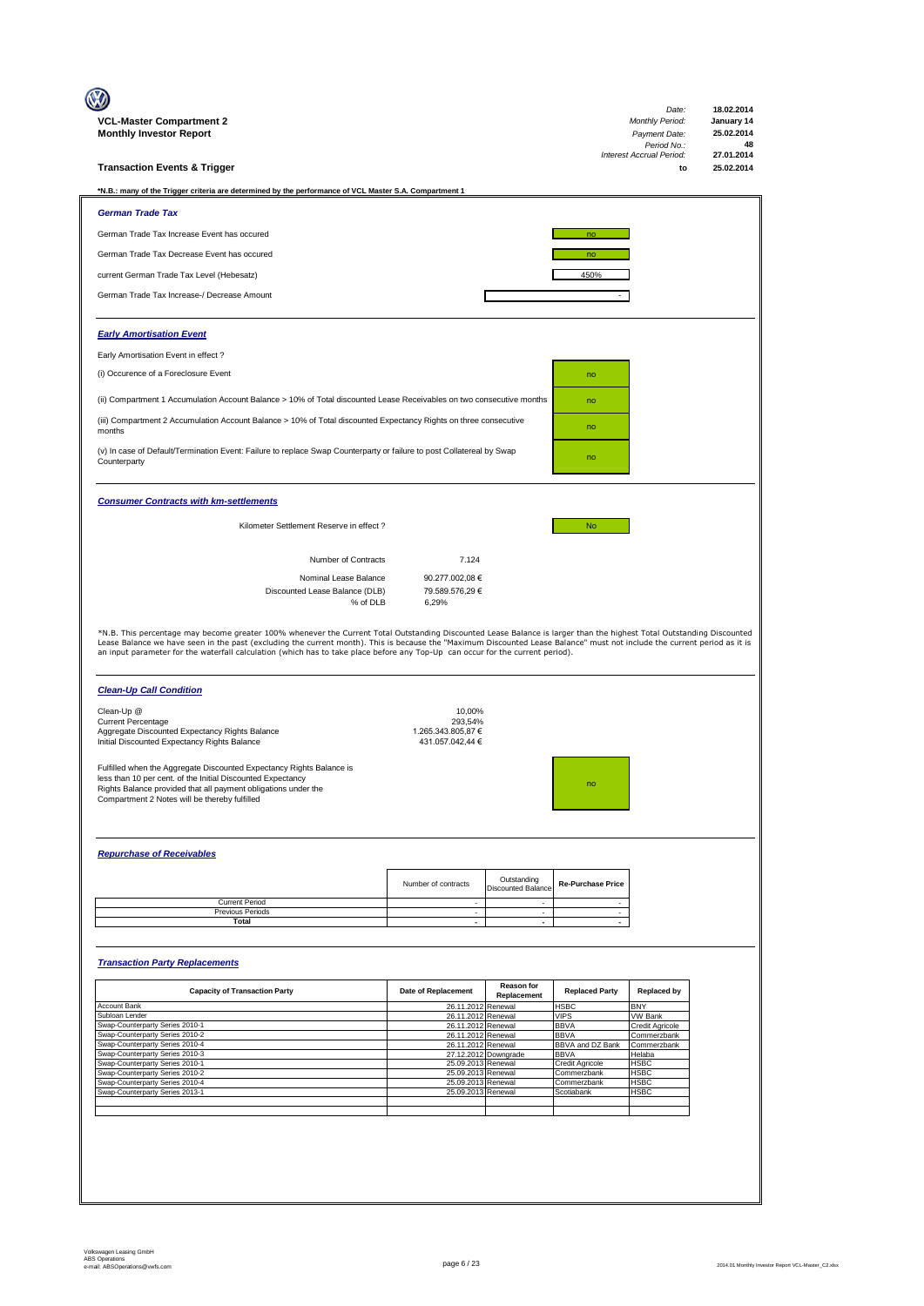| VCL-Master Compartment 2<br><b>Monthly Investor Report</b>                                                                                                                                                                                                                                                                                                                                                                                                                           |                                                             |                                          |                                | Date:<br><b>Monthly Period:</b><br>Payment Date: | 18.02.2014<br>January 14<br>25.02.2014 |
|--------------------------------------------------------------------------------------------------------------------------------------------------------------------------------------------------------------------------------------------------------------------------------------------------------------------------------------------------------------------------------------------------------------------------------------------------------------------------------------|-------------------------------------------------------------|------------------------------------------|--------------------------------|--------------------------------------------------|----------------------------------------|
|                                                                                                                                                                                                                                                                                                                                                                                                                                                                                      |                                                             |                                          |                                | Period No.:<br>Interest Accrual Period:          | 48<br>27.01.2014                       |
| <b>Transaction Events &amp; Trigger</b>                                                                                                                                                                                                                                                                                                                                                                                                                                              |                                                             |                                          |                                | to                                               | 25.02.2014                             |
| *N.B.: many of the Trigger criteria are determined by the performance of VCL Master S.A. Compartment 1                                                                                                                                                                                                                                                                                                                                                                               |                                                             |                                          |                                |                                                  |                                        |
| <b>German Trade Tax</b>                                                                                                                                                                                                                                                                                                                                                                                                                                                              |                                                             |                                          |                                |                                                  |                                        |
| German Trade Tax Increase Event has occured                                                                                                                                                                                                                                                                                                                                                                                                                                          |                                                             |                                          | no                             |                                                  |                                        |
| German Trade Tax Decrease Event has occured                                                                                                                                                                                                                                                                                                                                                                                                                                          |                                                             |                                          | no                             |                                                  |                                        |
| current German Trade Tax Level (Hebesatz)                                                                                                                                                                                                                                                                                                                                                                                                                                            |                                                             |                                          | 450%                           |                                                  |                                        |
| German Trade Tax Increase-/ Decrease Amount                                                                                                                                                                                                                                                                                                                                                                                                                                          |                                                             |                                          |                                |                                                  |                                        |
| <b>Early Amortisation Event</b>                                                                                                                                                                                                                                                                                                                                                                                                                                                      |                                                             |                                          |                                |                                                  |                                        |
| Early Amortisation Event in effect?                                                                                                                                                                                                                                                                                                                                                                                                                                                  |                                                             |                                          |                                |                                                  |                                        |
| (i) Occurence of a Foreclosure Event                                                                                                                                                                                                                                                                                                                                                                                                                                                 |                                                             |                                          | no                             |                                                  |                                        |
| (ii) Compartment 1 Accumulation Account Balance > 10% of Total discounted Lease Receivables on two consecutive months                                                                                                                                                                                                                                                                                                                                                                |                                                             |                                          | no                             |                                                  |                                        |
| (iii) Compartment 2 Accumulation Account Balance > 10% of Total discounted Expectancy Rights on three consecutive                                                                                                                                                                                                                                                                                                                                                                    |                                                             |                                          |                                |                                                  |                                        |
| months                                                                                                                                                                                                                                                                                                                                                                                                                                                                               |                                                             |                                          | no                             |                                                  |                                        |
| (v) In case of Default/Termination Event: Failure to replace Swap Counterparty or failure to post Collatereal by Swap<br>Counterparty                                                                                                                                                                                                                                                                                                                                                |                                                             |                                          | no                             |                                                  |                                        |
| <b>Consumer Contracts with km-settlements</b>                                                                                                                                                                                                                                                                                                                                                                                                                                        |                                                             |                                          |                                |                                                  |                                        |
| Kilometer Settlement Reserve in effect ?                                                                                                                                                                                                                                                                                                                                                                                                                                             |                                                             |                                          | <b>No</b>                      |                                                  |                                        |
|                                                                                                                                                                                                                                                                                                                                                                                                                                                                                      |                                                             |                                          |                                |                                                  |                                        |
| Number of Contracts<br>Nominal Lease Balance                                                                                                                                                                                                                                                                                                                                                                                                                                         | 7.124<br>90.277.002,08 €                                    |                                          |                                |                                                  |                                        |
| Discounted Lease Balance (DLB)<br>% of DLB                                                                                                                                                                                                                                                                                                                                                                                                                                           | 79.589.576,29 €<br>6,29%                                    |                                          |                                |                                                  |                                        |
| *N.B. This percentage may become greater 100% whenever the Current Total Outstanding Discounted Lease Balance is larger than the highest Total Outstanding Discounted<br>Lease Balance we have seen in the past (excluding the current month). This is because the "Maximum Discounted Lease Balance" must not include the current period as it is<br>an input parameter for the waterfall calculation (which has to take place before any Top-Up can occur for the current period). |                                                             |                                          |                                |                                                  |                                        |
| <b>Clean-Up Call Condition</b>                                                                                                                                                                                                                                                                                                                                                                                                                                                       |                                                             |                                          |                                |                                                  |                                        |
| Clean-Up @<br><b>Current Percentage</b><br>Aggregate Discounted Expectancy Rights Balance<br>Initial Discounted Expectancy Rights Balance                                                                                                                                                                                                                                                                                                                                            | 10,00%<br>293,54%<br>1.265.343.805.87 €<br>431.057.042,44 € |                                          |                                |                                                  |                                        |
| Fulfilled when the Aggregate Discounted Expectancy Rights Balance is<br>less than 10 per cent. of the Initial Discounted Expectancy<br>Rights Balance provided that all payment obligations under the<br>Compartment 2 Notes will be thereby fulfilled                                                                                                                                                                                                                               |                                                             |                                          |                                |                                                  |                                        |
| <b>Repurchase of Receivables</b>                                                                                                                                                                                                                                                                                                                                                                                                                                                     |                                                             |                                          |                                |                                                  |                                        |
|                                                                                                                                                                                                                                                                                                                                                                                                                                                                                      |                                                             |                                          |                                |                                                  |                                        |
|                                                                                                                                                                                                                                                                                                                                                                                                                                                                                      | Number of contracts                                         | Outstanding<br><b>Discounted Balance</b> | <b>Re-Purchase Price</b>       |                                                  |                                        |
| <b>Current Period</b><br>Previous Periods                                                                                                                                                                                                                                                                                                                                                                                                                                            | $\overline{\phantom{a}}$<br>$\sim$                          | $\overline{\phantom{a}}$<br>$\sim$       | $\sim$<br>$\sim$               |                                                  |                                        |
| <b>Total</b>                                                                                                                                                                                                                                                                                                                                                                                                                                                                         | $\overline{\phantom{a}}$                                    | $\sim$                                   | $\overline{\phantom{a}}$       |                                                  |                                        |
| <b>Transaction Party Replacements</b>                                                                                                                                                                                                                                                                                                                                                                                                                                                |                                                             |                                          |                                |                                                  |                                        |
| <b>Capacity of Transaction Party</b>                                                                                                                                                                                                                                                                                                                                                                                                                                                 | Date of Replacement                                         | Reason for<br>Replacement                | <b>Replaced Party</b>          | <b>Replaced by</b>                               |                                        |
| Account Bank<br>Subloan Lender                                                                                                                                                                                                                                                                                                                                                                                                                                                       | 26.11.2012<br>26.11.2012                                    | Renewal<br>Renewal                       | <b>HSBC</b><br><b>VIPS</b>     | <b>BNY</b><br><b>VW Bank</b>                     |                                        |
| Swap-Counterparty Series 2010-1<br>Swap-Counterparty Series 2010-2                                                                                                                                                                                                                                                                                                                                                                                                                   | 26.11.2012<br>26.11.2012                                    | Renewal<br>Renewal                       | <b>BBVA</b><br><b>BBVA</b>     | Credit Agricole<br>Commerzbank                   |                                        |
| Swap-Counterparty Series 2010-4                                                                                                                                                                                                                                                                                                                                                                                                                                                      | 26.11.2012                                                  | Renewal                                  | BBVA and DZ Bank               | Commerzbank                                      |                                        |
| Swap-Counterparty Series 2010-3<br>Swap-Counterparty Series 2010-1                                                                                                                                                                                                                                                                                                                                                                                                                   | 25.09.2013 Renewal                                          | 27.12.2012 Downgrade                     | <b>BBVA</b><br>Credit Agricole | Helaba<br><b>HSBC</b>                            |                                        |
| Swap-Counterparty Series 2010-2<br>Swap-Counterparty Series 2010-4                                                                                                                                                                                                                                                                                                                                                                                                                   | 25.09.2013<br>25.09.2013 Renewal                            | Renewal                                  | Commerzbank<br>Commerzbank     | <b>HSBC</b><br><b>HSBC</b>                       |                                        |
| Swap-Counterparty Series 2013-1                                                                                                                                                                                                                                                                                                                                                                                                                                                      | 25.09.2013                                                  | Renewal                                  | Scotiabank                     | <b>HSBC</b>                                      |                                        |
|                                                                                                                                                                                                                                                                                                                                                                                                                                                                                      |                                                             |                                          |                                |                                                  |                                        |
|                                                                                                                                                                                                                                                                                                                                                                                                                                                                                      |                                                             |                                          |                                |                                                  |                                        |
|                                                                                                                                                                                                                                                                                                                                                                                                                                                                                      |                                                             |                                          |                                |                                                  |                                        |
|                                                                                                                                                                                                                                                                                                                                                                                                                                                                                      |                                                             |                                          |                                |                                                  |                                        |
|                                                                                                                                                                                                                                                                                                                                                                                                                                                                                      |                                                             |                                          |                                |                                                  |                                        |
|                                                                                                                                                                                                                                                                                                                                                                                                                                                                                      |                                                             |                                          |                                |                                                  |                                        |
|                                                                                                                                                                                                                                                                                                                                                                                                                                                                                      |                                                             |                                          |                                |                                                  |                                        |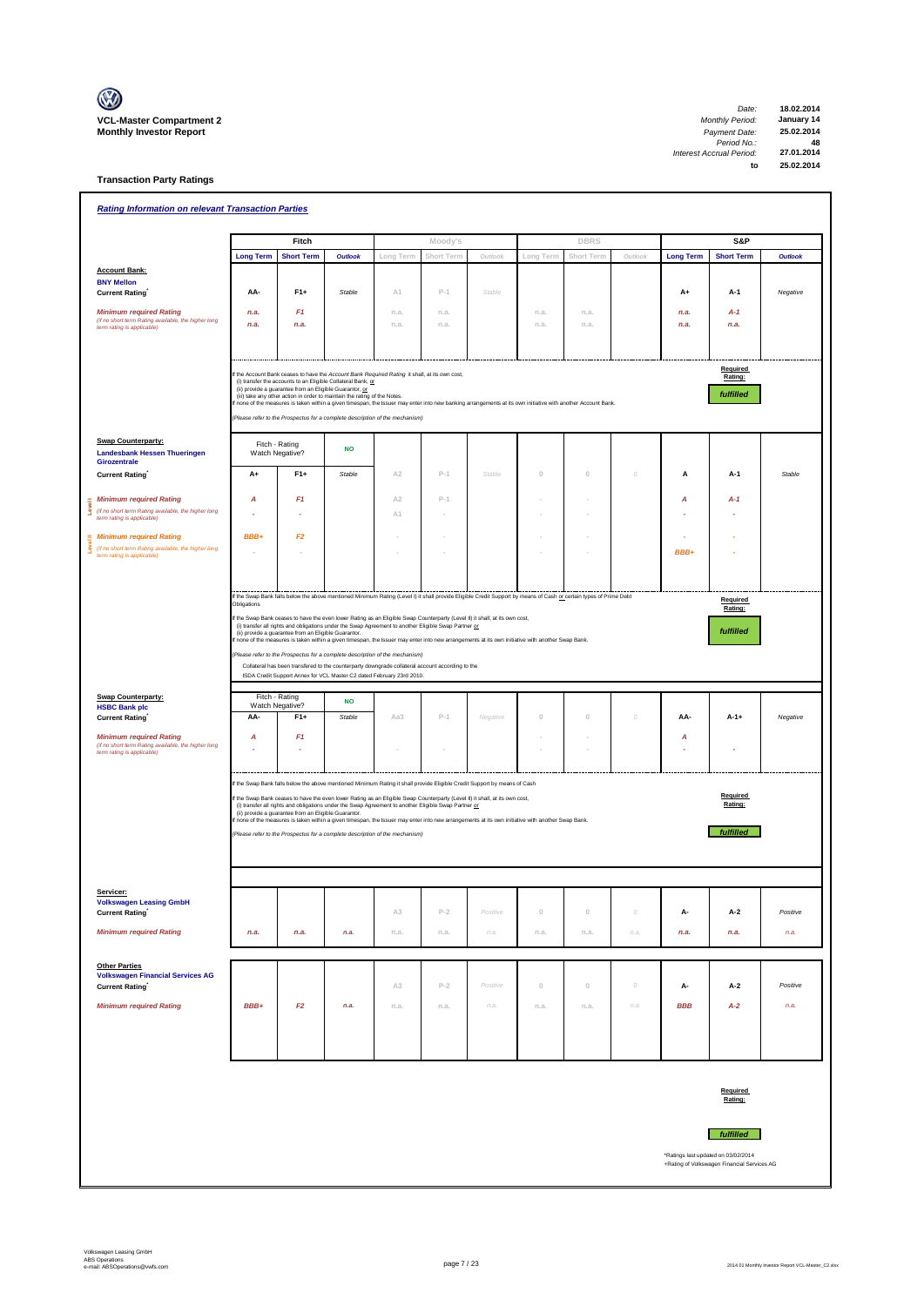

**Transaction Party Ratings**

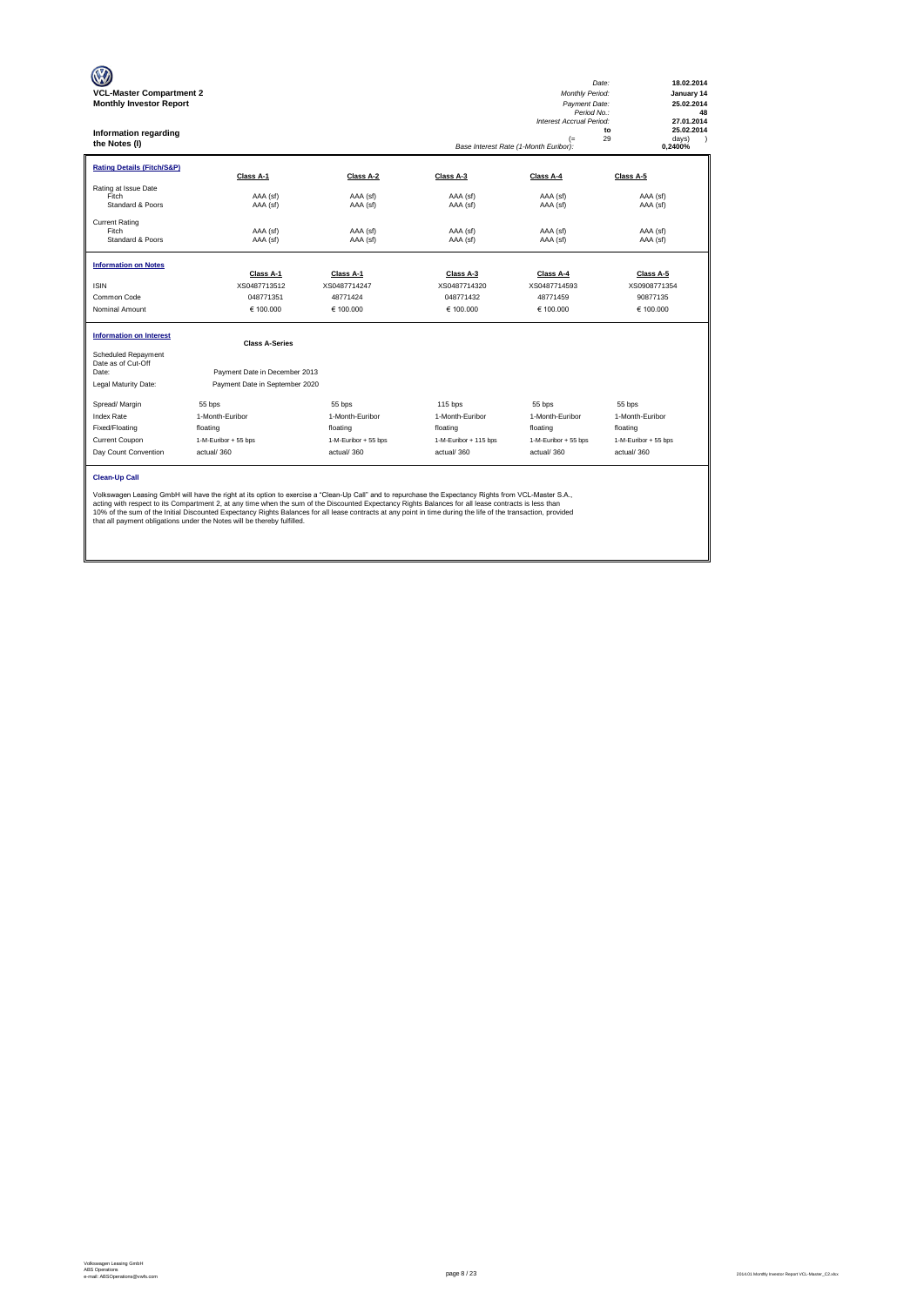| <b>VCL-Master Compartment 2</b><br><b>Monthly Investor Report</b><br>Information regarding<br>the Notes (I) |                                                                                                                                                                                                                                                                                                                                                                                                                                                                                                                                                           |                           |                           | Monthly Period:<br>Payment Date:<br>Period No.:<br><b>Interest Accrual Period:</b><br>$($ =<br>Base Interest Rate (1-Month Euribor): | Date:<br>18.02.2014<br>January 14<br>25.02.2014<br>48<br>27.01.2014<br>25.02.2014<br>to<br>29<br>days)<br>0,2400% |
|-------------------------------------------------------------------------------------------------------------|-----------------------------------------------------------------------------------------------------------------------------------------------------------------------------------------------------------------------------------------------------------------------------------------------------------------------------------------------------------------------------------------------------------------------------------------------------------------------------------------------------------------------------------------------------------|---------------------------|---------------------------|--------------------------------------------------------------------------------------------------------------------------------------|-------------------------------------------------------------------------------------------------------------------|
| <b>Rating Details (Fitch/S&amp;P)</b>                                                                       | Class A-1                                                                                                                                                                                                                                                                                                                                                                                                                                                                                                                                                 | Class A-2                 | Class A-3                 | Class A-4                                                                                                                            | Class A-5                                                                                                         |
| Rating at Issue Date<br>Fitch<br>Standard & Poors                                                           | AAA (sf)<br>AAA (sf)                                                                                                                                                                                                                                                                                                                                                                                                                                                                                                                                      | AAA (sf)<br>AAA (sf)      | AAA (sf)<br>AAA (sf)      | AAA (sf)<br>AAA (sf)                                                                                                                 | AAA (sf)<br>AAA (sf)                                                                                              |
| <b>Current Rating</b><br>Fitch<br>Standard & Poors                                                          | AAA (sf)<br>AAA (sf)                                                                                                                                                                                                                                                                                                                                                                                                                                                                                                                                      | AAA (sf)<br>AAA (sf)      | AAA (sf)<br>AAA (sf)      | AAA (sf)<br>AAA (sf)                                                                                                                 | AAA (sf)<br>AAA (sf)                                                                                              |
| <b>Information on Notes</b>                                                                                 | Class A-1                                                                                                                                                                                                                                                                                                                                                                                                                                                                                                                                                 |                           |                           | Class A-4                                                                                                                            | Class A-5                                                                                                         |
| <b>ISIN</b>                                                                                                 | XS0487713512                                                                                                                                                                                                                                                                                                                                                                                                                                                                                                                                              | Class A-1<br>XS0487714247 | Class A-3<br>XS0487714320 | XS0487714593                                                                                                                         | XS0908771354                                                                                                      |
| Common Code                                                                                                 | 048771351                                                                                                                                                                                                                                                                                                                                                                                                                                                                                                                                                 | 48771424                  | 048771432                 | 48771459                                                                                                                             | 90877135                                                                                                          |
| Nominal Amount                                                                                              | € 100,000                                                                                                                                                                                                                                                                                                                                                                                                                                                                                                                                                 | € 100,000                 | € 100,000                 | € 100,000                                                                                                                            | € 100.000                                                                                                         |
| <b>Information on Interest</b>                                                                              | <b>Class A-Series</b>                                                                                                                                                                                                                                                                                                                                                                                                                                                                                                                                     |                           |                           |                                                                                                                                      |                                                                                                                   |
| Scheduled Repayment<br>Date as of Cut-Off<br>Date:                                                          | Payment Date in December 2013                                                                                                                                                                                                                                                                                                                                                                                                                                                                                                                             |                           |                           |                                                                                                                                      |                                                                                                                   |
| Legal Maturity Date:                                                                                        | Payment Date in September 2020                                                                                                                                                                                                                                                                                                                                                                                                                                                                                                                            |                           |                           |                                                                                                                                      |                                                                                                                   |
| Spread/ Margin                                                                                              | 55 bps                                                                                                                                                                                                                                                                                                                                                                                                                                                                                                                                                    | 55 bps                    | $115$ bps                 | 55 bps                                                                                                                               | 55 bps                                                                                                            |
| <b>Index Rate</b>                                                                                           | 1-Month-Euribor                                                                                                                                                                                                                                                                                                                                                                                                                                                                                                                                           | 1-Month-Euribor           | 1-Month-Euribor           | 1-Month-Euribor                                                                                                                      | 1-Month-Euribor                                                                                                   |
| Fixed/Floating                                                                                              | floating                                                                                                                                                                                                                                                                                                                                                                                                                                                                                                                                                  | floating                  | floating                  | floating                                                                                                                             | floating                                                                                                          |
| Current Coupon                                                                                              | 1-M-Euribor + 55 bps                                                                                                                                                                                                                                                                                                                                                                                                                                                                                                                                      | 1-M-Euribor + 55 bps      | 1-M-Euribor + 115 bps     | 1-M-Euribor + 55 bps                                                                                                                 | 1-M-Euribor + 55 bps                                                                                              |
| Day Count Convention                                                                                        | actual/360                                                                                                                                                                                                                                                                                                                                                                                                                                                                                                                                                | actual/360                | actual/360                | actual/360                                                                                                                           | actual/360                                                                                                        |
| <b>Clean-Up Call</b>                                                                                        | Volkswagen Leasing GmbH will have the right at its option to exercise a "Clean-Up Call" and to repurchase the Expectancy Rights from VCL-Master S.A.,<br>acting with respect to its Compartment 2, at any time when the sum of the Discounted Expectancy Rights Balances for all lease contracts is less than<br>10% of the sum of the Initial Discounted Expectancy Rights Balances for all lease contracts at any point in time during the life of the transaction, provided<br>that all payment obligations under the Notes will be thereby fulfilled. |                           |                           |                                                                                                                                      |                                                                                                                   |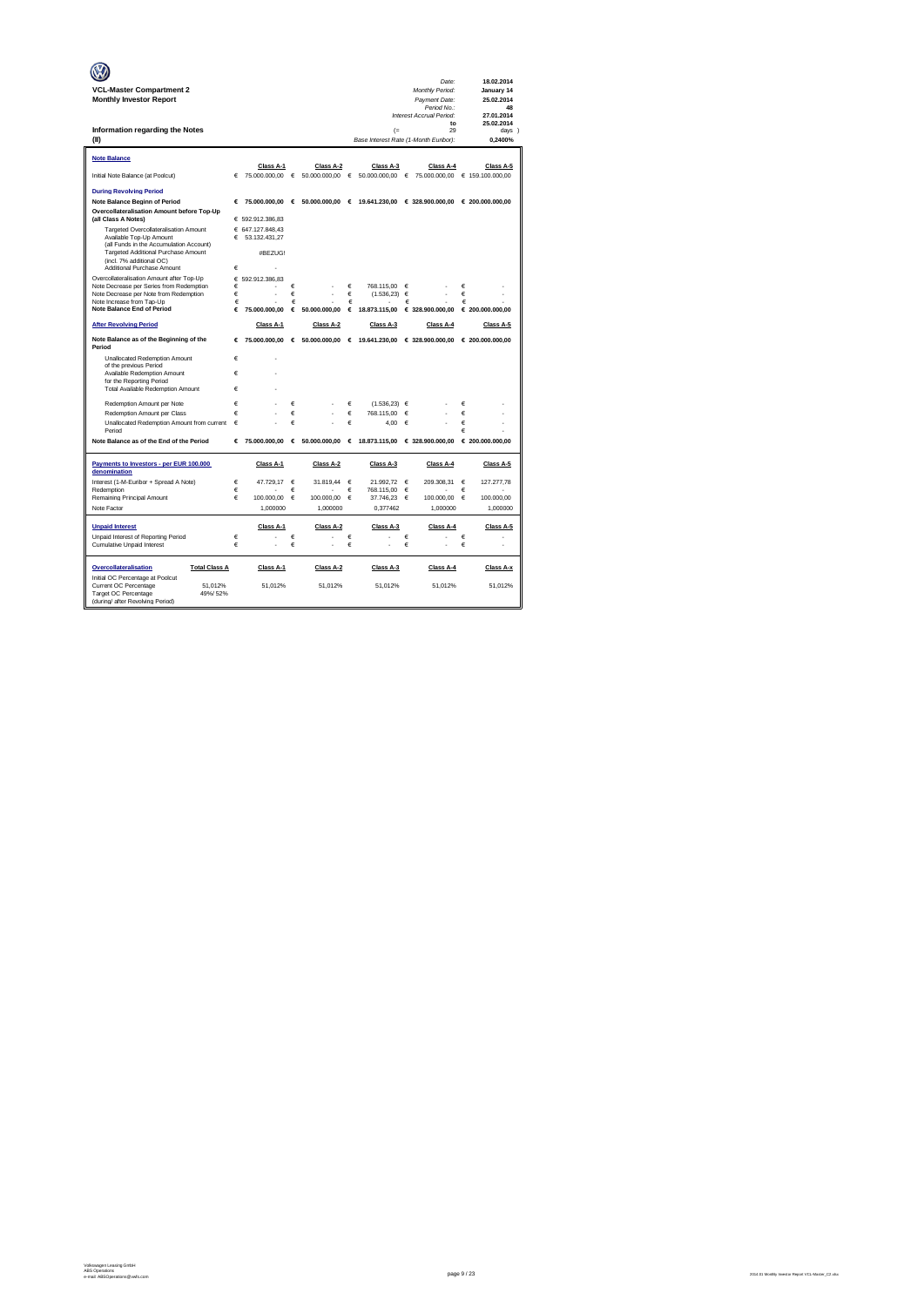|                                                                    |        |                  |            |                                 |        |                                                |   | Date:                                           |   | 18.02.2014       |
|--------------------------------------------------------------------|--------|------------------|------------|---------------------------------|--------|------------------------------------------------|---|-------------------------------------------------|---|------------------|
| <b>VCL-Master Compartment 2</b>                                    |        |                  |            |                                 |        |                                                |   | Monthly Period:                                 |   | January 14       |
| <b>Monthly Investor Report</b>                                     |        |                  |            |                                 |        |                                                |   | Payment Date:                                   |   | 25.02.2014       |
|                                                                    |        |                  |            |                                 |        |                                                |   | Period No.:<br>Interest Accrual Period:         |   | 48<br>27.01.2014 |
|                                                                    |        |                  |            |                                 |        |                                                |   | to                                              |   | 25.02.2014       |
| Information regarding the Notes                                    |        |                  |            |                                 |        | (                                              |   | 29                                              |   | days )           |
| (II)                                                               |        |                  |            |                                 |        | Base Interest Rate (1-Month Euribor):          |   |                                                 |   | 0,2400%          |
| <b>Note Balance</b>                                                |        |                  |            |                                 |        |                                                |   |                                                 |   |                  |
|                                                                    |        | Class A-1        |            | Class A-2                       |        | Class A-3                                      |   | Class A-4                                       |   | Class A-5        |
| Initial Note Balance (at Poolcut)                                  | €      | 75.000.000,00    | $\epsilon$ | 50.000.000,00                   | €      | 50.000.000,00                                  | € | 75.000.000,00                                   |   | € 159.100.000,00 |
| <b>During Revolving Period</b>                                     |        |                  |            |                                 |        |                                                |   |                                                 |   |                  |
| <b>Note Balance Beginn of Period</b>                               | €      |                  |            | 75.000.000.00 € 50.000.000.00 € |        |                                                |   | 19.641.230.00 € 328.900.000.00 € 200.000.000.00 |   |                  |
| Overcollateralisation Amount before Top-Up                         |        |                  |            |                                 |        |                                                |   |                                                 |   |                  |
| (all Class A Notes)                                                |        | € 592.912.386,83 |            |                                 |        |                                                |   |                                                 |   |                  |
| Targeted Overcollateralisation Amount                              |        | € 647.127.848.43 |            |                                 |        |                                                |   |                                                 |   |                  |
| Available Top-Up Amount<br>(all Funds in the Accumulation Account) | €      | 53.132.431.27    |            |                                 |        |                                                |   |                                                 |   |                  |
| Targeted Additional Purchase Amount                                |        | #BEZUG!          |            |                                 |        |                                                |   |                                                 |   |                  |
| (incl. 7% additional OC)<br>Additional Purchase Amount             | €      |                  |            |                                 |        |                                                |   |                                                 |   |                  |
| Overcollateralisation Amount after Top-Up                          | €      | 592.912.386.83   |            |                                 |        |                                                |   |                                                 |   |                  |
| Note Decrease per Series from Redemption                           | €      |                  | €          |                                 | €      | 768.115.00                                     | € |                                                 | € |                  |
| Note Decrease per Note from Redemption                             | €      |                  | €          |                                 | €      | (1.536, 23)                                    | € |                                                 | € |                  |
| Note Increase from Tap-Up<br><b>Note Balance End of Period</b>     | €<br>€ | 75.000.000.00    | €<br>€     | 50,000,000.00                   | €<br>€ | 18,873,115,00                                  | € | € 328,900,000.00                                | € | € 200.000.000.00 |
|                                                                    |        |                  |            |                                 |        |                                                |   |                                                 |   |                  |
| <b>After Revolving Period</b>                                      |        | Class A-1        |            | Class A-2                       |        | Class A-3                                      |   | Class A-4                                       |   | Class A-5        |
| Note Balance as of the Beginning of the<br>Period                  | €      | 75.000.000,00    |            | 6.50.000.000,00                 |        | € 19.641.230,00                                |   | € 328.900.000,00                                |   | € 200.000.000,00 |
| Unallocated Redemption Amount                                      | €      | ä                |            |                                 |        |                                                |   |                                                 |   |                  |
| of the previous Period<br>Available Redemption Amount              | €      |                  |            |                                 |        |                                                |   |                                                 |   |                  |
| for the Reporting Period                                           |        |                  |            |                                 |        |                                                |   |                                                 |   |                  |
| <b>Total Available Redemption Amount</b>                           | €      |                  |            |                                 |        |                                                |   |                                                 |   |                  |
| Redemotion Amount per Note                                         | €      |                  | €          |                                 | €      | (1.536.23)                                     | € |                                                 | € |                  |
| Redemption Amount per Class                                        | €      |                  | €          |                                 | €      | 768.115.00                                     | € |                                                 | € |                  |
| Unallocated Redemption Amount from current                         | €      |                  | €          |                                 | €      | 4.00                                           | € |                                                 | € |                  |
| Period                                                             |        |                  |            |                                 |        |                                                |   |                                                 | € |                  |
| Note Balance as of the End of the Period                           | €      | 75,000,000,00    | $\epsilon$ |                                 |        | 50.000.000.00 € 18.873.115.00 € 328.900.000.00 |   |                                                 |   | € 200.000.000.00 |
| Payments to Investors - per EUR 100.000<br>denomination            |        | Class A-1        |            | Class A-2                       |        | Class A-3                                      |   | Class A-4                                       |   | Class A-5        |
| Interest (1-M-Euribor + Spread A Note)                             | €      | 47.729,17        | €          | 31.819,44                       | €      | 21.992.72                                      | € | 209.308,31                                      | € | 127.277,78       |
| Redemption                                                         | €      |                  | €          |                                 | €      | 768.115.00                                     | € |                                                 | € |                  |
| Remaining Principal Amount                                         | €      | 100.000,00       | €          | 100.000,00                      | €      | 37.746.23                                      | € | 100.000,00                                      | € | 100.000,00       |
| Note Factor                                                        |        | 1,000000         |            | 1,000000                        |        | 0,377462                                       |   | 1,000000                                        |   | 1,000000         |
| <b>Unpaid Interest</b>                                             |        | Class A-1        |            | Class A-2                       |        | Class A-3                                      |   | Class A-4                                       |   | Class A-5        |
| Unpaid Interest of Reporting Period                                | €      |                  | €          |                                 | €      |                                                | € |                                                 | € |                  |
| Cumulative Unpaid Interest                                         | €      |                  | €          |                                 | €      |                                                | € |                                                 | € |                  |
| Overcollateralisation<br><b>Total Class A</b>                      |        | Class A-1        |            | Class A-2                       |        | Class A-3                                      |   | Class A-4                                       |   | Class A-x        |
| Initial OC Percentage at Poolcut<br>51.012%                        |        | 51.012%          |            | 51.012%                         |        | 51.012%                                        |   | 51.012%                                         |   | 51.012%          |
| Current OC Percentage<br>Target OC Percentage<br>49%/52%           |        |                  |            |                                 |        |                                                |   |                                                 |   |                  |
| (during/ after Revolving Period)                                   |        |                  |            |                                 |        |                                                |   |                                                 |   |                  |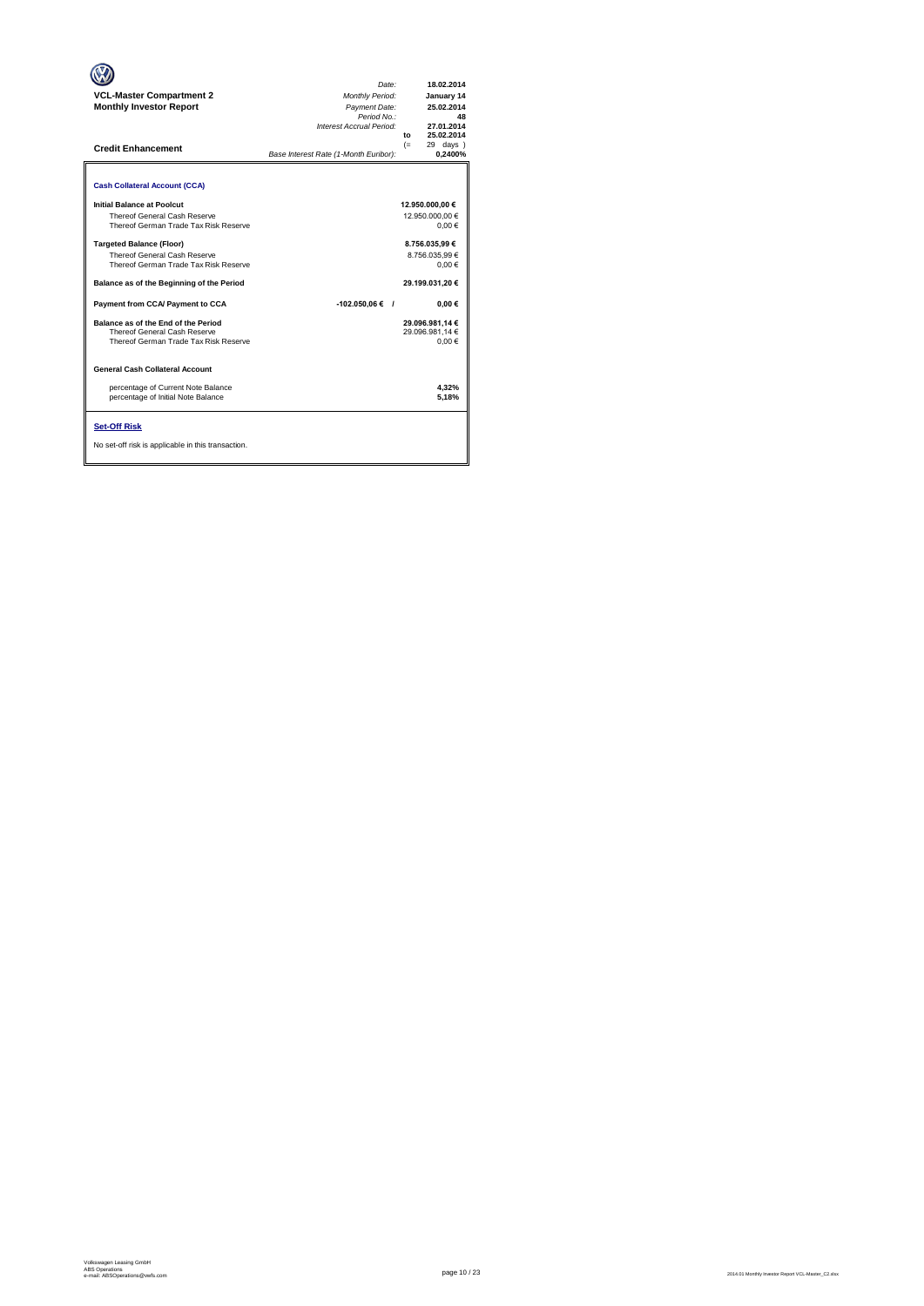| <b>VCL-Master Compartment 2</b><br><b>Monthly Investor Report</b><br><b>Credit Enhancement</b>               | Date:<br>Monthly Period:<br>Payment Date:<br>Period No.:<br>Interest Accrual Period:<br>Base Interest Rate (1-Month Euribor): | 18.02.2014<br>January 14<br>25.02.2014<br>48<br>27.01.2014<br>25.02.2014<br>to<br>$(=$<br>29 days<br>0.2400% |
|--------------------------------------------------------------------------------------------------------------|-------------------------------------------------------------------------------------------------------------------------------|--------------------------------------------------------------------------------------------------------------|
| <b>Cash Collateral Account (CCA)</b>                                                                         |                                                                                                                               |                                                                                                              |
| Initial Balance at Poolcut<br>Thereof General Cash Reserve<br>Thereof German Trade Tax Risk Reserve          |                                                                                                                               | 12.950.000,00 €<br>12.950.000.00 €<br>0.00€                                                                  |
| <b>Targeted Balance (Floor)</b><br>Thereof General Cash Reserve<br>Thereof German Trade Tax Risk Reserve     |                                                                                                                               | 8.756.035.99 €<br>8.756.035.99 €<br>$0.00 \in$                                                               |
| Balance as of the Beginning of the Period                                                                    |                                                                                                                               | 29.199.031.20 €                                                                                              |
| Payment from CCA/ Payment to CCA                                                                             | $-102.050,06€$ /                                                                                                              | $0.00 \in$                                                                                                   |
| Balance as of the End of the Period<br>Thereof General Cash Reserve<br>Thereof German Trade Tax Risk Reserve |                                                                                                                               | 29.096.981.14 €<br>29.096.981.14 €<br>0.00€                                                                  |
| <b>General Cash Collateral Account</b>                                                                       |                                                                                                                               |                                                                                                              |
| percentage of Current Note Balance<br>percentage of Initial Note Balance                                     |                                                                                                                               | 4.32%<br>5,18%                                                                                               |
| <b>Set-Off Risk</b><br>No set-off risk is applicable in this transaction.                                    |                                                                                                                               |                                                                                                              |

**. . . .** Trigger Level 1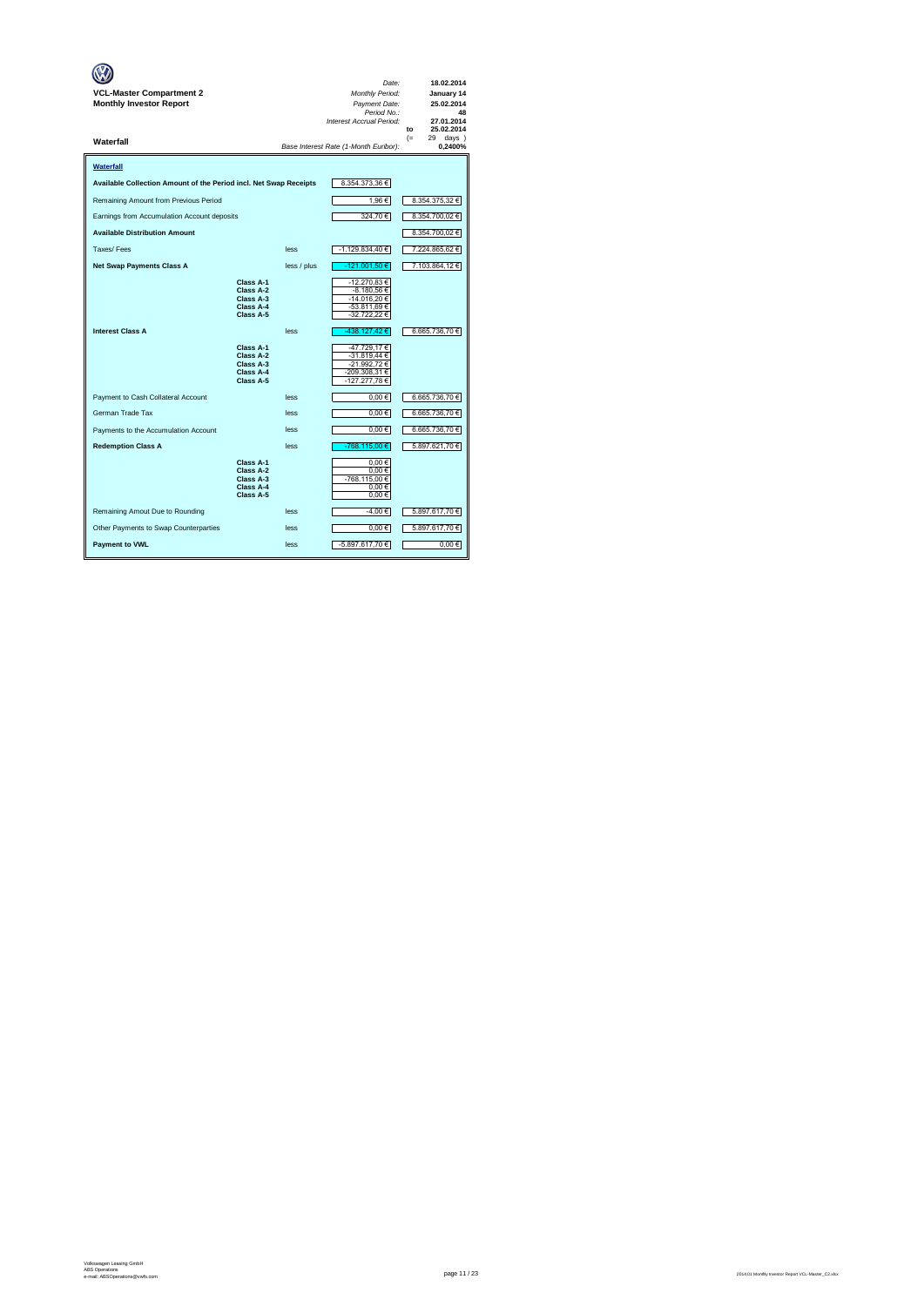| VCL-Master Compartment 2<br><b>Monthly Investor Report</b>        |                                                               |             | Date:<br>Monthly Period:<br>Payment Date:<br>Period No.:<br>Interest Accrual Period: | 18.02.2014<br>January 14<br>25.02.2014<br>48<br>27.01.2014<br>25.02.2014<br>to |
|-------------------------------------------------------------------|---------------------------------------------------------------|-------------|--------------------------------------------------------------------------------------|--------------------------------------------------------------------------------|
| Waterfall                                                         |                                                               |             | Base Interest Rate (1-Month Euribor):                                                | $(=$<br>29<br>days )<br>0,2400%                                                |
| Waterfall                                                         |                                                               |             |                                                                                      |                                                                                |
| Available Collection Amount of the Period incl. Net Swap Receipts |                                                               |             | 8.354.373,36 €                                                                       |                                                                                |
| Remaining Amount from Previous Period                             |                                                               |             | 1,96€                                                                                | 8.354.375,32 €                                                                 |
| Earnings from Accumulation Account deposits                       |                                                               |             | 324,70€                                                                              | 8.354.700,02 €                                                                 |
| <b>Available Distribution Amount</b>                              |                                                               |             |                                                                                      | 8.354.700,02 €                                                                 |
| Taxes/Fees                                                        |                                                               | less        | -1.129.834,40 €                                                                      | 7.224.865,62 €                                                                 |
| <b>Net Swap Payments Class A</b>                                  |                                                               | less / plus | -121.001,50 €                                                                        | 7.103.864,12 €                                                                 |
|                                                                   | Class A-1<br>Class A-2<br>Class A-3<br>Class A-4<br>Class A-5 |             | -12.270,83 €<br>-8.180,56 €<br>-14.016,20 €<br>-53.811,69 €<br>-32.722,22 €          |                                                                                |
| <b>Interest Class A</b>                                           |                                                               | less        | -438.127,42€                                                                         | 6.665.736,70 €                                                                 |
|                                                                   | Class A-1<br>Class A-2<br>Class A-3<br>Class A-4<br>Class A-5 |             | -47.729,17€<br>-31.819,44 €<br>-21.992,72 €<br>-209.308,31 €<br>-127.277,78€         |                                                                                |
| Payment to Cash Collateral Account                                |                                                               | less        | $0.00 \in$                                                                           | 6.665.736,70 €                                                                 |
| German Trade Tax                                                  |                                                               | less        | $0,00 \in$                                                                           | 6.665.736,70 €                                                                 |
| Payments to the Accumulation Account                              |                                                               | less        | $0,00 \in$                                                                           | 6.665.736,70 €                                                                 |
| <b>Redemption Class A</b>                                         |                                                               | less        | $-768.115,00€$                                                                       | 5.897.621,70 €                                                                 |
|                                                                   | Class A-1<br>Class A-2<br>Class A-3<br>Class A-4<br>Class A-5 |             | 0.00€<br>$0,00 \in$<br>-768.115,00 €<br>0.00€<br>$0,00 \in$                          |                                                                                |
| Remaining Amout Due to Rounding                                   |                                                               | less        | -4,00 €                                                                              | 5.897.617,70 €                                                                 |
| Other Payments to Swap Counterparties                             |                                                               | less        | $0,00 \in$                                                                           | 5.897.617,70 €                                                                 |
| <b>Payment to VWL</b>                                             |                                                               | less        | -5.897.617,70 €                                                                      | 0,00€                                                                          |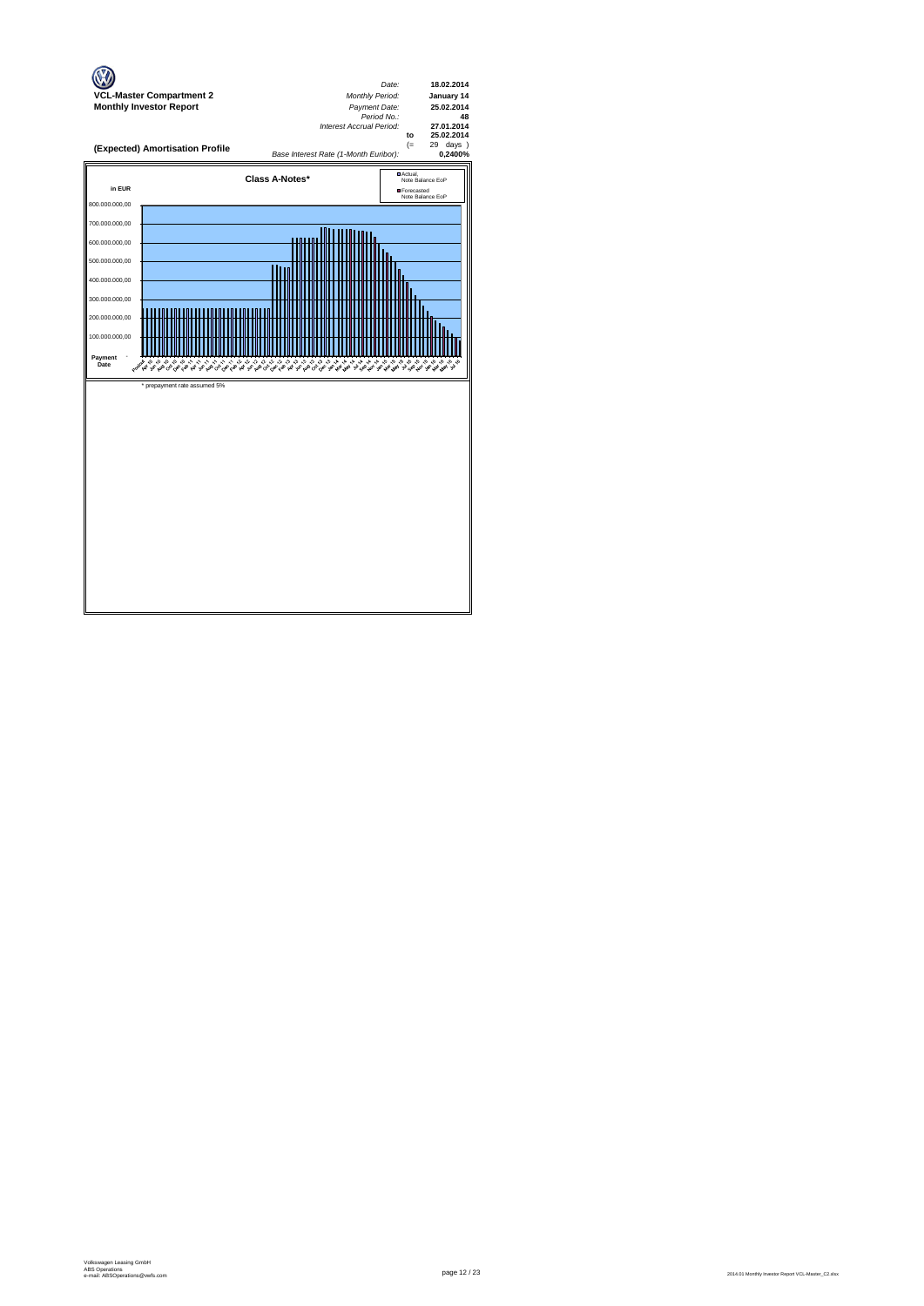

page 12 / 23 2014.01 Monthly Investor Report VCL-Master\_C2.xlsx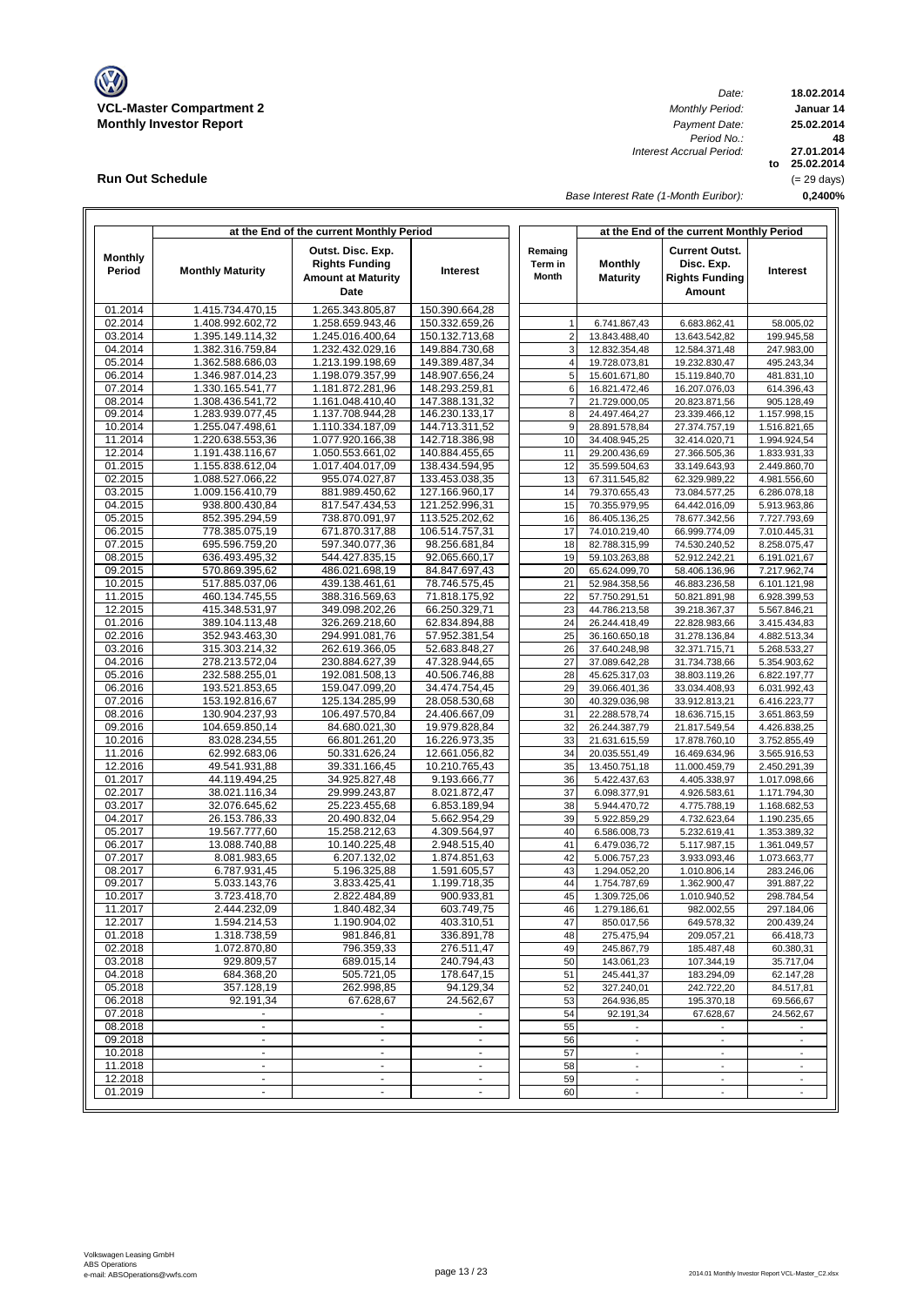

**Run Out Schedule**

*Date: Period No.: Interest Accrual Period:*

**18.02.2014 Januar 14 to 25.02.2014 27.01.2014 0,2400% 48 25.02.2014** (= 29 days)

*Base Interest Rate (1-Month Euribor):*

|                    |                                      | at the End of the current Monthly Period                                        |                                  | at the End of the current Monthly Period |                                   |                                                                        |                              |
|--------------------|--------------------------------------|---------------------------------------------------------------------------------|----------------------------------|------------------------------------------|-----------------------------------|------------------------------------------------------------------------|------------------------------|
| Monthly<br>Period  | <b>Monthly Maturity</b>              | Outst. Disc. Exp.<br><b>Rights Funding</b><br><b>Amount at Maturity</b><br>Date | Interest                         | Remaing<br>Term in<br><b>Month</b>       | <b>Monthly</b><br><b>Maturity</b> | <b>Current Outst.</b><br>Disc. Exp.<br><b>Rights Funding</b><br>Amount | Interest                     |
| 01.2014            | 1.415.734.470,15                     | 1.265.343.805,87                                                                | 150.390.664,28                   |                                          |                                   |                                                                        |                              |
| 02.2014            | 1.408.992.602,72                     | 1.258.659.943,46                                                                | 150.332.659,26                   | 1                                        | 6.741.867,43                      | 6.683.862,41                                                           | 58.005,02                    |
| 03.2014            | 1.395.149.114,32                     | 1.245.016.400,64                                                                | 150.132.713,68                   | $\overline{2}$                           | 13.843.488,40                     | 13.643.542,82                                                          | 199.945,58                   |
| 04.2014<br>05.2014 | 1.382.316.759,84<br>1.362.588.686,03 | 1.232.432.029,16<br>1.213.199.198,69                                            | 149.884.730,68<br>149.389.487,34 | 3<br>$\overline{4}$                      | 12.832.354,48<br>19.728.073,81    | 12.584.371,48<br>19.232.830,47                                         | 247.983,00<br>495.243,34     |
| 06.2014            | 1.346.987.014,23                     | 1.198.079.357,99                                                                | 148.907.656,24                   | 5                                        | 15.601.671,80                     | 15.119.840,70                                                          | 481.831,10                   |
| 07.2014            | 1.330.165.541,77                     | 1.181.872.281,96                                                                | 148.293.259,81                   | 6                                        | 16.821.472,46                     | 16.207.076,03                                                          | 614.396,43                   |
| 08.2014            | 1.308.436.541,72                     | 1.161.048.410,40                                                                | 147.388.131,32                   | $\overline{7}$                           | 21.729.000,05                     | 20.823.871,56                                                          | 905.128,49                   |
| 09.2014            | 1.283.939.077,45                     | 1.137.708.944,28                                                                | 146.230.133,17                   | 8                                        | 24.497.464,27                     | 23.339.466,12                                                          | 1.157.998,15                 |
| 10.2014            | 1.255.047.498,61                     | 1.110.334.187,09                                                                | 144.713.311.52                   | 9                                        | 28.891.578,84                     | 27.374.757,19                                                          | 1.516.821,65                 |
| 11.2014            | 1.220.638.553,36                     | 1.077.920.166,38                                                                | 142.718.386,98                   | 10                                       | 34.408.945,25                     | 32.414.020,71                                                          | 1.994.924,54                 |
| 12.2014<br>01.2015 | 1.191.438.116,67<br>1.155.838.612,04 | 1.050.553.661,02<br>1.017.404.017,09                                            | 140.884.455,65<br>138.434.594,95 | 11<br>12                                 | 29.200.436,69<br>35.599.504,63    | 27.366.505,36<br>33.149.643,93                                         | 1.833.931,33<br>2.449.860,70 |
| 02.2015            | 1.088.527.066,22                     | 955.074.027,87                                                                  | 133.453.038,35                   | 13                                       | 67.311.545,82                     | 62.329.989,22                                                          | 4.981.556,60                 |
| 03.2015            | 1.009.156.410,79                     | 881.989.450,62                                                                  | 127.166.960,17                   | 14                                       | 79.370.655,43                     | 73.084.577,25                                                          | 6.286.078,18                 |
| 04.2015            | 938.800.430,84                       | 817.547.434,53                                                                  | 121.252.996,31                   | 15                                       | 70.355.979,95                     | 64.442.016,09                                                          | 5.913.963,86                 |
| 05.2015            | 852.395.294,59                       | 738.870.091,97                                                                  | 113.525.202,62                   | 16                                       | 86.405.136,25                     | 78.677.342,56                                                          | 7.727.793,69                 |
| 06.2015            | 778.385.075,19                       | 671.870.317,88                                                                  | 106.514.757,31                   | 17                                       | 74.010.219,40                     | 66.999.774,09                                                          | 7.010.445,31                 |
| 07.2015            | 695.596.759,20                       | 597.340.077,36                                                                  | 98.256.681,84                    | 18                                       | 82.788.315,99                     | 74.530.240,52                                                          | 8.258.075,47                 |
| 08.2015            | 636.493.495,32                       | 544.427.835,15                                                                  | 92.065.660,17                    | 19<br>20                                 | 59.103.263,88                     | 52.912.242,21                                                          | 6.191.021,67                 |
| 09.2015<br>10.2015 | 570.869.395,62<br>517.885.037,06     | 486.021.698,19<br>439.138.461,61                                                | 84.847.697,43<br>78.746.575,45   | 21                                       | 65.624.099,70<br>52.984.358,56    | 58.406.136,96<br>46.883.236,58                                         | 7.217.962,74<br>6.101.121,98 |
| 11.2015            | 460.134.745,55                       | 388.316.569,63                                                                  | 71.818.175,92                    | 22                                       | 57.750.291,51                     | 50.821.891,98                                                          | 6.928.399,53                 |
| 12.2015            | 415.348.531,97                       | 349.098.202,26                                                                  | 66.250.329,71                    | 23                                       | 44.786.213,58                     | 39.218.367,37                                                          | 5.567.846,21                 |
| 01.2016            | 389.104.113.48                       | 326.269.218,60                                                                  | 62.834.894,88                    | 24                                       | 26.244.418,49                     | 22.828.983,66                                                          | 3.415.434,83                 |
| 02.2016            | 352.943.463,30                       | 294.991.081,76                                                                  | 57.952.381,54                    | 25                                       | 36.160.650,18                     | 31.278.136,84                                                          | 4.882.513,34                 |
| 03.2016            | 315.303.214,32                       | 262.619.366,05                                                                  | 52.683.848,27                    | 26                                       | 37.640.248,98                     | 32.371.715,71                                                          | 5.268.533,27                 |
| 04.2016            | 278.213.572,04                       | 230.884.627,39                                                                  | 47.328.944,65                    | 27                                       | 37.089.642,28                     | 31.734.738,66                                                          | 5.354.903,62                 |
| 05.2016<br>06.2016 | 232.588.255,01<br>193.521.853,65     | 192.081.508,13<br>159.047.099,20                                                | 40.506.746,88<br>34.474.754,45   | 28<br>29                                 | 45.625.317,03<br>39.066.401,36    | 38.803.119,26<br>33.034.408,93                                         | 6.822.197,77<br>6.031.992,43 |
| 07.2016            | 153.192.816,67                       | 125.134.285,99                                                                  | 28.058.530,68                    | 30                                       | 40.329.036,98                     | 33.912.813,21                                                          | 6.416.223,77                 |
| 08.2016            | 130.904.237,93                       | 106.497.570,84                                                                  | 24.406.667,09                    | 31                                       | 22.288.578,74                     | 18.636.715,15                                                          | 3.651.863,59                 |
| 09.2016            | 104.659.850,14                       | 84.680.021,30                                                                   | 19.979.828,84                    | 32                                       | 26.244.387,79                     | 21.817.549,54                                                          | 4.426.838,25                 |
| 10.2016            | 83.028.234,55                        | 66.801.261,20                                                                   | 16.226.973,35                    | 33                                       | 21.631.615,59                     | 17.878.760,10                                                          | 3.752.855,49                 |
| 11.2016            | 62.992.683,06                        | 50.331.626,24                                                                   | 12.661.056,82                    | 34                                       | 20.035.551,49                     | 16.469.634,96                                                          | 3.565.916,53                 |
| 12.2016            | 49.541.931,88                        | 39.331.166,45                                                                   | 10.210.765,43                    | 35                                       | 13.450.751,18                     | 11.000.459,79                                                          | 2.450.291,39                 |
| 01.2017            | 44.119.494,25                        | 34.925.827,48                                                                   | 9.193.666,77                     | 36                                       | 5.422.437,63                      | 4.405.338,97                                                           | 1.017.098,66                 |
| 02.2017<br>03.2017 | 38.021.116,34<br>32.076.645,62       | 29.999.243,87<br>25.223.455,68                                                  | 8.021.872,47<br>6.853.189,94     | 37<br>38                                 | 6.098.377,91<br>5.944.470,72      | 4.926.583,61<br>4.775.788,19                                           | 1.171.794,30<br>1.168.682,53 |
| 04.2017            | 26.153.786,33                        | 20.490.832,04                                                                   | 5.662.954,29                     | 39                                       | 5.922.859,29                      | 4.732.623,64                                                           | 1.190.235,65                 |
| 05.2017            | 19.567.777,60                        | 15.258.212,63                                                                   | 4.309.564,97                     | 40                                       | 6.586.008,73                      | 5.232.619,41                                                           | 1.353.389,32                 |
| 06.2017            | 13.088.740,88                        | 10.140.225,48                                                                   | 2.948.515,40                     | 41                                       | 6.479.036,72                      | 5.117.987,15                                                           | 1.361.049,57                 |
| 07.2017            | 8.081.983,65                         | 6.207.132,02                                                                    | 1.874.851,63                     | 42                                       | 5.006.757,23                      | 3.933.093,46                                                           | 1.073.663,77                 |
| 08.2017            | 6.787.931,45                         | 5.196.325,88                                                                    | 1.591.605,57                     | 43                                       | 1.294.052,20                      | 1.010.806,14                                                           | 283.246,06                   |
| 09.2017<br>10.2017 | 5.033.143,76                         | 3.833.425,41                                                                    | 1.199.718,35                     | 44<br>45                                 | 1.754.787,69                      | 1.362.900,47                                                           | 391.887,22                   |
| 11.2017            | 3.723.418,70<br>2.444.232,09         | 2.822.484,89<br>1.840.482,34                                                    | 900.933,81<br>603.749,75         | 46                                       | 1.309.725,06<br>1.279.186,61      | 1.010.940,52<br>982.002,55                                             | 298.784,54<br>297.184,06     |
| 12.2017            | 1.594.214,53                         | 1.190.904,02                                                                    | 403.310,51                       | 47                                       | 850.017,56                        | 649.578,32                                                             | 200.439,24                   |
| 01.2018            | 1.318.738,59                         | 981.846,81                                                                      | 336.891,78                       | 48                                       | 275.475,94                        | 209.057,21                                                             | 66.418,73                    |
| 02.2018            | 1.072.870,80                         | 796.359,33                                                                      | 276.511,47                       | 49                                       | 245.867,79                        | 185.487,48                                                             | 60.380,31                    |
| 03.2018            | 929.809,57                           | 689.015,14                                                                      | 240.794,43                       | 50                                       | 143.061,23                        | 107.344,19                                                             | 35.717,04                    |
| 04.2018            | 684.368,20                           | 505.721,05                                                                      | 178.647,15                       | 51                                       | 245.441,37                        | 183.294,09                                                             | 62.147,28                    |
| 05.2018            | 357.128,19                           | 262.998,85                                                                      | 94.129,34                        | 52                                       | 327.240,01                        | 242.722,20                                                             | 84.517,81                    |
| 06.2018<br>07.2018 | 92.191,34                            | 67.628,67                                                                       | 24.562,67                        | 53<br>54                                 | 264.936,85<br>92.191,34           | 195.370,18                                                             | 69.566,67                    |
| 08.2018            | $\blacksquare$                       | $\blacksquare$                                                                  |                                  | 55                                       |                                   | 67.628,67                                                              | 24.562,67                    |
| 09.2018            | $\sim$                               | ÷.                                                                              | $\tilde{\phantom{a}}$            | 56                                       | $\blacksquare$                    | $\overline{\phantom{a}}$                                               | $\overline{\phantom{a}}$     |
| 10.2018            | $\blacksquare$                       | $\blacksquare$                                                                  | $\blacksquare$                   | 57                                       | $\overline{\phantom{a}}$          | $\overline{\phantom{a}}$                                               | $\overline{\phantom{a}}$     |
| 11.2018            | $\blacksquare$                       | $\blacksquare$                                                                  | $\overline{\phantom{a}}$         | 58                                       | $\overline{\phantom{a}}$          | $\overline{\phantom{a}}$                                               | $\overline{\phantom{a}}$     |
| 12.2018            | $\blacksquare$                       | $\blacksquare$                                                                  | $\frac{1}{2}$                    | 59                                       | $\overline{\phantom{a}}$          | $\overline{\phantom{a}}$                                               | $\overline{\phantom{a}}$     |
| 01.2019            |                                      | $\overline{\phantom{a}}$                                                        |                                  | 60                                       |                                   |                                                                        |                              |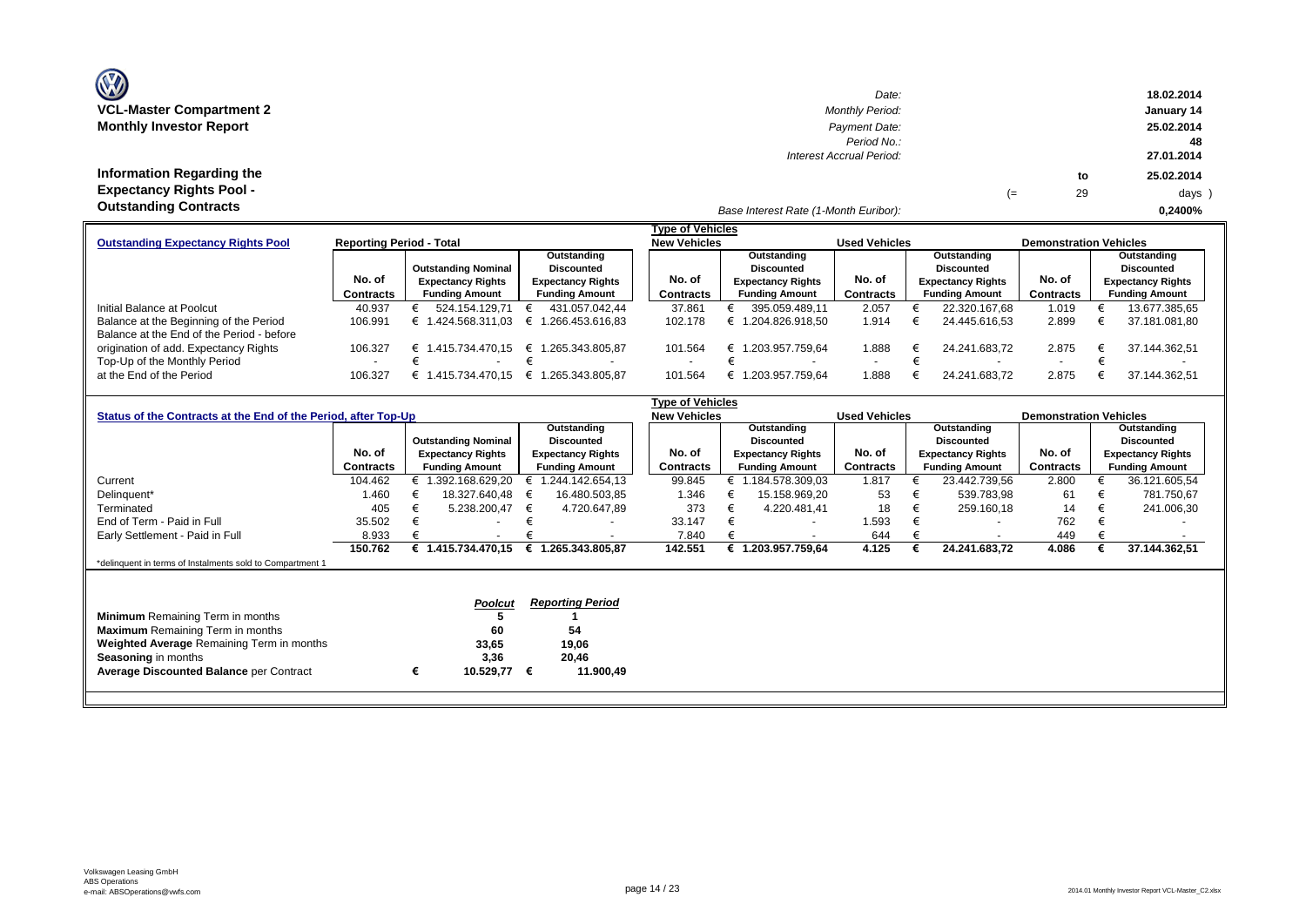| <b>OZ</b>                       |
|---------------------------------|
| <b>VCL-Master Compartment 2</b> |
| <b>Monthly Investor Report</b>  |

| $\mathbf{w}$                    | Date:                                 |    |    | 18.02.2014 |
|---------------------------------|---------------------------------------|----|----|------------|
| <b>VCL-Master Compartment 2</b> | <b>Monthly Period:</b>                |    |    | January 14 |
| <b>Monthly Investor Report</b>  | Payment Date:                         |    |    | 25.02.2014 |
|                                 | Period No.:                           |    |    | 48         |
|                                 | Interest Accrual Period:              |    |    | 27.01.2014 |
| Information Regarding the       |                                       |    | to | 25.02.2014 |
| <b>Expectancy Rights Pool -</b> |                                       | (≕ | 29 | days )     |
| <b>Outstanding Contracts</b>    | Base Interest Rate (1-Month Euribor): |    |    | 0.2400%    |

|                                           |                                 |                            |                          | <b>Type of Vehicles</b> |                          |                      |                          |                               |                          |
|-------------------------------------------|---------------------------------|----------------------------|--------------------------|-------------------------|--------------------------|----------------------|--------------------------|-------------------------------|--------------------------|
| <b>Outstanding Expectancy Rights Pool</b> | <b>Reporting Period - Total</b> |                            |                          | <b>New Vehicles</b>     |                          | <b>Used Vehicles</b> |                          | <b>Demonstration Vehicles</b> |                          |
|                                           |                                 |                            | Outstanding              |                         | Outstanding              |                      | Outstanding              |                               | Outstanding              |
|                                           |                                 | <b>Outstanding Nominal</b> | <b>Discounted</b>        |                         | <b>Discounted</b>        |                      | Discounted               |                               | <b>Discounted</b>        |
|                                           | No. of                          | <b>Expectancy Rights</b>   | <b>Expectancy Rights</b> | No. of                  | <b>Expectancy Rights</b> | No. of               | <b>Expectancy Rights</b> | No. of                        | <b>Expectancy Rights</b> |
|                                           | Contracts                       | <b>Funding Amount</b>      | <b>Funding Amount</b>    | Contracts               | <b>Funding Amount</b>    | Contracts            | <b>Funding Amount</b>    | Contracts                     | <b>Funding Amount</b>    |
| Initial Balance at Poolcut                | 40.937                          | 524.154.129.71             | 431.057.042.44           | 37.861                  | 395.059.489.11           | 2.057                | 22.320.167.68            | 1.019                         | 13.677.385,65            |
| Balance at the Beginning of the Period    | 106.991                         | 424.568.311.03<br>€        | € 1.266.453.616.83       | 102.178                 | 1.204.826.918.50         | 1.914                | 24.445.616.53            | 2.899                         | 37.181.081,80            |
| Balance at the End of the Period - before |                                 |                            |                          |                         |                          |                      |                          |                               |                          |
| origination of add. Expectancy Rights     | 106.327                         | .415.734.470.15<br>€       | € 1.265.343.805.87       | 101.564                 | 1.203.957.759.64<br>⊨    | 1.888                | 24.241.683.72            | 2.875                         | 37.144.362.51            |
| Top-Up of the Monthly Period              | $\sim$                          |                            |                          |                         |                          |                      |                          |                               |                          |
| at the End of the Period                  | 106.327                         | .415.734.470.15<br>⊨       | € 1.265.343.805.87       | 101.564                 | .203.957.759.64          | 1.888                | 24.241.683.72            | 2.875                         | 37.144.362.51            |

|                                                                |           |   |                            |   |                          | Type of Vehicles    |                          |                      |                   |                          |                               |                          |
|----------------------------------------------------------------|-----------|---|----------------------------|---|--------------------------|---------------------|--------------------------|----------------------|-------------------|--------------------------|-------------------------------|--------------------------|
| Status of the Contracts at the End of the Period, after Top-Up |           |   |                            |   |                          | <b>New Vehicles</b> |                          | <b>Used Vehicles</b> |                   |                          | <b>Demonstration Vehicles</b> |                          |
|                                                                |           |   |                            |   | Outstanding              |                     | Outstanding              |                      |                   | Outstanding              |                               | Outstanding              |
|                                                                |           |   | <b>Outstanding Nominal</b> |   | <b>Discounted</b>        |                     | <b>Discounted</b>        |                      | <b>Discounted</b> |                          |                               | <b>Discounted</b>        |
|                                                                | No. of    |   | <b>Expectancy Rights</b>   |   | <b>Expectancy Rights</b> | No. of              | <b>Expectancy Rights</b> | No. of               |                   | <b>Expectancy Rights</b> | No. of                        | <b>Expectancy Rights</b> |
|                                                                | Contracts |   | <b>Funding Amount</b>      |   | <b>Funding Amount</b>    | Contracts           | <b>Funding Amount</b>    | Contracts            |                   | <b>Funding Amount</b>    | Contracts                     | <b>Funding Amount</b>    |
| Current                                                        | 104.462   |   | € 1.392.168.629,20         |   | 1.244.142.654.13         | 99.845              | € 1.184.578.309,03       | 1.817                |                   | 23.442.739,56            | 2.800                         | 36.121.605,54            |
| Delinquent*                                                    | 1.460     |   | 18.327.640,48              | € | 16.480.503,85            | 1.346               | 15.158.969,20            | 53                   |                   | 539.783,98               | 61                            | 781.750,67               |
| Terminated                                                     | 405       |   | 5.238.200,47               | € | 4.720.647,89             | 373                 | 4.220.481,41             | 18                   | €                 | 259.160,18               | 14                            | 241.006,30               |
| End of Term - Paid in Full                                     | 35.502    |   |                            |   |                          | 33.147              | $\overline{\phantom{a}}$ | 1.593                |                   | $\overline{\phantom{0}}$ | 762                           |                          |
| Early Settlement - Paid in Full                                | 8.933     |   |                            |   |                          | 7.840               | $\overline{\phantom{a}}$ | 644                  |                   | $\overline{\phantom{a}}$ | 449                           |                          |
|                                                                | 150.762   |   | € 1.415.734.470,15         |   | € 1.265.343.805.87       | 142.551             | 1.203.957.759.64         | 4.125                |                   | 24.241.683,72            | 4.086                         | 37.144.362,51            |
| *delinquent in terms of Instalments sold to Compartment 1      |           |   |                            |   |                          |                     |                          |                      |                   |                          |                               |                          |
|                                                                |           |   |                            |   |                          |                     |                          |                      |                   |                          |                               |                          |
|                                                                |           |   |                            |   |                          |                     |                          |                      |                   |                          |                               |                          |
|                                                                |           |   | <b>Poolcut</b>             |   | <b>Reporting Period</b>  |                     |                          |                      |                   |                          |                               |                          |
| <b>Minimum</b> Remaining Term in months                        |           |   |                            |   |                          |                     |                          |                      |                   |                          |                               |                          |
| <b>Maximum</b> Remaining Term in months                        |           |   | 60                         |   | 54                       |                     |                          |                      |                   |                          |                               |                          |
| Weighted Average Remaining Term in months                      |           |   | 33,65                      |   | 19,06                    |                     |                          |                      |                   |                          |                               |                          |
| <b>Seasoning in months</b>                                     |           |   | 3,36                       |   | 20,46                    |                     |                          |                      |                   |                          |                               |                          |
| <b>Average Discounted Balance per Contract</b>                 |           | € | 10.529,77                  | € | 11.900,49                |                     |                          |                      |                   |                          |                               |                          |
|                                                                |           |   |                            |   |                          |                     |                          |                      |                   |                          |                               |                          |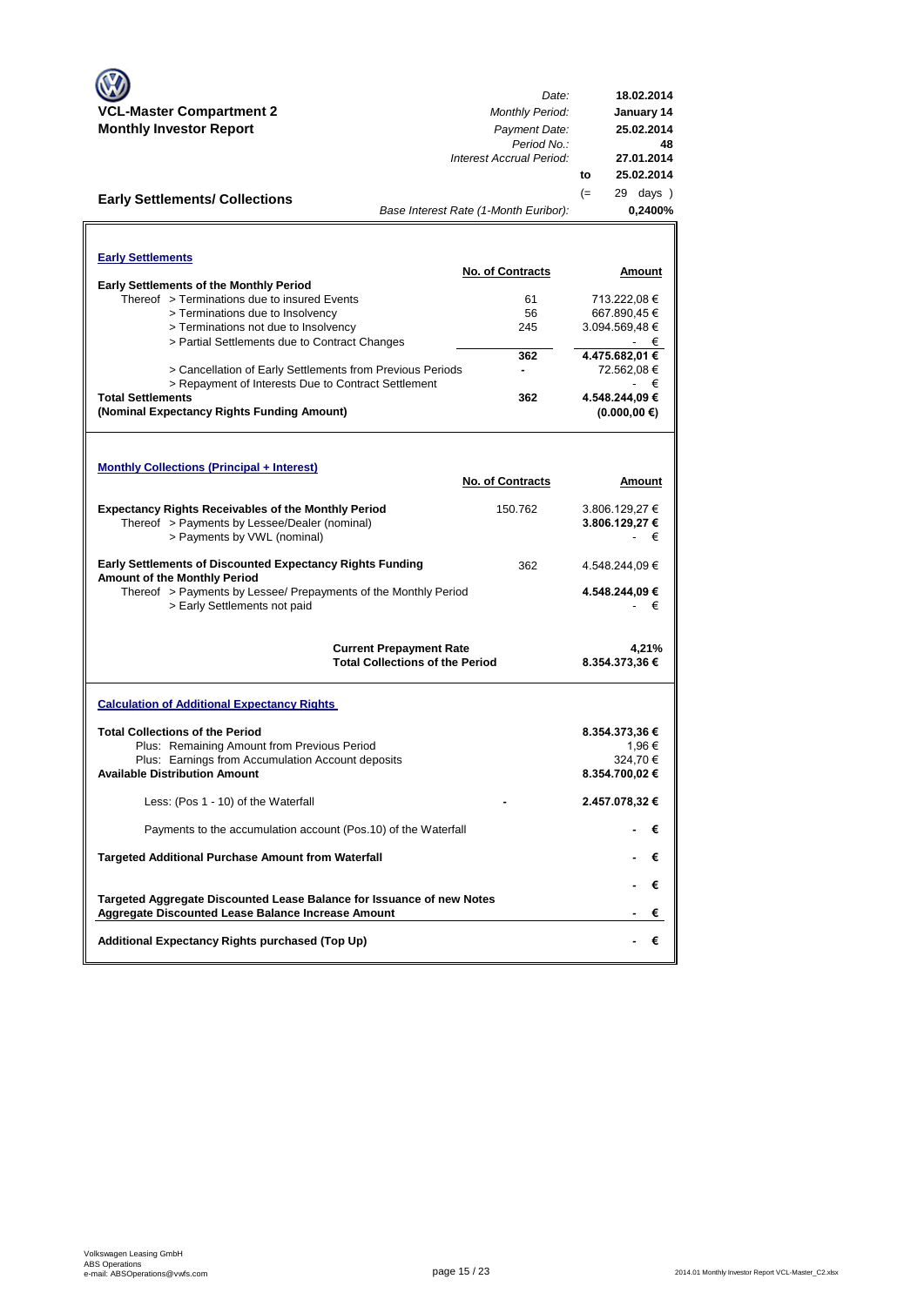|                                                                                                                             | Date:                                                                    | 18.02.2014                     |
|-----------------------------------------------------------------------------------------------------------------------------|--------------------------------------------------------------------------|--------------------------------|
| <b>VCL-Master Compartment 2</b>                                                                                             | <b>Monthly Period:</b>                                                   | January 14                     |
| <b>Monthly Investor Report</b>                                                                                              | Payment Date:                                                            | 25.02.2014                     |
|                                                                                                                             | Period No.:                                                              | 48                             |
|                                                                                                                             | Interest Accrual Period:                                                 | 27.01.2014                     |
|                                                                                                                             |                                                                          | 25.02.2014<br>to               |
| <b>Early Settlements/ Collections</b>                                                                                       |                                                                          | 29 days )<br>$(=$              |
|                                                                                                                             | Base Interest Rate (1-Month Euribor):                                    | 0,2400%                        |
|                                                                                                                             |                                                                          |                                |
| <b>Early Settlements</b>                                                                                                    |                                                                          |                                |
|                                                                                                                             | <b>No. of Contracts</b>                                                  | Amount                         |
| <b>Early Settlements of the Monthly Period</b>                                                                              |                                                                          |                                |
| Thereof > Terminations due to insured Events                                                                                | 61                                                                       | 713.222,08 €                   |
| > Terminations due to Insolvency<br>> Terminations not due to Insolvency                                                    | 56<br>245                                                                | 667.890,45 €<br>3.094.569,48 € |
| > Partial Settlements due to Contract Changes                                                                               |                                                                          | - €                            |
|                                                                                                                             | 362                                                                      | 4.475.682,01 €                 |
| > Cancellation of Early Settlements from Previous Periods                                                                   | ٠                                                                        | 72.562,08 €                    |
| > Repayment of Interests Due to Contract Settlement                                                                         |                                                                          | €                              |
| <b>Total Settlements</b>                                                                                                    | 362                                                                      | 4.548.244,09 €                 |
| (Nominal Expectancy Rights Funding Amount)                                                                                  |                                                                          | $(0.000, 00 \in)$              |
|                                                                                                                             |                                                                          |                                |
|                                                                                                                             |                                                                          |                                |
| <b>Monthly Collections (Principal + Interest)</b>                                                                           |                                                                          |                                |
|                                                                                                                             | <b>No. of Contracts</b>                                                  | Amount                         |
| <b>Expectancy Rights Receivables of the Monthly Period</b>                                                                  | 150.762                                                                  | 3.806.129,27 €                 |
| Thereof > Payments by Lessee/Dealer (nominal)                                                                               |                                                                          | 3.806.129,27 €                 |
| > Payments by VWL (nominal)                                                                                                 |                                                                          | €                              |
|                                                                                                                             |                                                                          |                                |
| <b>Early Settlements of Discounted Expectancy Rights Funding</b>                                                            | 362                                                                      | 4.548.244,09 €                 |
| Amount of the Monthly Period<br>Thereof > Payments by Lessee/ Prepayments of the Monthly Period                             |                                                                          | 4.548.244,09 €                 |
| > Early Settlements not paid                                                                                                |                                                                          | €                              |
|                                                                                                                             |                                                                          |                                |
|                                                                                                                             |                                                                          |                                |
|                                                                                                                             | <b>Current Prepayment Rate</b><br><b>Total Collections of the Period</b> | 4,21%<br>8.354.373,36 €        |
|                                                                                                                             |                                                                          |                                |
|                                                                                                                             |                                                                          |                                |
| <b>Calculation of Additional Expectancy Rights</b>                                                                          |                                                                          |                                |
| <b>Total Collections of the Period</b>                                                                                      |                                                                          | 8.354.373,36 €                 |
| Plus: Remaining Amount from Previous Period                                                                                 |                                                                          | 1.96€                          |
| Plus: Earnings from Accumulation Account deposits                                                                           |                                                                          | 324,70€                        |
| <b>Available Distribution Amount</b>                                                                                        |                                                                          | 8.354.700,02€                  |
|                                                                                                                             |                                                                          |                                |
| Less: (Pos 1 - 10) of the Waterfall                                                                                         |                                                                          | 2.457.078,32 €                 |
| Payments to the accumulation account (Pos.10) of the Waterfall                                                              |                                                                          | €                              |
|                                                                                                                             |                                                                          |                                |
| Targeted Additional Purchase Amount from Waterfall                                                                          |                                                                          | €                              |
|                                                                                                                             |                                                                          |                                |
|                                                                                                                             |                                                                          | €                              |
| Targeted Aggregate Discounted Lease Balance for Issuance of new Notes<br>Aggregate Discounted Lease Balance Increase Amount |                                                                          | €                              |
|                                                                                                                             |                                                                          |                                |
| Additional Expectancy Rights purchased (Top Up)                                                                             |                                                                          | €                              |
|                                                                                                                             |                                                                          |                                |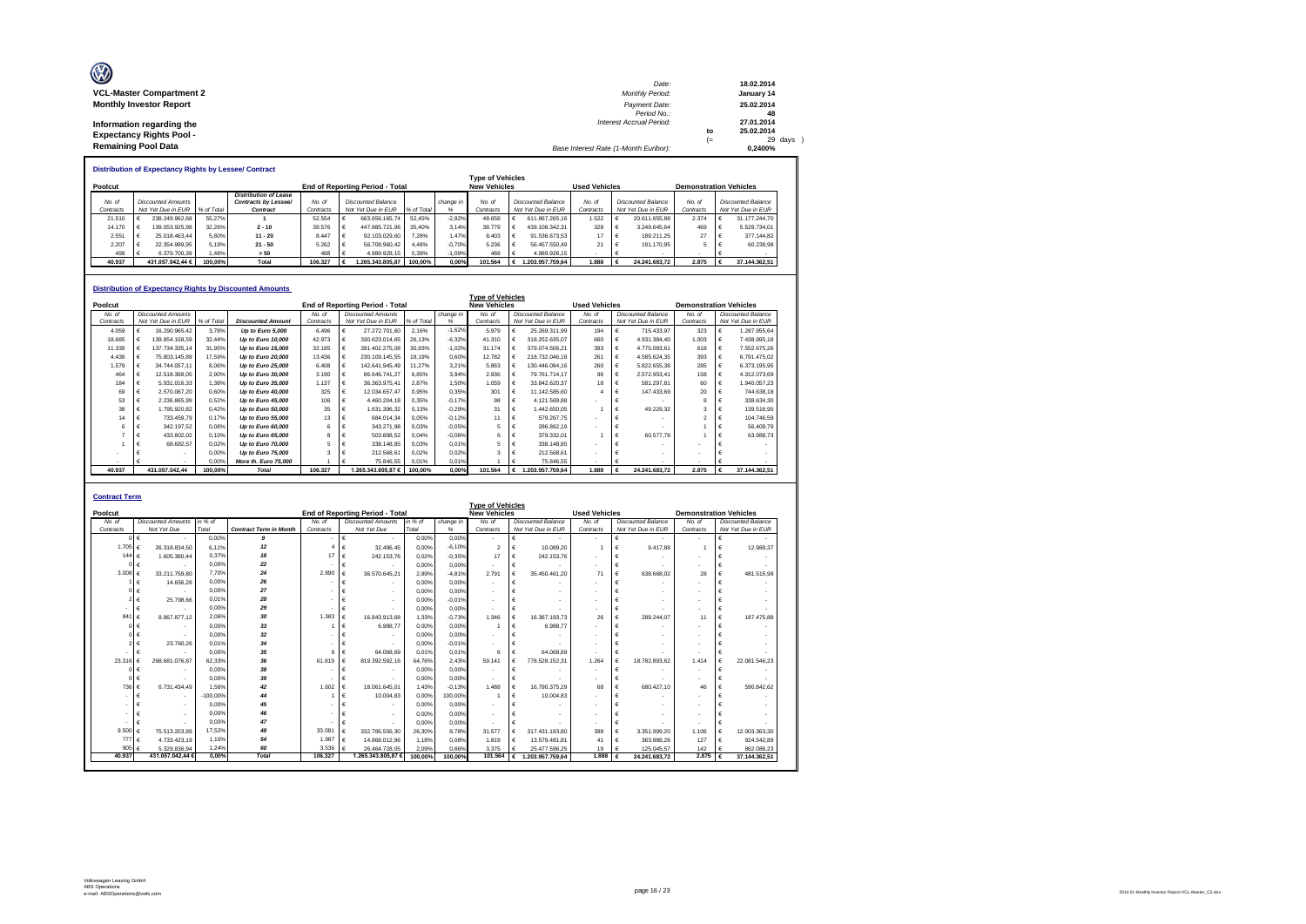| O                               | Date:                                 |      | 18.02.2014 |
|---------------------------------|---------------------------------------|------|------------|
| <b>VCL-Master Compartment 2</b> | <b>Monthly Period:</b>                |      | January 14 |
| <b>Monthly Investor Report</b>  | Payment Date:                         |      | 25.02.2014 |
|                                 | Period No.:                           |      | 48         |
| Information regarding the       | Interest Accrual Period:              |      | 27.01.2014 |
| <b>Expectancy Rights Pool -</b> |                                       | to   | 25.02.2014 |
|                                 |                                       | $(=$ | 29 days    |
| <b>Remaining Pool Data</b>      | Base Interest Rate (1-Month Euribor): |      | 0.2400%    |

|           | Distribution of Expectancy Rights by Lessee/ Contract |        |                              |           |                                 |            |           |                         |                    |                      |                    |           |                               |
|-----------|-------------------------------------------------------|--------|------------------------------|-----------|---------------------------------|------------|-----------|-------------------------|--------------------|----------------------|--------------------|-----------|-------------------------------|
|           |                                                       |        |                              |           |                                 |            |           | <b>Type of Vehicles</b> |                    |                      |                    |           |                               |
| Poolcut   |                                                       |        |                              |           | End of Reporting Period - Total |            |           | <b>New Vehicles</b>     |                    | <b>Used Vehicles</b> |                    |           | <b>Demonstration Vehicles</b> |
|           |                                                       |        | <b>Distribution of Lease</b> |           |                                 |            |           |                         |                    |                      |                    |           |                               |
| No. of    | <b>Discounted Amounts</b>                             |        | Contracts by Lessee/         | No. of    | <b>Discounted Balance</b>       |            | change in | No. of                  | Discounted Balance | No. of               | Discounted Balance | No. at    | Discounted Balance            |
| Contracts | Not Yet Due in EUR % of Total                         |        | Contract                     | Contracts | Not Yet Due in EUR              | % of Total |           | Contracts               | Not Yet Due in EUR | Contracts            | Not Yet Due in EUR | Contracts | Not Yet Due in EUR            |
| 21.510    | 238.249.962.68<br>- 16                                | 55.27% |                              | 52.554    | 663.656.165.74                  | 52.45%     | $-2.82%$  | 48.658                  | 611.867.265.16     | 1.522                | 20.611.655.88      | 2.374     | 31.177.244.70                 |
|           |                                                       |        |                              |           |                                 |            |           |                         |                    |                      |                    |           |                               |

|           |   |                           |            | <b>Distribution of Expectancy Rights by Discounted Amounts</b> |           |            |                                        |            |           |                                                |   |                           |                      |          |                           |                               |    |                           |
|-----------|---|---------------------------|------------|----------------------------------------------------------------|-----------|------------|----------------------------------------|------------|-----------|------------------------------------------------|---|---------------------------|----------------------|----------|---------------------------|-------------------------------|----|---------------------------|
| Poolcut   |   |                           |            |                                                                |           |            | <b>End of Reporting Period - Total</b> |            |           | <b>Type of Vehicles</b><br><b>New Vehicles</b> |   |                           | <b>Used Vehicles</b> |          |                           | <b>Demonstration Vehicles</b> |    |                           |
| No. of    |   | <b>Discounted Amounts</b> |            |                                                                | No. of    |            | <b>Discounted Amounts</b>              |            | change in | No. of                                         |   | <b>Discounted Balance</b> | No. of               |          | <b>Discounted Balance</b> | No. of                        |    | <b>Discounted Balance</b> |
| Contracts |   | Not Yet Due in EUR        | % of Total | <b>Discounted Amount</b>                                       | Contracts |            | Not Yet Due in EUR                     | % of Total | %         | Contracts                                      |   | Not Yet Due in EUR        | Contracts            |          | Not Yet Due in EUR        | Contracts                     |    | Not Yet Due in EUR        |
| 4.059     |   | 16.290.965.42             | 3.78%      | Up to Euro 5,000                                               | 6.496     |            | 27.272.701.60                          | 2,16%      | $-1,62%$  | 5.979                                          |   | 25.269.311.99             | 194                  | €        | 715.433.97                | 323                           |    | 1.287.955.64              |
| 18,685    |   | 139.854.158.59            | 32.44%     | Up to Euro 10,000                                              | 42.973    | €          | 330.623.014.65                         | 26.13%     | $-6.32%$  | 41.310                                         |   | 318.252.635.07            | 660                  | €        | 4.931.384.40              | 1.003                         |    | 7.438.995.18              |
| 11.339    |   | 137.734.335.14            | 31.95%     | Up to Euro 15,000                                              | 32.185    | $\epsilon$ | 391.402.275,08                         | 30.93%     | $-1,02%$  | 31.174                                         |   | 379.074.506,21            | 393                  | €        | 4.775.093.61              | 618                           | ∣€ | 7.552.675.26              |
| 4.439     |   | 75.803.145.89             | 17.59%     | Up to Euro 20,000                                              | 13,436    |            | 230.109.145.55                         | 18.19%     | 0.60%     | 12,782                                         |   | 218.732.046.18            | 261                  | €        | 4.585.624.35              | 393                           |    | 6.791.475.02              |
| 1.579     |   | 34.744.057.11             | 8,06%      | Up to Euro 25,000                                              | 6.408     |            | 142.641.945.49                         | 11.27%     | 3.21%     | 5,863                                          |   | 130.446.094.16            | 260                  |          | 5.822.655.38              | 285                           |    | 6.373.195.95              |
| 464       |   | 12.518.368.05             | 2.90%      | Up to Euro 30,000                                              | 3.190     | €          | 86.646.741.27                          | 6.85%      | 3.94%     | 2.936                                          |   | 79.761.714.17             | 96                   |          | 2.572.953.41              | 158                           |    | 4.312.073.69              |
| 184       |   | 5.931.016.33              | 1.38%      | Up to Euro 35,000                                              | 1.137     | €          | 36.363.975.41                          | 2.87%      | 1.50%     | 1.059                                          |   | 33.842.620.37             | 18                   | $\vdash$ | 581.297.81                | 60                            |    | 1.940.057.23              |
| 69        |   | 2.570.067.20              | 0.60%      | Up to Euro 40,000                                              | 325       | €          | 12.034.657.47                          | 0.95%      | 0.35%     | 301                                            |   | 11.142.585.60             |                      | €        | 147.433.69                | 20                            |    | 744,638.18                |
| 53        |   | 2.236.865.99              | 0,52%      | Up to Euro 45,000                                              | 106       | €          | 4.460.204.18                           | 0.35%      | $-0.17%$  | 98                                             |   | 4.121.569.88              |                      | €        |                           | 8                             |    | 338.634.30                |
| 38        |   | 1.795.920.82              | 0.42%      | Up to Euro 50,000                                              | 35        | €          | 1.631.396.32                           | 0.13%      | $-0.29%$  | 31                                             |   | 1.442.650.05              |                      | €        | 49.229.32                 | $\overline{a}$                | €  | 139.516.95                |
| 14        | € | 733.459.79                | 0.17%      | Up to Euro 55,000                                              | 13        | €          | 684.014.34                             | 0,05%      | $-0,12%$  | 11                                             |   | 579.267.75                | $\blacksquare$       | €        |                           |                               |    | 104.746.59                |
| 6         |   | 342.197.52                | 0.08%      | Up to Euro 60,000                                              | 6         |            | 343.271.98                             | 0.03%      | $-0.05%$  | 5                                              |   | 286.862.19                |                      |          |                           |                               |    | 56,409.79                 |
|           |   | 433.802.02                | 0.10%      | Up to Euro 65,000                                              | 8         | €          | 503.898.52                             | 0.04%      | $-0.06%$  | 6                                              |   | 379.332.01                |                      | €        | 60,577.78                 |                               |    | 63.988.73                 |
|           |   | 68.682.57                 | 0.02%      | Up to Euro 70,000                                              | 5         | €          | 338,148.85                             | 0.03%      | 0.01%     |                                                |   | 338.148.85                | $\sim$               |          |                           |                               |    |                           |
|           |   |                           | 0.00%      | Up to Euro 75,000                                              |           |            | 212.568.61                             | 0.02%      | 0.02%     | ٩                                              |   | 212.568.61                |                      |          |                           |                               |    |                           |
|           |   |                           | 0.00%      | More th. Euro 75,000                                           |           |            | 75.846.55                              | 0.01%      | 0.01%     |                                                |   | 75.846.55                 |                      |          |                           | $\overline{\phantom{a}}$      |    |                           |
| 40.937    |   | 431.057.042.44            | 100.00%    | <b>Total</b>                                                   | 106.327   |            | 265.343.805.87€                        | 100.00%    | 0.00%     | 101.564                                        | € | 1.203.957.759.64          | 1.888                |          | 24.241.683.72             | 2.875                         |    | 37.144.362.51             |

14.170 € 139.053.925,98 32.26% - 2.10 = 39.576 € 447.885.721,96 35,40% 3,14% 38.779 € 439.106.342,31 = 328 € 3.248.645.64 = 469 € 5.529.734,01<br>2.551 € 2.501.463.44 5,80% - 11 -20 = 8.447 € 92.103.02,807 7,28% 1,47% 8.403 499 € 6.379.700,39 1,48% **> 50** 488 € 4.989.928,15 0,39% -1,09% 488 € 4.989.928,15 - € - - € -  **40.937 431.057.042,44 € 100,00% Total 106.327 € 1.265.343.805,87 100,00% 0,00% 101.564 € 1.203.957.759,64 1.888 € 24.241.683,72 2.875 € 37.144.362,51**

| <b>Contract Term</b> |                           |            |                               |           |                                        |         |           |                          |            |                           |                          |                           |                          |                               |   |                           |
|----------------------|---------------------------|------------|-------------------------------|-----------|----------------------------------------|---------|-----------|--------------------------|------------|---------------------------|--------------------------|---------------------------|--------------------------|-------------------------------|---|---------------------------|
|                      |                           |            |                               |           |                                        |         |           | <b>Type of Vehicles</b>  |            |                           |                          |                           |                          |                               |   |                           |
| Poolcut              |                           |            |                               |           | <b>End of Reporting Period - Total</b> |         |           | <b>New Vehicles</b>      |            |                           | <b>Used Vehicles</b>     |                           |                          | <b>Demonstration Vehicles</b> |   |                           |
| No. of               | <b>Discounted Amounts</b> | in % of    |                               | No. of    | <b>Discounted Amounts</b>              | in % of | change in | No. of                   |            | <b>Discounted Balance</b> | No. of                   | <b>Discounted Balance</b> |                          | No. of                        |   | <b>Discounted Balance</b> |
| Contracts            | Not Yet Due               | Total      | <b>Contract Term in Month</b> | Contracts | Not Yet Due                            | Total   | %         | Contracts                |            | Not Yet Due in EUR        | Contracts                | Not Yet Due in EUR        |                          | Contracts                     |   | Not Yet Due in EUR        |
|                      |                           | 0.00%      | 9                             |           | €<br>$\blacksquare$                    | 0.00%   | 0.00%     | $\sim$                   | €          | . .                       | $\overline{\phantom{a}}$ | €                         | $\overline{\phantom{a}}$ | ٠                             | € | $\sim$                    |
| 1.705                | 26.318.834.50             | 6.11%      | 12                            |           | 32.496.45                              | 0.00%   | $-6.10%$  | $\overline{2}$           |            | 10.089.20                 |                          |                           | 9.417.88                 |                               | € | 12.989.37                 |
| 144 $f$              | 1.605.380.44              | 0.37%      | 18                            | 17        | 242.153.76<br>€                        | 0.02%   | $-0.35%$  | 17                       | €          | 242.153.76                | $\overline{\phantom{a}}$ | €                         |                          | $\overline{\phantom{a}}$      | € |                           |
|                      | $0 \in$                   | 0.00%      | 22                            |           | €                                      | 0.00%   | 0.00%     | $\overline{\phantom{a}}$ | €          |                           | $\sim$                   | €                         |                          | $\overline{\phantom{a}}$      | € |                           |
| 3.008                | 33.211.759.80<br>€        | 7.70%      | 24                            | 2,890     | €<br>36.570.645.21                     | 2.89%   | $-4.81%$  | 2.791                    | €          | 35.450.461.20             | 71                       | €<br>638,668.02           |                          | 28                            | € | 481.515,99                |
|                      | 14,656.28                 | 0.00%      | 26                            |           |                                        | 0.00%   | 0.00%     | $\sim$                   | €          | ٠                         | $\blacksquare$           | €                         |                          | $\overline{\phantom{a}}$      | € |                           |
|                      |                           | 0.00%      | 27                            |           | $\overline{\phantom{a}}$               | 0.00%   | 0.00%     | $\overline{\phantom{a}}$ |            |                           | $\blacksquare$           |                           |                          | ٠                             |   |                           |
|                      | 25,798.66                 | 0.01%      | 28                            |           | $\blacksquare$                         | 0.00%   | $-0,01%$  | $\sim$                   | €          | ٠                         | $\overline{\phantom{a}}$ | €                         |                          | ٠                             | € |                           |
|                      | €                         | 0.00%      | 29                            |           | €                                      | 0.00%   | 0.00%     | $\overline{\phantom{a}}$ | €          |                           | $\overline{\phantom{a}}$ | €                         |                          | ٠                             | € |                           |
| 841                  | 8.867.877.12<br>€         | 2.06%      | 30                            | 1.383     | €<br>16.843.913.68                     | 1.33%   | $-0.73%$  | 1.346                    | €          | 16.367.193.73             | 26                       | €<br>289.244.07           |                          | 11                            | € | 187,475,88                |
|                      |                           | 0.00%      | 33                            |           | 6.988.77<br>€                          | 0.00%   | 0.00%     |                          | €          | 6.988.77                  | $\blacksquare$           | €                         |                          | ٠                             | € |                           |
|                      |                           | 0.00%      | 32                            |           |                                        | 0.00%   | 0.00%     |                          |            | ٠                         | $\sim$                   |                           |                          | ٠                             |   |                           |
|                      | 23,760.26                 | 0.01%      | 34                            |           | €                                      | 0.00%   | $-0.01%$  |                          | €          |                           | $\overline{\phantom{a}}$ | €                         |                          | ٠                             | € |                           |
|                      |                           | 0.00%      | 35                            | F         | €<br>64.068.69                         | 0.01%   | 0.01%     | 6                        | €          | 64.068.69                 | $\overline{\phantom{a}}$ | €                         |                          | $\overline{\phantom{a}}$      | € |                           |
| 23.31                | 268.681.076.87            | 62.33%     | 36                            | 61.819    | €<br>819.392.592.16                    | 64.76%  | 2.43%     | 59.141                   | €          | 778.528.152.31            | 1.264                    | €<br>18.782.893.62        |                          | 1.414                         | € | 22.081.546.23             |
|                      |                           | 0.00%      | 38                            |           |                                        | 0.00%   | 0.00%     | $\sim$                   |            |                           | $\blacksquare$           |                           |                          | $\sim$                        |   |                           |
|                      |                           | 0.00%      | 39                            |           | €                                      | 0.00%   | 0.00%     | $\sim$                   | €          |                           | $\sim$                   | €                         |                          | $\overline{\phantom{a}}$      | € |                           |
| 736 €                | 6.731.434.49              | 1.56%      | 42                            | 1.602     | $\epsilon$<br>18.061.645.01            | 1.43%   | $-0.13%$  | 1.488                    | $\epsilon$ | 16,790,375,29             | 68                       | €<br>680.427.10           |                          | 46                            | € | 590.842.62                |
|                      |                           | $-100.00%$ | 44                            |           | €<br>10,004.83                         | 0.00%   | 100.00%   |                          | €          | 10.004.83                 | $\sim$                   | €                         |                          | $\overline{\phantom{a}}$      | € |                           |
|                      |                           | 0.00%      | 45                            |           | $\blacksquare$                         | 0.00%   | 0.00%     | $\sim$                   | €          | ٠                         | $\blacksquare$           |                           |                          | $\overline{\phantom{a}}$      |   |                           |
|                      |                           | 0.00%      | 46                            |           | $\overline{\phantom{a}}$               | 0.00%   | 0.00%     | $\overline{\phantom{a}}$ |            |                           | $\sim$                   |                           |                          |                               |   |                           |
|                      |                           | 0.00%      | 47                            |           |                                        | 0.00%   | 0.00%     |                          | €          |                           | $\sim$                   | €                         |                          | ÷                             | € |                           |
| 9.500                | 75.513.203.89             | 17.52%     | 48                            | 33.081    | €<br>332.786.556.30                    | 26.30%  | 8.78%     | 31.577                   | €          | 317.431.193.80            | 398                      | €<br>3.351.999.20         |                          | 1.106                         | € | 12.003.363.30             |
| 777                  | 4.733.423.19<br>€         | 1.10%      | 54                            | 1.987     | €<br>14.868.012.96                     | 1.18%   | 0.08%     | 1.819                    | €          | 13.579.481.81             | 41                       | €<br>363.988.26           |                          | 127                           | € | 924.542.89                |
| 905                  | 5.329.836.94              | 1.24%      | 60                            | 3,536     | 26.464.728,05                          | 2.09%   | 0.86%     | 3.375                    |            | 25.477.596.25             | 19                       | €<br>125.045,57           |                          | 142                           |   | 862.086.23                |
| 40,937               | 431.057.042.44            | 0.00%      | <b>Total</b>                  | 106,327   | 1.265.343.805.87€                      | 100.00% | 100.00%   | 101.564                  |            | 1.203.957.759.64          | 1,888                    | 24.241.683.72             |                          | 2.875                         |   | 37.144.362.51             |
|                      |                           |            |                               |           |                                        |         |           |                          |            |                           |                          |                           |                          |                               |   |                           |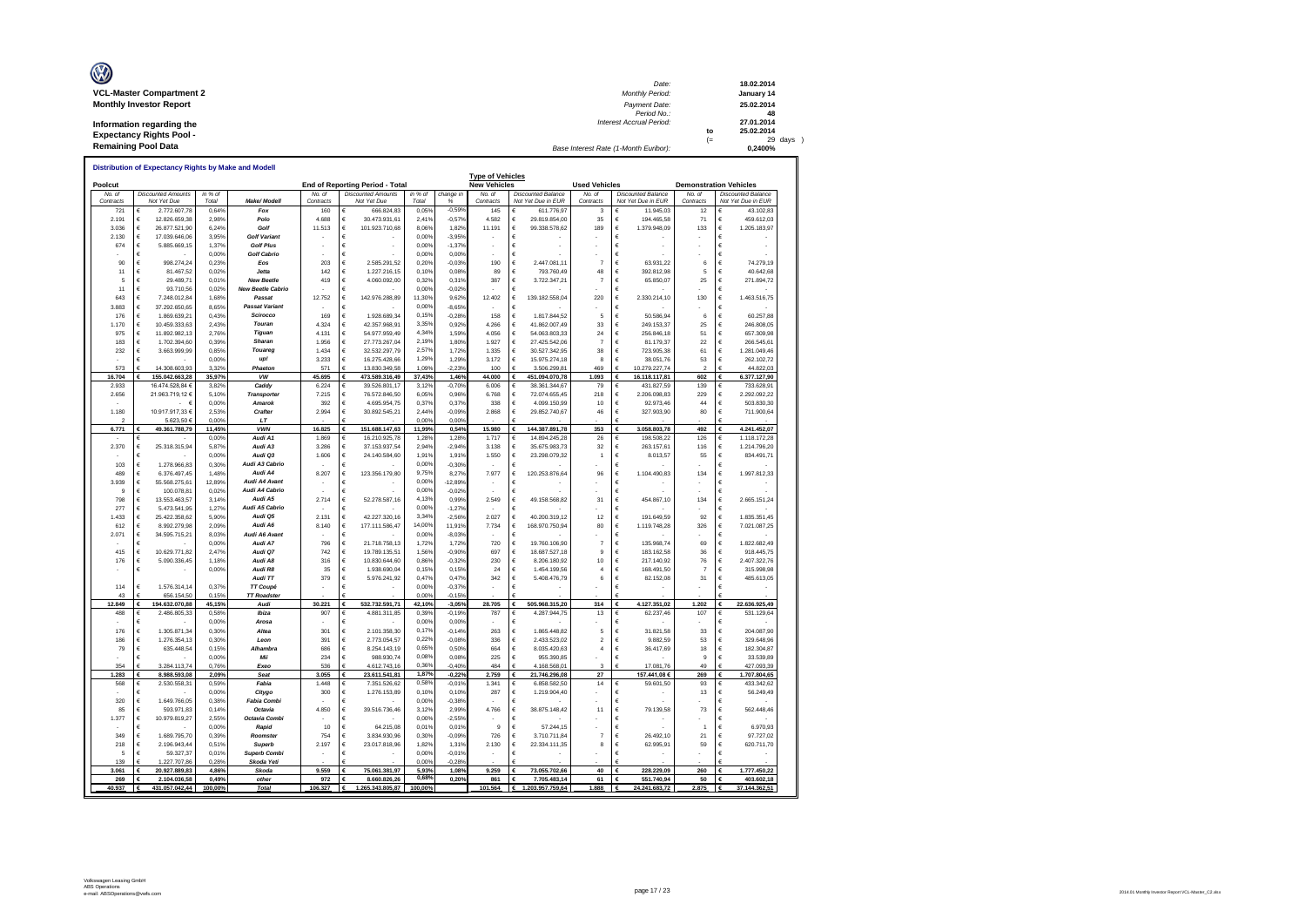| O                               | Date:                                 |      | 18.02.2014 |
|---------------------------------|---------------------------------------|------|------------|
| <b>VCL-Master Compartment 2</b> | <b>Monthly Period:</b>                |      | January 14 |
| <b>Monthly Investor Report</b>  | Payment Date:                         |      | 25.02.2014 |
|                                 | Period No.:                           |      | 48         |
| Information regarding the       | Interest Accrual Period:              |      | 27.01.2014 |
| <b>Expectancy Rights Pool -</b> |                                       | to   | 25.02.2014 |
|                                 |                                       | $(=$ | 29 days    |
| <b>Remaining Pool Data</b>      | Base Interest Rate (1-Month Euribor): |      | 0.2400%    |

|                     | Distribution of Expectancy Rights by Make and Modell |                  |                             |                     |                                          |                  |                     | <b>Type of Vehicles</b> |                                                 |                      |                                                 |                     |                                                 |
|---------------------|------------------------------------------------------|------------------|-----------------------------|---------------------|------------------------------------------|------------------|---------------------|-------------------------|-------------------------------------------------|----------------------|-------------------------------------------------|---------------------|-------------------------------------------------|
| Poolcut             |                                                      |                  |                             |                     | End of Reporting Period - Total          |                  |                     | <b>New Vehicles</b>     |                                                 | <b>Used Vehicles</b> |                                                 |                     | <b>Demonstration Vehicles</b>                   |
| No. of<br>Contracts | <b>Discounted Amounts</b><br>Not Yet Due             | in % of<br>Total | Make/ Modell                | No. at<br>Contracts | <b>Discounted Amounts</b><br>Not Yet Due | in % of<br>Total | change in<br>%      | No. of<br>Contracts     | <b>Discounted Balance</b><br>Not Yet Due in EUR | No. of<br>Contracts  | <b>Discounted Balance</b><br>Not Yet Due in EUR | No. of<br>Contracts | <b>Discounted Balance</b><br>Not Yet Due in EUR |
| 721                 | 2.772.607,78                                         | 0,64%            | Fox                         | 160                 | 666.824.83                               | 0,05%            | $-0,599$            | 145                     | 611.776,97                                      | 3                    | 11.945,03<br>€                                  | 12                  | 43.102.83                                       |
| 2.191               | €<br>12.826.659.38                                   | 2.98%            | Polo                        | 4.688               | €<br>30.473.931,61                       | 2,419            | $-0.579$            | 4.582                   | €<br>29.819.854.00                              | 35                   | €<br>194,465.58                                 | 71                  | €<br>459.612,03                                 |
| 3.036               | €<br>26.877.521,90                                   | 6,24%            | Golf                        | 11.513              | €<br>101.923.710,68                      | 8.06%            | 1,82%               | 11.191                  | €<br>99.338.578,62                              | 189                  | €<br>1.379.948,09                               | 133                 | $\epsilon$<br>1.205.183,97                      |
| 2.130               | 17.039.646.06<br>€                                   | 3.95%            | <b>Golf Variant</b>         |                     | €                                        | 0.00%            | $-3.95%$            |                         | €                                               |                      | €                                               |                     | $\epsilon$                                      |
| 674                 | 5.885.669,15<br>€                                    | 1.379            | <b>Golf Plus</b>            |                     | €                                        | 0,00%            | $-1.379$            |                         | €                                               |                      | €                                               |                     | $\epsilon$                                      |
|                     | €                                                    | 0,00%            | <b>Golf Cabrio</b>          |                     | €                                        | 0,00%            | 0,00%               |                         | €                                               |                      | €                                               |                     | $\epsilon$                                      |
| 90                  | €<br>998.274.24                                      | 0,239            | Eos                         | 203                 | €<br>2.585.291.52                        | 0,20%            | $-0.039$            | 190                     | €<br>2.447.081.11                               | $\overline{7}$       | €<br>63.931.22                                  | 6                   | €<br>74.279.19                                  |
| 11                  | €<br>81.467,52                                       | 0,029            | Jetta                       | 142                 | €<br>1.227.216,15                        | 0,10%            | 0,08%               | 89                      | €<br>793.760,49                                 | 48                   | €<br>392.812,98                                 | 5                   | €<br>40.642,68                                  |
| 5                   | 29.489,71<br>€                                       | 0.01%            | <b>New Beetle</b>           | 419                 | 4.060.092,00<br>€                        | 0,32%            | 0.319               | 387                     | €<br>3.722.347,21                               | 7                    | 65.850,07<br>€                                  | 25                  | €<br>271.894,72                                 |
| 11                  | €<br>93.710,56                                       | 0,029            | <b>New Beetle Cabric</b>    |                     |                                          | 0,00%            | $-0,029$            |                         | €                                               |                      | €                                               |                     | $\epsilon$                                      |
| 643                 | €<br>7.248.012,84                                    | 1,68%            | Passat                      | 12.752              | 142.976.288,89<br>€                      | 11,30%           | 9,62%               | 12.402                  | 139.182.558,04<br>€                             | 220                  | 2.330.214,10<br>€                               | 130                 | $\epsilon$<br>1.463.516,75                      |
| 3.883               | €<br>37.292.650,65                                   | 8,65%            | <b>Passat Variant</b>       |                     | €                                        | 0.00%            | $-8,65%$            |                         | €                                               |                      | €                                               |                     | $\epsilon$                                      |
| 176                 | €<br>1.869.639,21                                    | 0,43%            | Scirocco                    | 169                 | €<br>1.928.689,34                        | 0,15%            | $-0,289$            | 158                     | €<br>1.817.844,52                               | 5                    | €<br>50.586,94                                  | 6                   | €<br>60.257,88                                  |
| 1.170               | €<br>10.459.333,63                                   | 2,43%            | Touran                      | 4.324               | 42.357.968,91<br>€                       | 3,35%            | 0,92%               | 4.266                   | 41.862.007,49<br>€                              | 33                   | 249.153,37<br>€                                 | 25                  | €<br>246.808,05                                 |
| 975                 | €<br>11.892.982.13                                   | 2.76%            | <b>Tiguan</b>               | 4.131               | €<br>54.977.959,49                       | 4,34%            | 1.59%               | 4.056                   | €<br>54.063.803.33                              | 24                   | €<br>256.846.18                                 | 51                  | €<br>657,309.98                                 |
| 183                 | €<br>1.702.394,60                                    | 0,39%            | Sharan                      | 1.956               | €<br>27.773.267,04                       | 2,19%            | 1,80%               | 1.927                   | €<br>27.425.542,06                              | $\overline{7}$       | €<br>81.179,37                                  | 22                  | $\epsilon$<br>266.545,61                        |
| 232                 | 3.663.999,99<br>€                                    | 0,85%            | Touareg                     | 1.434               | €<br>32.532.297,79                       | 2.57%            | 1,729               | 1.335                   | 30.527.342,95<br>€                              | 38                   | 723.905,38<br>€                                 | 61                  | 1.281.049,46<br>€                               |
|                     | €                                                    | 0.00%            | up!                         | 3.233               | 16.275.428,66<br>€                       | 1,29%            | 1,29%               | 3 172                   | 15.975.274,18<br>$\epsilon$                     | 8                    | 38.051,76<br>€                                  | 53                  | $\epsilon$<br>262.102,72                        |
| 573                 | 14.308.603.93<br>£                                   | 3.32%            | Phaeton<br>VW               | 571                 | 13.830.349,58                            | 1,09%<br>37.43%  | $-2.239$            | 100                     | 3.506.299.81                                    | 469                  | 10.279.227,74                                   |                     | 44 822 03<br>€                                  |
| 16.704              | 155.042.663,28                                       | 35,97%           |                             | 45.695              | 473.589.316,49<br>€                      |                  | 1,46%               | 44.000                  | 451.094.070,78<br>€                             | 1.093                | €<br>16.118.117,81                              | 602                 | €<br>6.377.127,90                               |
| 2.933<br>2.656      | 16.474.528,84 €<br>21.963.719,12 €                   | 3,829<br>5.10%   | Caddy<br><b>Transporter</b> | 6.224<br>7.215      | 39.526.801,17<br>76.572.846,50<br>€      | 3,12%<br>6,05%   | $-0,70%$<br>0,96%   | 6.006<br>6.768          | €<br>38.361.344,67<br>€<br>72.074.655,45        | 79<br>218            | €<br>431.827,59<br>2.206.098,83<br>€            | 139<br>229          | €<br>733.628,91<br>2.292.092,22<br>€            |
|                     | €                                                    | 0.00%            | Amarok                      | 392                 | €<br>4.695.954.75                        | 0,379            | 0.379               | 338                     | €<br>4.099.150.99                               | 10                   | €<br>92.973.46                                  | 44                  | €<br>503.830.30                                 |
| 1.180               | 10.917.917,33 €                                      | 2,53%            | Crafter                     | 2.994               | €<br>30.892.545,21                       | 2,44%            | $-0,09%$            | 2.868                   | €<br>29.852.740,67                              | 46                   | €<br>327.903,90                                 | 80                  | $\epsilon$<br>711.900,64                        |
| $\mathcal{P}$       | 5.623.50 €                                           | 0.00%            | LT                          |                     |                                          | 0.00%            | 0.00%               |                         |                                                 |                      |                                                 |                     |                                                 |
| 6.771               | 49.361.788,79                                        | 11,45%           | <b>VWN</b>                  | 16.825              | 151.688.147.63                           | 11,99%           | 0.54%               | 15.980                  | 144.387.891,78                                  | 353                  | 3.058.803.78<br>€                               | 492                 | 4.241.452.07                                    |
|                     |                                                      | 0.00%            | Audi A1                     | 1.869               | 16.210.925.78                            | 1,28%            | 1,28%               | 1.717                   | 14.894.245.28                                   | 26                   | €<br>198,508.22                                 | 126                 | €<br>1.118.172.28                               |
| 2.370               | €<br>25.318.315,94                                   | 5,87%            | Audi A3                     | 3.286               | €<br>37.153.937,54                       | 2.94%            | $-2.949$            | 3.138                   | €<br>35.675.983.73                              | 32                   | €<br>263.157,61                                 | 116                 | €<br>1.214.796,20                               |
|                     | €                                                    | 0,00%            | Audi Q3                     | 1.606               | €<br>24.140.584,60                       | 1,91%            | 1,91%               | 1.550                   | €<br>23.298.079,32                              | $\overline{1}$       | €<br>8.013,57                                   | 55                  | €<br>834.491,71                                 |
| 103                 | 1.278.966,83<br>€                                    | 0.30%            | Audi A3 Cabrio              |                     | €                                        | 0,00%            | $-0.30%$            |                         |                                                 |                      | €                                               |                     | €                                               |
| 489                 | €<br>6 376 497 45                                    | 1.48%            | Audi A4                     | 8.207               | 123.356.179.80<br>€                      | 9,75%            | 8.27%               | 7977                    | 120.253.876.64<br>€                             | 96                   | 1 104 490 83<br>€                               | 134                 | $\epsilon$<br>1 997 812 33                      |
| 3 9 3 9             | 55.568.275,61<br>€                                   | 12,89%           | Audi A4 Avant               |                     | €                                        | 0,00%            | $-12.899$           |                         | €                                               |                      | €                                               |                     | €                                               |
| $\circ$             | €<br>100.078.81                                      | 0.02%            | Audi A4 Cabrio              |                     | €                                        | 0.00%            | $-0.029$            |                         | €                                               |                      | €                                               |                     | $\epsilon$                                      |
| 798                 | €<br>13.553.463,57                                   | 3,149            | Audi A5                     | 2.714               | €<br>52.278.587,16                       | 4,13%            | 0,99%               | 2.549                   | €<br>49.158.568,82                              | 31                   | €<br>454.867,10                                 | 134                 | €<br>2.665.151,24                               |
| 277                 | €<br>5.473.541,95                                    | 1,279            | Audi A5 Cabrio              |                     |                                          | 0,00%            | $-1,279$            |                         | €                                               |                      | €                                               |                     | $\epsilon$                                      |
| 1.433               | €<br>25.422.358,62                                   | 5.90%            | Audi Q5                     | 2.131               | 42.227.320,16<br>€                       | 3,34%            | $-2,569$            | 2.027                   | 40.200.319,12<br>€                              | 12                   | 191.649,59<br>€                                 | 92                  | 1.835.351,45<br>€                               |
| 612                 | €<br>8.992.279,98<br>€                               | 2,09%            | Audi A6<br>Audi A6 Avant    | 8 140               | €<br>177.111.586,47                      | 14,00%<br>0,00%  | 11,91%              | 7.734                   | €<br>168.970.750,94                             | 80                   | €<br>1.119.748,28<br>€                          | 326                 | $\epsilon$<br>7.021.087,25<br>$\epsilon$        |
| 2.071               | 34.595.715,21<br>€                                   | 8,03%<br>0.00%   | Audi A7                     | 796                 | €<br>21 718 758 13<br>€                  | 1,72%            | $-8,03%$<br>1 7 2 9 | 720                     | €<br>19,760,106.90<br>€                         | 7                    | €<br>135 968 74                                 | 69                  | $\epsilon$<br>182268249                         |
| 415                 | €<br>10.629.771.82                                   | 2.47%            | Audi Q7                     | 742                 | 19.789.135.51<br>€                       | 1,56%            | $-0,90%$            | 697                     | $\epsilon$<br>18,687,527,18                     | $\mathbf{Q}$         | €<br>183.162.58                                 | 36                  | $\epsilon$<br>918,445.75                        |
| 176                 | €<br>5.090.336,45                                    | 1,18%            | Audi A8                     | 316                 | €<br>10.830.644,60                       | 0.86%            | $-0.329$            | 230                     | $\epsilon$<br>8.206.180,92                      | 10                   | €<br>217.140,92                                 | 76                  | €<br>2.407.322,76                               |
|                     | €                                                    | 0,00%            | Audi R8                     | 35                  | €<br>1.938.690,04                        | 0.15%            | 0,15%               | 24                      | €<br>1.454.199,56                               | $\ddot{4}$           | €<br>168.491,50                                 | 7                   | €<br>315.998,98                                 |
|                     |                                                      |                  | Audi TT                     | 379                 | €<br>5.976.241,92                        | 0,47%            | 0,47%               | 342                     | €<br>5.408.476,79                               | 6                    | 82.152,08<br>€                                  | 31                  | €<br>485.613,05                                 |
| 114                 | 1.576.314,14<br>€                                    | 0.37%            | TT Coupé                    |                     | €                                        | 0,00%            | $-0.37$             |                         | €                                               |                      | €                                               |                     | €                                               |
| 43                  | 656.154,50                                           | 0,15%            | <b>TT Roadster</b>          |                     |                                          | 0,00%            | $-0.159$            |                         |                                                 |                      |                                                 |                     |                                                 |
| 12.849              | €<br>194.632.070,88                                  | 45,15%           | Audi                        | 30.221              | €<br>532.732.591,71                      | 42,10%           | $-3,05%$            | 28.705                  | 505.968.315,20<br>€                             | 314                  | €<br>4.127.351,02                               | 1.202               | €<br>22.636.925,49                              |
| 488                 | 2.486.805,33<br>€                                    | 0.58%            | Ibiza                       | 907                 | 4.881.311,85<br>€                        | 0.39%            | $-0.199$            | 787                     | 4.287.944,75<br>€                               | 13                   | €<br>62.237.46                                  | 107                 | 531.129,64<br>$\epsilon$                        |
|                     | €                                                    | 0,00%            | Arosa                       |                     | €                                        | 0,00%            | 0,00%               |                         | €                                               |                      | €                                               |                     | $\epsilon$                                      |
| 176                 | €<br>1.305.871,34                                    | 0,30%            | Altea                       | 301                 | €<br>2.101.358,30                        | 0,179            | $-0.149$            | 263                     | $\epsilon$<br>1.865.448,82                      | 5                    | €<br>31.821,58                                  | 33                  | €<br>204.087,90                                 |
| 186                 | €<br>1.276.354,13                                    | 0,30%            | Leon                        | 391                 | €<br>2.773.054,57                        | 0,229            | $-0,089$            | 336                     | €<br>2.433.523,02                               | $\overline{a}$       | €<br>9.882,59                                   | 53                  | €<br>329.648,96                                 |
| 79                  | €<br>635.448,54                                      | 0,15%            | Alhambra                    | 686                 | €<br>8.254.143,19                        | 0,65%            | 0,50%               | 664                     | $\epsilon$<br>8.035.420,63                      | $\overline{4}$       | €<br>36.417,69                                  | 18                  | $\epsilon$<br>182.304,87                        |
|                     | €                                                    | 0.00%            | Mii                         | 234                 | €<br>988.930.74                          | 0.08%            | 0.08%               | 225                     | €<br>955.390.85                                 |                      | €                                               | $\overline{9}$      | €<br>33,539.89                                  |
| 354                 | 3 284 113 74<br>€                                    | 0.76%            | Exen                        | 536                 | 4 612 743 16                             | 0,36%<br>1.87%   | $-0.40%$            | 484                     | 4 168 568 01                                    | 3<br>$\overline{27}$ | 17 081 76                                       | 49                  | 427 093 39                                      |
| 1.283<br>568        | 8.988.593,08<br>€<br>2.530.558.31                    | 2,09%            | Seat<br>Fabia               | 3.055<br>1.448      | 23.611.541,81<br>€                       | 0.58%            | $-0,22%$            | 2.759                   | 21.746.296,08<br>€<br>€                         |                      | 157.441.08 €<br>59.601,50<br>€                  | 269<br>93           | 1.707.804,65<br>€<br>€<br>433.342.62            |
|                     | €                                                    | 0,59%<br>0,00%   | Citygo                      | 300                 | 7.351.526,62<br>1.276.153,89<br>€        | 0,10%            | $-0,01%$<br>0,10%   | 1.341<br>287            | 6.858.582,50<br>1.219.904,40<br>€               | 14                   | €                                               | 13                  | €<br>56.249,49                                  |
| 320                 | 1.649.766,05<br>€                                    | 0.38%            | <b>Fabia Combi</b>          |                     |                                          | 0,00%            | $-0.389$            |                         |                                                 |                      | €                                               |                     | €                                               |
| 85                  | €<br>593.971,83                                      | 0,14%            | Octavia                     | 4.850               | €<br>39.516.736,46                       | 3,12%            | 2,99%               | 4.766                   | €<br>38.875.148,42                              | 11                   | €<br>79.139,58                                  | 73                  | $\epsilon$<br>562.448,46                        |
| 1.377               | 10.979.819,27<br>€                                   | 2,55%            | Octavia Combi               |                     | €                                        | 0,00%            | $-2,55%$            |                         | €                                               |                      | €                                               |                     | $\epsilon$                                      |
|                     | €                                                    | 0.00%            | Rapid                       | 10                  | €<br>64 215 08                           | 0,01%            | 0.01%               | $\mathbf{Q}$            | €<br>57 244 15                                  |                      | €                                               | 1                   | $\epsilon$<br>6.970.93                          |
| 349                 | €<br>1.689.795,70                                    | 0.39%            | Roomster                    | 754                 | €<br>3.834.930.96                        | 0,30%            | $-0.09%$            | 726                     | $\epsilon$<br>3.710.711.84                      | 7                    | €<br>26.492.10                                  | 21                  | €<br>97.727,02                                  |
| 218                 | €<br>2.196.943.44                                    | 0.51%            | Superb                      | 2.197               | €<br>23.017.818,96                       | 1,82%            | 1,319               | 2.130                   | $\epsilon$<br>22.334.111,35                     | 8                    | 62.995,91<br>€                                  | 59                  | €<br>620.711,70                                 |
| 5                   | €<br>59.327,37                                       | 0,01%            | <b>Superb Combi</b>         |                     | €                                        | 0,00%            | $-0,019$            |                         | €                                               |                      | €                                               |                     | $\epsilon$                                      |
| 139                 | 1.227.707,86                                         | 0,28%            | Skoda Yeti                  |                     |                                          | 0,00%            | $-0,289$            |                         |                                                 |                      |                                                 |                     |                                                 |
| 3.061               | 20.927.889,83<br>€                                   | 4,86%            | Skoda                       | 9.559               | 75.061.381,97                            | 5,93%            | 1,08%               | 9.259                   | 73.055.702,66<br>€                              | 40                   | €<br>228.229,09                                 | 260                 | 1.777.450,22                                    |
| 269                 | €<br>2.104.036,58                                    | 0.49%            | othe                        | 972                 | 8.660.826,26<br>€                        | 0.68%            | 0,20%               | 861                     | 7.705.483,14<br>€                               | 61                   | 551.740,94<br>€                                 | 50                  | €<br>403.602,18                                 |
| 40.937              | 431.057.042,44                                       | 100.00%          | <b>Total</b>                | 106.327             | 1.265.343.805.87                         | 100.00%          |                     | 101.564                 | 1.203.957.759,64                                | 1.888                | 24.241.683,72                                   | 2.875               | 37.144.362.5                                    |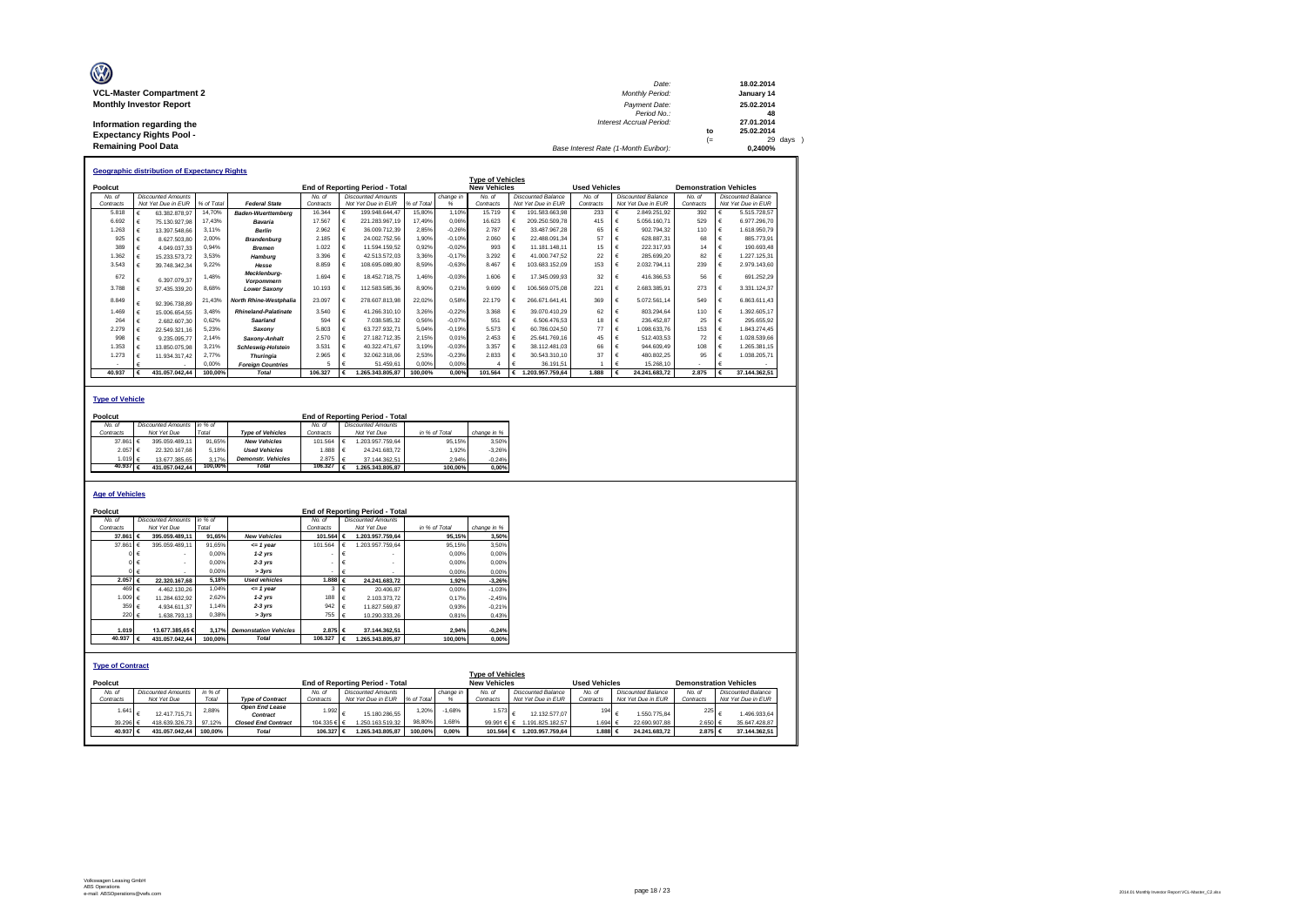| O                               | Date:                                 |      | 18.02.2014 |
|---------------------------------|---------------------------------------|------|------------|
| <b>VCL-Master Compartment 2</b> | <b>Monthly Period:</b>                |      | January 14 |
| <b>Monthly Investor Report</b>  | Payment Date:                         |      | 25.02.2014 |
|                                 | Period No.:                           |      | 48         |
| Information regarding the       | Interest Accrual Period:              |      | 27.01.2014 |
| <b>Expectancy Rights Pool -</b> |                                       | to   | 25.02.2014 |
|                                 |                                       | $(=$ | $29$ days  |
| <b>Remaining Pool Data</b>      | Base Interest Rate (1-Month Euribor): |      | 0.2400%    |

|           |   | <b>Geographic distribution of Expectancy Rights</b> |            |                             |           |   |                                        |            |           |                         |   |                           |                      |            |                           |                               |   |                           |
|-----------|---|-----------------------------------------------------|------------|-----------------------------|-----------|---|----------------------------------------|------------|-----------|-------------------------|---|---------------------------|----------------------|------------|---------------------------|-------------------------------|---|---------------------------|
|           |   |                                                     |            |                             |           |   |                                        |            |           | <b>Type of Vehicles</b> |   |                           |                      |            |                           |                               |   |                           |
| Poolcut   |   |                                                     |            |                             |           |   | <b>End of Reporting Period - Total</b> |            |           | <b>New Vehicles</b>     |   |                           | <b>Used Vehicles</b> |            |                           | <b>Demonstration Vehicles</b> |   |                           |
| No. of    |   | <b>Discounted Amounts</b>                           |            |                             | No. of    |   | <b>Discounted Amounts</b>              |            | change in | No. of                  |   | <b>Discounted Balance</b> | No. of               |            | <b>Discounted Balance</b> | No. of                        |   | <b>Discounted Balance</b> |
| Contracts |   | Not Yet Due in EUR                                  | % of Total | <b>Federal State</b>        | Contracts |   | Not Yet Due in EUR                     | % of Total |           | Contracts               |   | Not Yet Due in EUR        | Contracts            |            | Not Yet Due in EUR        | Contracts                     |   | Not Yet Due in EUR        |
| 5.818     |   | 63.382.878.97                                       | 14.70%     | <b>Baden-Wuerttemberg</b>   | 16,344    |   | 199.948.644.47                         | 15.80%     | 1.10%     | 15.719                  |   | 191.583.663.98            | 233                  |            | 2.849.251.92              | 392                           |   | 5.515.728.57              |
| 6.692     |   | 75.130.927.98                                       | 17.43%     | Bavaria                     | 17,567    |   | 221.283.967.19                         | 17.49%     | 0,06%     | 16.623                  |   | 209.250.509.78            | 415                  |            | 5.056.160.71              | 529                           |   | 6.977.296,70              |
| 1.263     |   | 13.397.548.66                                       | 3.11%      | <b>Berlin</b>               | 2.962     |   | 36.009.712.39                          | 2.85%      | $-0.26%$  | 2.787                   |   | 33.487.967.28             | 65                   |            | 902.794.32                | 110                           |   | 1.618.950.79              |
| 925       |   | 8.627.503.80                                        | 2.00%      | <b>Brandenburg</b>          | 2.185     |   | 24.002.752.56                          | 1.90%      | $-0.10%$  | 2.060                   |   | 22.488.091.34             | 57                   |            | 628.887.31                | 68                            |   | 885,773.91                |
| 389       |   | 4.049.037.33                                        | 0.94%      | <b>Bremen</b>               | 1.022     |   | 11.594.159.52                          | 0.92%      | $-0.02%$  | 993                     |   | 11.181.148.11             | 15                   |            | 222.317.93                | 14                            |   | 190.693.48                |
| 1.362     |   | 15.233.573.72                                       | 3.53%      | Hamburg                     | 3.396     |   | 42.513.572.03                          | 3.36%      | $-0.17%$  | 3.292                   |   | 41.000.747.52             | 22                   |            | 285.699.20                | 82                            |   | 1.227.125.31              |
| 3.543     |   | 39.748.342.34                                       | 9.22%      | Hesse                       | 8.859     | € | 108.695.089.80                         | 8.59%      | $-0,63%$  | 8.467                   |   | 103.683.152.09            | 153                  |            | 2.032.794.11              | 239                           |   | 2.979.143.60              |
| 672       |   | 6.397.079.37                                        | 1.48%      | Mecklenburg-<br>Vorpommern  | 1.694     | € | 18.452.718.75                          | 1.46%      | $-0.03%$  | 1.606                   | € | 17.345.099.93             | 32                   |            | 416.366.53                | 56                            |   | 691.252.29                |
| 3.788     |   | 37.435.339,20                                       | 8.68%      | <b>Lower Saxony</b>         | 10.193    | € | 112.583.585.36                         | 8.90%      | 0.21%     | 9.699                   | € | 106.569.075.08            | 221                  | €          | 2.683.385.91              | 273                           |   | 3.331.124.37              |
| 8.849     |   | 92.396.738.89                                       | 21,43%     | North Rhine-Westphalia      | 23.097    | € | 278.607.813.98                         | 22.02%     | 0.58%     | 22.179                  |   | 266.671.641.41            | 369                  |            | 5.072.561.14              | 549                           |   | 6.863.611.43              |
| 1.469     |   | 15.006.654.55                                       | 3.48%      | <b>Rhineland-Palatinate</b> | 3,540     |   | 41.266.310.10                          | 3.26%      | $-0.22%$  | 3.368                   |   | 39.070.410.29             | 62                   |            | 803.294.64                | 110                           |   | 1.392.605.17              |
| 264       |   | 2.682.607.30                                        | 0.62%      | Saarland                    | 594       |   | 7.038.585.32                           | 0.56%      | $-0.07%$  | 551                     |   | 6.506.476.53              | 18                   |            | 236.452.87                | 25                            |   | 295.655.92                |
| 2.279     |   | 22.549.321.16                                       | 5.23%      | Saxony                      | 5.803     |   | 63.727.932.71                          | 5.04%      | $-0,19%$  | 5.573                   |   | 60,786,024.50             | 77                   |            | 1.098.633.76              | 153                           |   | 1.843.274.45              |
| 998       |   | 9.235.095.77                                        | 2.14%      | Saxony-Anhalt               | 2.570     |   | 27.182.712.35                          | 2.15%      | 0.01%     | 2.453                   |   | 25.641.769.16             | 45                   |            | 512.403.53                | 72                            |   | 1.028.539.66              |
| 1.353     |   | 13.850.075.98                                       | 3.21%      | <b>Schleswig-Holstein</b>   | 3.531     |   | 40.322.471.67                          | 3.19%      | $-0,03%$  | 3.357                   |   | 38.112.481.03             | 66                   |            | 944.609.49                | 108                           |   | 1.265.381.15              |
| 1.273     |   | 11.934.317.42                                       | 2.77%      | <b>Thuringia</b>            | 2.965     |   | 32.062.318.06                          | 2.53%      | $-0,23%$  | 2.833                   |   | 30.543.310.10             | 37                   |            | 480.802.25                | 95                            |   | 1.038.205.71              |
|           |   |                                                     | 0,00%      | <b>Foreian Countries</b>    |           |   | 51.459.61                              | 0.00%      | 0.00%     |                         |   | 36.191.51                 |                      |            | 15,268.10                 |                               |   |                           |
| 40.937    | € | 431.057.042.44                                      | 100.00%    | Total                       | 106.327   | € | .265.343.805.87                        | 100.00%    | 0.00%     | 101.564                 | € | 1.203.957.759.64          | 1.888                | $\epsilon$ | 24.241.683.72             | 2.875                         | € | 37.144.362.51             |

### **Type of Vehicle**

| Poolcut              |   |                           |         |                           |           | <b>End of Reporting Period - Total</b> |               |             |
|----------------------|---|---------------------------|---------|---------------------------|-----------|----------------------------------------|---------------|-------------|
| No. of               |   | <b>Discounted Amounts</b> | in %    |                           | No. of    | Discounted Amounts                     |               |             |
| Contracts            |   | Not Yet Due               | Total   | <b>Type of Vehicles</b>   | Contracts | Not Yet Due                            | in % of Total | change in % |
| 37,861               | € | 395.059.489.11            | 91.65%  | <b>New Vehicles</b>       | 101.564   | .203.957.759.64                        | 95.15%        | 3.50%       |
| 2.057                | € | 22.320.167.68             | 5.18%   | <b>Used Vehicles</b>      | 1.888     | 24.241.683.72                          | 1.92%         | $-3.26%$    |
| 1.019 €              |   | 13 677 385 65             | 3.17%   | <b>Demonstr.</b> Vehicles | 2.875  €  | 37.144.362.51                          | 2.94%         | $-0.24%$    |
| 40.937 $\varepsilon$ |   | 431.057.042.44            | 100.00% | Total                     | 106.327   | .265.343.805.87                        | 100.00%       | 0.00%       |
|                      |   |                           |         |                           |           |                                        |               |             |

### **Age of Vehicles**

| Poolcut                 |          |                           |                 |          |                                   |                |            | <b>End of Reporting Period - Total</b> |            |               |                         |                           |                      |            |                           |                               |                           |
|-------------------------|----------|---------------------------|-----------------|----------|-----------------------------------|----------------|------------|----------------------------------------|------------|---------------|-------------------------|---------------------------|----------------------|------------|---------------------------|-------------------------------|---------------------------|
| No. of                  |          | <b>Discounted Amounts</b> |                 | lin % of |                                   | No. of         |            | <b>Discounted Amounts</b>              |            |               |                         |                           |                      |            |                           |                               |                           |
| Contracts               |          |                           | Not Yet Due     | Total    |                                   | Contracts      |            | Not Yet Due                            |            | in % of Total | change in %             |                           |                      |            |                           |                               |                           |
|                         | 37,861 € |                           | 395.059.489.11  | 91.65%   | <b>New Vehicles</b>               | 101.564        | €          | 1.203.957.759.64                       |            | 95.15%        | 3,50%                   |                           |                      |            |                           |                               |                           |
|                         | 37,861   | €                         | 395.059.489.11  | 91.65%   | $= 1$ year                        | 101.564        |            | 1.203.957.759.64                       |            | 95.15%        | 3.50%                   |                           |                      |            |                           |                               |                           |
|                         |          | €                         |                 | 0.00%    | $1-2$ yrs                         |                | €          |                                        |            | 0.00%         | 0,00%                   |                           |                      |            |                           |                               |                           |
|                         |          | €                         |                 | 0.00%    | $2-3$ yrs                         |                | €          |                                        |            | 0.00%         | 0,00%                   |                           |                      |            |                           |                               |                           |
|                         |          | $0 \in$                   |                 | 0.00%    | > 3yrs                            |                | €          |                                        |            | 0.00%         | 0.00%                   |                           |                      |            |                           |                               |                           |
|                         | 2.057 €  |                           | 22.320.167.68   | 5.18%    | <b>Used vehicles</b>              | 1.888 €        |            | 24.241.683.72                          |            | 1,92%         | $-3,26%$                |                           |                      |            |                           |                               |                           |
|                         | 469 $65$ |                           | 4.462.130.26    | 1,04%    | $= 1$ year                        | 3              | $\epsilon$ | 20.406,87                              |            | 0,00%         | $-1,03%$                |                           |                      |            |                           |                               |                           |
|                         | 1.009 €  |                           | 11.284.632.92   | 2,62%    | $1-2$ yrs                         | 188            | €          | 2.103.373.72                           |            | 0,17%         | $-2,45%$                |                           |                      |            |                           |                               |                           |
|                         | 359 €    |                           | 4.934.611.37    | 1,14%    | $2-3$ yrs                         | 942 $\epsilon$ |            | 11.827.569.87                          |            | 0.93%         | $-0,21%$                |                           |                      |            |                           |                               |                           |
|                         | 220 €    |                           | 1.638.793,13    | 0,38%    | > 3yrs                            | 755            |            | 10.290.333,26                          |            | 0,81%         | 0,43%                   |                           |                      |            |                           |                               |                           |
|                         | 1.019    |                           | 13.677.385.65 € | 3.17%    | <b>Demonstation Vehicles</b>      | 2.875 €        |            | 37.144.362.51                          |            | 2,94%         | $-0,24%$                |                           |                      |            |                           |                               |                           |
|                         | 40.937   |                           | 431.057.042,44  | 100.00%  | <b>Total</b>                      | 106.327        |            | 1.265.343.805,87                       |            | 100.00%       | 0,00%                   |                           |                      |            |                           |                               |                           |
|                         |          |                           |                 |          |                                   |                |            |                                        |            |               |                         |                           |                      |            |                           |                               |                           |
| <b>Type of Contract</b> |          |                           |                 |          |                                   |                |            |                                        |            |               | <b>Type of Vehicles</b> |                           |                      |            |                           |                               |                           |
| Poolcut                 |          |                           |                 |          |                                   |                |            | <b>End of Reporting Period - Total</b> |            |               | <b>New Vehicles</b>     |                           | <b>Used Vehicles</b> |            |                           | <b>Demonstration Vehicles</b> |                           |
| No. of                  |          | <b>Discounted Amounts</b> |                 | in % of  |                                   | No. of         |            | <b>Discounted Amounts</b>              |            | change in     | No. of                  | <b>Discounted Balance</b> | No. of               |            | <b>Discounted Balance</b> | No. of                        | <b>Discounted Balance</b> |
| Contracts               |          | Not Yet Due               |                 | Total    | <b>Type of Contract</b>           | Contracts      |            | Not Yet Due in EUR                     | % of Total | %             | Contracts               | Not Yet Due in EUR        | Contracts            |            | Not Yet Due in EUR        | Contracts                     | Not Yet Due in EUR        |
|                         | 1.641    |                           | 12.417.715.71   | 2,88%    | <b>Open End Lease</b><br>Contract | 1.992          |            | 15.180.286.55                          | 1,20%      | $-1,68%$      | 1.573                   | 12.132.577.07             | 194                  |            | 1.550.775.84              | 225                           | 1.496.933.64              |
|                         | 39.296 € |                           | 418.639.326.73  | 97.12%   | <b>Closed End Contract</b>        | 104.335 € €    |            | 1.250.163.519.32                       | 98,80%     | 1.68%         | 99.991 € €              | 1.191.825.182.57          | 1.694                | $\epsilon$ | 22.690.907.88             | 2.650 €                       | 35.647.428.87             |
|                         | 40.937 € |                           | 431.057.042,44  | 100.00%  | <b>Total</b>                      | 106.327 €      |            | 1.265.343.805,87                       | 100.00%    | 0.00%         | 101.564 €               | 1.203.957.759.64          | 1.888 €              |            | 24.241.683.72             | 2.875 €                       | 37.144.362,51             |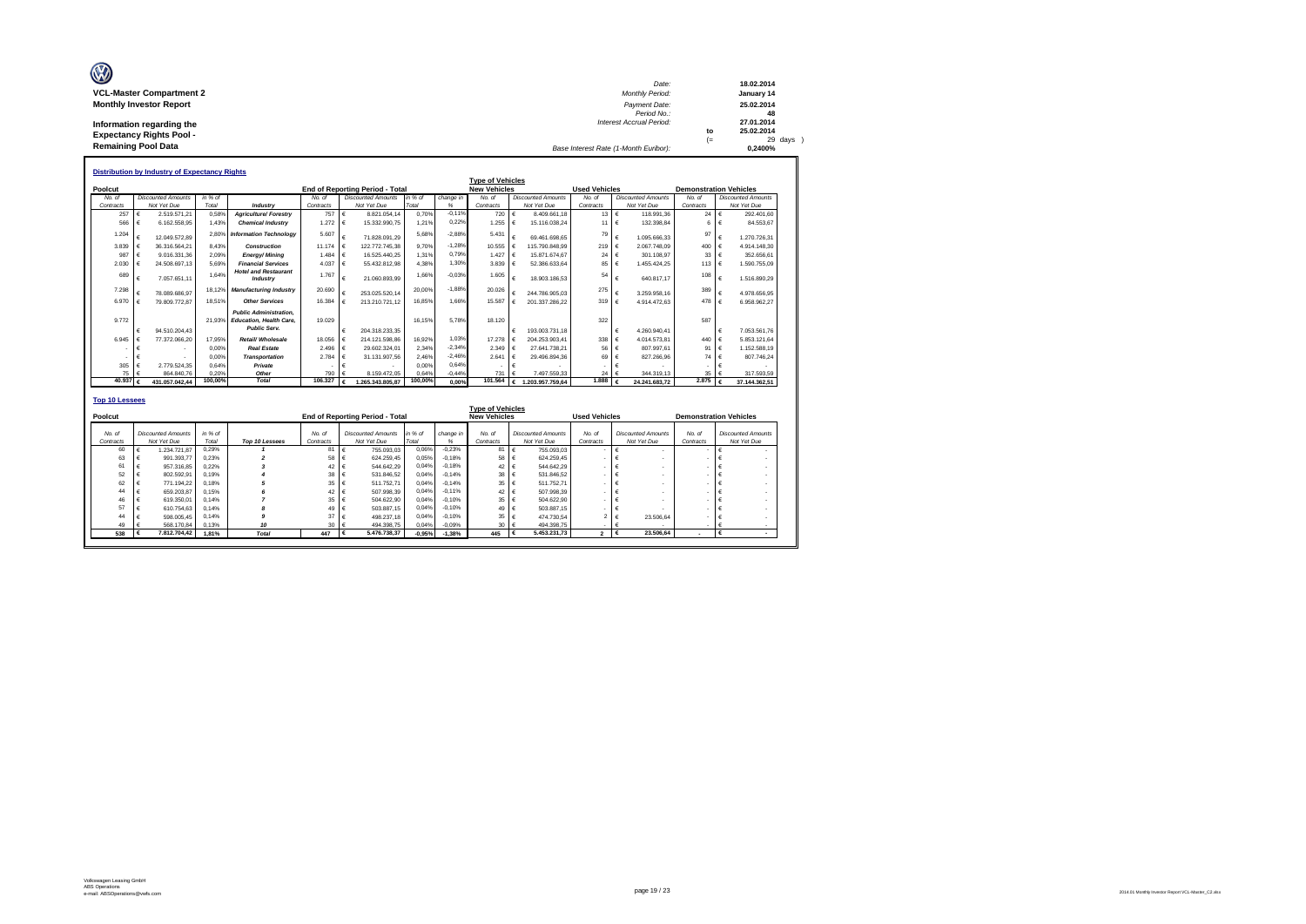| O                               | Date:                                 |      | 18.02.2014 |
|---------------------------------|---------------------------------------|------|------------|
| <b>VCL-Master Compartment 2</b> | <b>Monthly Period:</b>                |      | January 14 |
| <b>Monthly Investor Report</b>  | Payment Date:                         |      | 25.02.2014 |
|                                 | Period No.:                           |      | 48         |
| Information regarding the       | Interest Accrual Period:              |      | 27.01.2014 |
| <b>Expectancy Rights Pool -</b> |                                       | to   | 25.02.2014 |
|                                 |                                       | $(=$ | 29 days    |
| <b>Remaining Pool Data</b>      | Base Interest Rate (1-Month Euribor): |      | 0.2400%    |

|           |   | <b>Distribution by Industry of Expectancy Rights</b> |         |                                                                                        |           |            |                                        |         |           |                         |   |                           |                      |            |                           |                               |                           |
|-----------|---|------------------------------------------------------|---------|----------------------------------------------------------------------------------------|-----------|------------|----------------------------------------|---------|-----------|-------------------------|---|---------------------------|----------------------|------------|---------------------------|-------------------------------|---------------------------|
|           |   |                                                      |         |                                                                                        |           |            |                                        |         |           | <b>Type of Vehicles</b> |   |                           |                      |            |                           |                               |                           |
| Poolcut   |   |                                                      |         |                                                                                        |           |            | <b>End of Reporting Period - Total</b> |         |           | <b>New Vehicles</b>     |   |                           | <b>Used Vehicles</b> |            |                           | <b>Demonstration Vehicles</b> |                           |
| No. of    |   | <b>Discounted Amounts</b>                            | in % of |                                                                                        | No. of    |            | <b>Discounted Amounts</b>              | in % of | change in | No. of                  |   | <b>Discounted Amounts</b> | No. of               |            | <b>Discounted Amounts</b> | No. of                        | <b>Discounted Amounts</b> |
| Contracts |   | Not Yet Due                                          | Total   | Industry                                                                               | Contracts |            | Not Yet Due                            | Total   | %         | Contracts               |   | Not Yet Due               | Contracts            |            | Not Yet Due               | Contracts                     | Not Yet Due               |
| 257       |   | 2.519.571.21                                         | 0,58%   | <b>Agriculture/ Forestrv</b>                                                           | 757       | €          | 8.821.054.14                           | 0.70%   | $-0.11%$  | 720                     |   | 8.409.661.18              | 13                   | $\epsilon$ | 118,991.36                | 24                            | 292.401.60                |
| 566       |   | 6.162.558.95                                         | 1.43%   | <b>Chemical Industry</b>                                                               | 1.272     | €          | 15.332.990.75                          | 1.21%   | 0.22%     | 1.255                   |   | 15.116.038.24             | 11                   | €          | 132.398.84                |                               | 84.553.67                 |
| 1.204     |   | 12.049.572.89                                        | 2.80%   | <b>Information Technology</b>                                                          | 5.607     |            | 71.828.091.29                          | 5.68%   | $-2.88%$  | 5.431                   |   | 69.461.698.65             | 79                   |            | 1.095.666.33              | 97                            | 1.270.726.31              |
| 3.839     |   | 36.316.564.21                                        | 8.43%   | <b>Construction</b>                                                                    | 11.174    | ⊩ ∉        | 122.772.745.38                         | 9.70%   | $-1.28%$  | 10.555                  |   | 15.790.848.99             | 219                  |            | 2.067.748.09              | 400                           | 4.914.148.30              |
| 987       |   | 9.016.331.36                                         | 2.09%   | Eneray/Minina                                                                          | 1.484     | $\epsilon$ | 16.525.440.25                          | 1.31%   | 0.79%     | 1.427                   |   | 15.871.674.67             | 24                   |            | 301.108.97                | 33                            | 352,656.61                |
| 2.030     |   | 24.508.697.13                                        | 5.69%   | <b>Financial Services</b>                                                              | 4.037     | €          | 55.432.812.98                          | 4.38%   | 1.30%     | 3.839                   |   | 52.386.633.64             | 85                   |            | 1.455.424.25              | 113                           | 1.590.755.09              |
| 689       | € | 7.057.651.11                                         | 1.64%   | <b>Hotel and Restaurant</b><br>Industry                                                | 1.767     | €          | 21.060.893.99                          | 1.66%   | $-0,03%$  | 1.605                   |   | 18.903.186.53             | 54                   | €          | 640.817.17                | 108                           | 1.516.890.29              |
| 7.298     |   | 78.089.686.97                                        | 18.12%  | <b>Manufacturing Industry</b>                                                          | 20.690    |            | 253.025.520.14                         | 20.00%  | $-1.88%$  | 20.026                  |   | 244.786.905.03            | 275                  |            | 3.259.958.16              | 389                           | 4.978.656.95              |
| 6.970     |   | 79.809.772.87                                        | 18.51%  | <b>Other Services</b>                                                                  | 16,384    |            | 213.210.721.12                         | 16.85%  | 1.66%     | 15,587                  |   | 201.337.286.22            | 319                  |            | 4.914.472.63              | 478                           | 6.958.962.27              |
| 9.772     | € | 94.510.204.43                                        | 21.93%  | <b>Public Administration.</b><br><b>Education, Health Care.</b><br><b>Public Serv.</b> | 19.029    | €          | 204.318.233.35                         | 16.15%  | 5.78%     | 18.120                  |   | 193.003.731.18            | 322                  |            | 4.260.940.41              | 587                           | 7.053.561.76              |
| 6.945     |   | 77.372.066.20                                        | 17.95%  | Retail/ Wholesale                                                                      | 18.056    | ∣€         | 214.121.598.86                         | 16.92%  | 1.03%     | 17.278                  |   | 204.253.903.41            | 338                  |            | 4.014.573.81              | 440                           | 5.853.121.64              |
|           |   |                                                      | 0.00%   | <b>Real Estate</b>                                                                     | 2.496     | €          | 29.602.324.01                          | 2.34%   | $-2.34%$  | 2.349                   |   | 27.641.738.21             | 56                   |            | 807.997.61                | 91                            | 1.152.588.19              |
|           |   |                                                      | 0.00%   | <b>Transportation</b>                                                                  | 2.784     | €          | 31.131.907.56                          | 2.46%   | $-2.46%$  | 2.641                   |   | 29.496.894.36             | 69                   |            | 827.266.96                | 74                            | 807.746.24                |
| 305       |   | 2.779.524.35                                         | 0.64%   | Private                                                                                |           |            |                                        | 0.00%   | 0.64%     | ٠                       |   |                           |                      |            |                           |                               |                           |
| 75        |   | 864.840.76                                           | 0.20%   | Other                                                                                  | 790       |            | 8.159.472.05                           | 0.64%   | $-0.44%$  | 731                     |   | 7.497.559.33              | 24                   |            | 344.319.13                | 35                            | 317,593.59                |
| 40.937    |   | 431.057.042.44                                       | 100,00% | <b>Total</b>                                                                           | 106,327   | €          | 1.265.343.805.87                       | 100,00% | 0.00%     | 101.564                 | € | 1.203.957.759.64          | 1.888                |            | 24.241.683.72             | 2.875                         | 37.144.362.51             |
|           |   |                                                      |         |                                                                                        |           |            |                                        |         |           |                         |   |                           |                      |            |                           |                               |                           |

| <b>Top 10 Lessees</b> |       |                                          |               |                |                     |                                          |                  |                |                                                |                                          |                      |                                          |                          |                                          |
|-----------------------|-------|------------------------------------------|---------------|----------------|---------------------|------------------------------------------|------------------|----------------|------------------------------------------------|------------------------------------------|----------------------|------------------------------------------|--------------------------|------------------------------------------|
| Poolcut               |       |                                          |               |                |                     | End of Reporting Period - Total          |                  |                | <b>Type of Vehicles</b><br><b>New Vehicles</b> |                                          | <b>Used Vehicles</b> |                                          |                          | <b>Demonstration Vehicles</b>            |
| No. of<br>Contracts   |       | <b>Discounted Amounts</b><br>Not Yet Due | in %<br>Total | Top 10 Lessees | No. of<br>Contracts | <b>Discounted Amounts</b><br>Not Yet Due | in % of<br>Total | change in<br>% | No. of<br>Contracts                            | <b>Discounted Amounts</b><br>Not Yet Due | No. of<br>Contracts  | <b>Discounted Amounts</b><br>Not Yet Due | No. of<br>Contracts      | <b>Discounted Amounts</b><br>Not Yet Due |
| 60                    |       | 1.234.721.87                             | 0.29%         |                | 81                  | 755,093.03                               | 0.06%            | $-0.23%$       | 81                                             | 755.093,03                               |                      |                                          |                          |                                          |
| 63                    |       | 991.393.77                               | 0.23%         |                | 58                  | 624.259.45                               | 0.05%            | $-0.18%$       | 58                                             | 624.259.45                               |                      |                                          |                          | ۰                                        |
| 61                    | €     | 957.316.85                               | 0.22%         |                | 42 €                | 544.642.29                               | 0.04%            | $-0.18%$       | 42 €                                           | 544.642.29                               |                      | $\overline{\phantom{a}}$                 |                          | ٠                                        |
| 52                    |       | 802.592.91                               | 0.19%         |                | 38                  | 531.846.52                               | 0.04%            | $-0.14%$       | 38                                             | 531.846.52                               |                      |                                          |                          | $\overline{\phantom{a}}$                 |
| 62                    |       | 771.194.22                               | 0.18%         |                | 35                  | 511.752.71                               | 0.04%            | $-0.14%$       | 35                                             | 511.752.71                               |                      | $\overline{\phantom{a}}$                 |                          | ٠                                        |
| 44                    |       | 659.203.87                               | 0.15%         |                | 42                  | 507.998.39                               | 0.04%            | $-0.11%$       | 42                                             | 507.998.39                               |                      | $\overline{\phantom{a}}$                 |                          | ٠                                        |
| 46                    |       | 619,350.01                               | 0.14%         |                | 35                  | 504.622.90                               | 0.04%            | $-0.10%$       | 35                                             | 504.622.90                               |                      |                                          |                          |                                          |
| 57                    |       | 610.754.63                               | 0.14%         | ж              | 49                  | 503.887.15                               | 0.04%            | $-0.10%$       | 49                                             | 503.887.15                               |                      |                                          |                          |                                          |
| 44                    |       | 598,005.45                               | 0.14%         |                | 37                  | 498.237.18                               | 0.04%            | $-0.10%$       | 35                                             | 474.730.54                               |                      | 23,506.64<br>$2 \mid \in$                | $\overline{\phantom{a}}$ | ۰                                        |
| 49                    |       | 568,170.84                               | 0.13%         | 10             | 30                  | 494.398.75                               | 0,04%            | $-0.09%$       | 30                                             | 494.398.75                               |                      |                                          |                          |                                          |
| 538                   | - 16€ | 7.812.704.42                             | 1.81%         | <b>Total</b>   | 447                 | 5.476.738.37                             | $-0.95%$         | $-1.38%$       | 445                                            | 5.453.231.73                             | $\overline{2}$       | 23,506.64                                |                          |                                          |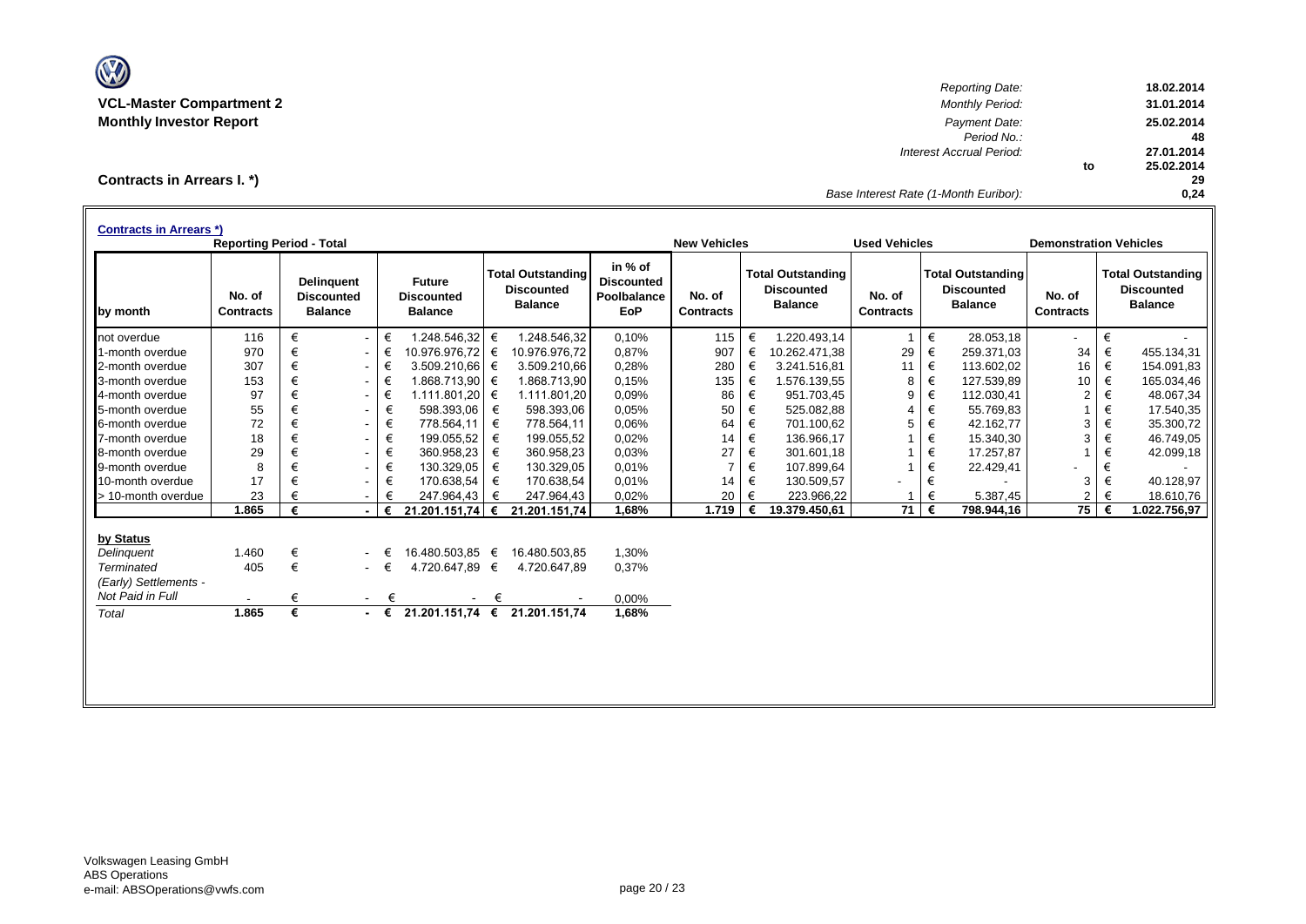

*Reporting Date:* **18.02.2014 VCL-Master Compartment 2** *Monthly Period:* **31.01.2014 Monthly Investor Report** *Payment Date:* **25.02.2014** *Period No.:* **48** *Interest Accrual Period:* **27.01.2014 to 25.02.2014 29** *Base Interest Rate (1-Month Euribor):* **0,24**

**Contracts in Arrears I. \*)**

| <b>Contracts in Arrears *)</b> | <b>Reporting Period - Total</b> |   |                                                          |        |                                                      |   |                                                                 |                                                           | <b>New Vehicles</b>        |   |                                                                 | <b>Used Vehicles</b>       |       |                                                                 | <b>Demonstration Vehicles</b> |   |                                                                 |
|--------------------------------|---------------------------------|---|----------------------------------------------------------|--------|------------------------------------------------------|---|-----------------------------------------------------------------|-----------------------------------------------------------|----------------------------|---|-----------------------------------------------------------------|----------------------------|-------|-----------------------------------------------------------------|-------------------------------|---|-----------------------------------------------------------------|
| by month                       | No. of<br><b>Contracts</b>      |   | <b>Delinguent</b><br><b>Discounted</b><br><b>Balance</b> |        | <b>Future</b><br><b>Discounted</b><br><b>Balance</b> |   | <b>Total Outstanding</b><br><b>Discounted</b><br><b>Balance</b> | in % of<br><b>Discounted</b><br>Poolbalance<br><b>EoP</b> | No. of<br><b>Contracts</b> |   | <b>Total Outstanding</b><br><b>Discounted</b><br><b>Balance</b> | No. of<br><b>Contracts</b> |       | <b>Total Outstanding</b><br><b>Discounted</b><br><b>Balance</b> | No. of<br><b>Contracts</b>    |   | <b>Total Outstanding</b><br><b>Discounted</b><br><b>Balance</b> |
| not overdue                    | 116                             | € | $\sim$                                                   | €      | 1.248.546,32                                         | € | 1.248.546,32                                                    | 0,10%                                                     | 115                        | € | 1.220.493,14                                                    |                            | €     | 28.053,18                                                       | $\overline{\phantom{a}}$      | € |                                                                 |
| 1-month overdue                | 970                             | € | $\sim$                                                   | €      | 10.976.976,72 €                                      |   | 10.976.976,72                                                   | 0,87%                                                     | 907                        | € | 10.262.471,38                                                   | 29                         | €     | 259.371,03                                                      | 34                            | € | 455.134,31                                                      |
| 2-month overdue                | 307                             | € | $\blacksquare$                                           | €      | 3.509.210.66                                         | € | 3.509.210.66                                                    | 0,28%                                                     | 280                        | € | 3.241.516.81                                                    | 11                         | €     | 113.602,02                                                      | 16                            | € | 154.091,83                                                      |
| 3-month overdue                | 153                             | € | $\sim$                                                   | €      | 1.868.713,90 €                                       |   | 1.868.713,90                                                    | 0.15%                                                     | 135                        | € | 1.576.139,55                                                    | 8                          | €     | 127.539,89                                                      | 10                            | € | 165.034,46                                                      |
| 4-month overdue                | 97                              | € | $\blacksquare$                                           | €      | 1.111.801,20                                         | € | 1.111.801,20                                                    | 0.09%                                                     | 86                         | € | 951.703,45                                                      | 9                          | €     | 112.030,41                                                      | 2                             | € | 48.067,34                                                       |
| 5-month overdue                | 55                              | € | $\overline{\phantom{0}}$                                 | €      | 598.393,06                                           | € | 598.393,06                                                      | 0.05%                                                     | 50                         | € | 525.082,88                                                      | 4                          | €     | 55.769,83                                                       |                               | € | 17.540,35                                                       |
| 6-month overdue                | 72                              | € | $\overline{\phantom{a}}$                                 | €      | 778.564,11                                           | € | 778.564,11                                                      | 0.06%                                                     | 64                         | € | 701.100,62                                                      | 5                          | €     | 42.162,77                                                       | 3                             | € | 35.300,72                                                       |
| 7-month overdue                | 18                              | € | $\overline{\phantom{a}}$                                 | €      | 199.055,52                                           | € | 199.055,52                                                      | 0,02%                                                     | 14                         | € | 136.966.17                                                      |                            | €     | 15.340,30                                                       | 3                             | € | 46.749,05                                                       |
| 8-month overdue                | 29                              | € | $\overline{\phantom{a}}$                                 | €      | 360.958,23                                           | € | 360.958,23                                                      | 0.03%                                                     | 27                         | € | 301.601,18                                                      |                            | $\in$ | 17.257,87                                                       |                               | € | 42.099,18                                                       |
| 9-month overdue                | 8                               |   | $\sim$                                                   | €      | 130.329,05                                           | € | 130.329,05                                                      | 0.01%                                                     | $\overline{7}$             | € | 107.899,64                                                      |                            | €     | 22.429,41                                                       |                               | € |                                                                 |
| 10-month overdue               | 17                              | € | ۰                                                        | €      | 170.638,54                                           | € | 170.638,54                                                      | 0.01%                                                     | 14                         | € | 130.509,57                                                      |                            | €     |                                                                 | 3                             | € | 40.128,97                                                       |
| > 10-month overdue             | 23                              |   |                                                          | €      | 247.964,43                                           | € | 247.964,43                                                      | 0,02%                                                     | 20                         | € | 223.966,22                                                      |                            | €     | 5.387,45                                                        | $\overline{2}$                | € | 18.610,76                                                       |
|                                | 1.865                           | € |                                                          | €      | 21.201.151.74 €                                      |   | 21.201.151,74                                                   | 1,68%                                                     | 1.719                      |   | 19.379.450,61                                                   | $71 \mid$                  | €     | 798.944,16                                                      | 75                            |   | 1.022.756,97                                                    |
| by Status                      |                                 |   |                                                          |        |                                                      |   |                                                                 |                                                           |                            |   |                                                                 |                            |       |                                                                 |                               |   |                                                                 |
| Delinguent                     | 1.460                           | € |                                                          | €      | 16.480.503.85 €                                      |   | 16.480.503.85                                                   | 1,30%                                                     |                            |   |                                                                 |                            |       |                                                                 |                               |   |                                                                 |
| <b>Terminated</b>              | 405                             | € |                                                          | $ \in$ | 4.720.647.89 €                                       |   | 4.720.647,89                                                    | 0,37%                                                     |                            |   |                                                                 |                            |       |                                                                 |                               |   |                                                                 |
| (Early) Settlements -          |                                 |   |                                                          |        |                                                      |   |                                                                 |                                                           |                            |   |                                                                 |                            |       |                                                                 |                               |   |                                                                 |
| Not Paid in Full               |                                 | € | $\sim$                                                   | €      | $\overline{\phantom{a}}$                             | € |                                                                 | 0,00%                                                     |                            |   |                                                                 |                            |       |                                                                 |                               |   |                                                                 |
| Total                          | 1.865                           | € | $\sim$ 100 $\mu$                                         | €      | 21.201.151.74                                        | € | 21.201.151.74                                                   | 1,68%                                                     |                            |   |                                                                 |                            |       |                                                                 |                               |   |                                                                 |
|                                |                                 |   |                                                          |        |                                                      |   |                                                                 |                                                           |                            |   |                                                                 |                            |       |                                                                 |                               |   |                                                                 |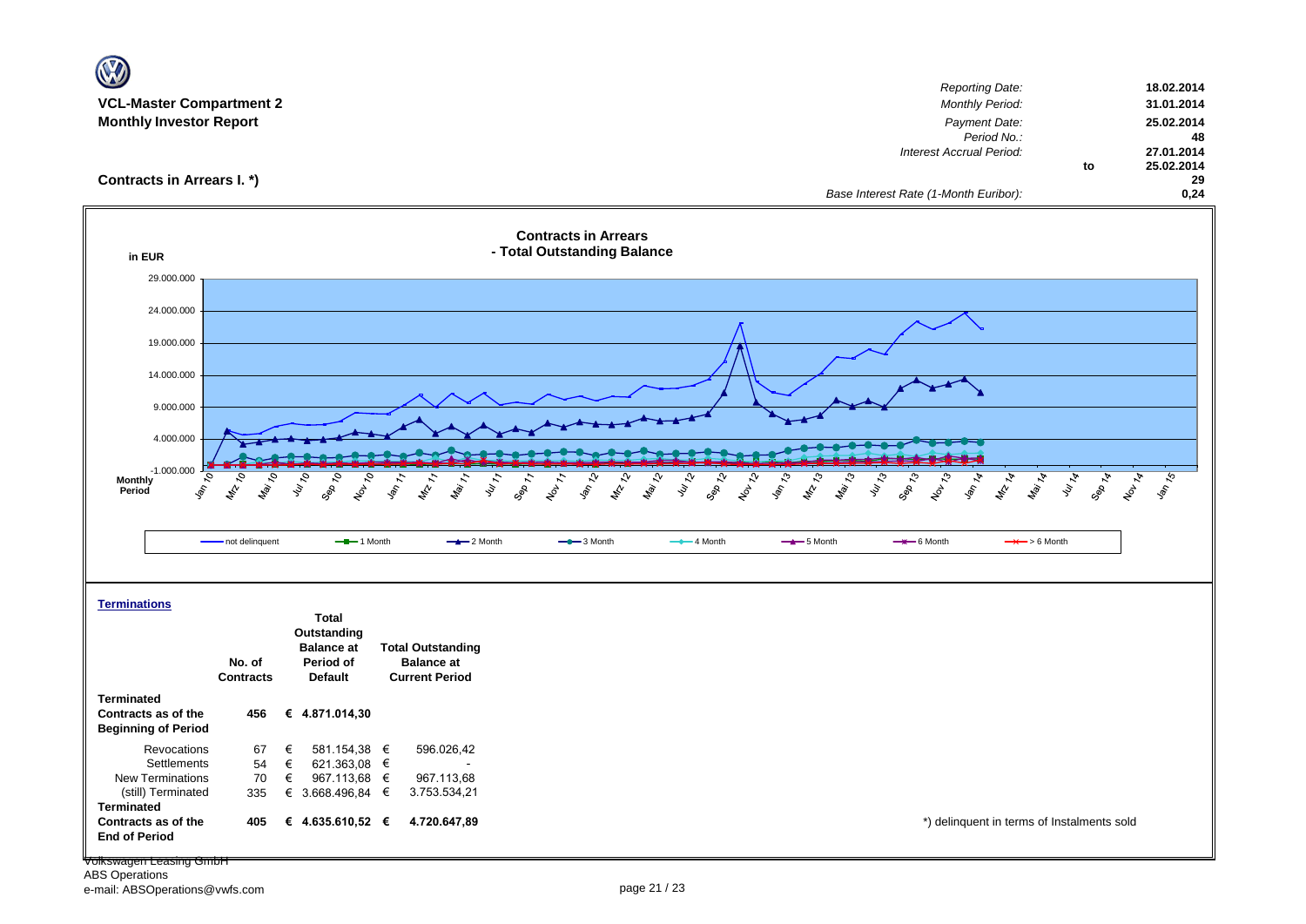|                                          |                                     |                      |                                                                                                                              |                                                                  |                                       |                                        | Reporting Date:                                   |                                | 18.02.2014              |
|------------------------------------------|-------------------------------------|----------------------|------------------------------------------------------------------------------------------------------------------------------|------------------------------------------------------------------|---------------------------------------|----------------------------------------|---------------------------------------------------|--------------------------------|-------------------------|
| <b>VCL-Master Compartment 2</b>          |                                     |                      |                                                                                                                              |                                                                  |                                       |                                        | <b>Monthly Period:</b>                            |                                | 31.01.2014              |
| <b>Monthly Investor Report</b>           |                                     |                      |                                                                                                                              |                                                                  |                                       |                                        | Payment Date:<br>Period No.:                      |                                | 25.02.2014<br>48        |
|                                          |                                     |                      |                                                                                                                              |                                                                  |                                       |                                        | Interest Accrual Period:                          |                                | 27.01.2014              |
|                                          |                                     |                      |                                                                                                                              |                                                                  |                                       |                                        |                                                   | to                             | 25.02.2014              |
| Contracts in Arrears I. *)               |                                     |                      |                                                                                                                              |                                                                  |                                       |                                        | Base Interest Rate (1-Month Euribor):             |                                | 29<br>0,24              |
| in EUR                                   |                                     |                      |                                                                                                                              | <b>Contracts in Arrears</b><br>- Total Outstanding Balance       |                                       |                                        |                                                   |                                |                         |
| 29.000.000                               |                                     |                      |                                                                                                                              |                                                                  |                                       |                                        |                                                   |                                |                         |
|                                          |                                     |                      |                                                                                                                              |                                                                  |                                       |                                        |                                                   |                                |                         |
| 24.000.000                               |                                     |                      |                                                                                                                              |                                                                  |                                       |                                        |                                                   |                                |                         |
| 19.000.000                               |                                     |                      |                                                                                                                              |                                                                  |                                       |                                        |                                                   |                                |                         |
|                                          |                                     |                      |                                                                                                                              |                                                                  |                                       |                                        |                                                   |                                |                         |
| 14.000.000                               |                                     |                      |                                                                                                                              |                                                                  |                                       |                                        |                                                   |                                |                         |
|                                          |                                     |                      |                                                                                                                              |                                                                  |                                       |                                        |                                                   |                                |                         |
| 9.000.000                                |                                     |                      |                                                                                                                              |                                                                  |                                       |                                        |                                                   |                                |                         |
| 4.000.000                                |                                     |                      |                                                                                                                              |                                                                  |                                       |                                        |                                                   |                                |                         |
|                                          |                                     |                      |                                                                                                                              |                                                                  |                                       |                                        |                                                   |                                |                         |
| $-1.000.000$<br>9<br><b>Monthly</b>      | $\overline{\mathcal{S}}$<br>July 10 |                      |                                                                                                                              |                                                                  |                                       | సి                                     |                                                   |                                |                         |
| $\mathcal{S}$<br>Period                  | Mai 10<br>$\mathcal{L}$             | Sep 10<br>16010      | $\frac{1}{\sqrt{2}}\sqrt{\frac{1}{2}}$<br>$\frac{d\phi}{dz}$ $\frac{1}{z}$<br>$h_{\hat{\Theta}_{i}}$ $_{7}$<br>$v_{\nu_{7}}$ | <b>Landon</b><br>MAN 12<br>$\frac{1}{\sqrt{2}}$<br><b>Sep 77</b> | Marzol<br>July 12<br>Sep 12<br>160129 | Marta<br><b>Value</b><br>$\mathcal{L}$ | Vulle 13<br>1601-13<br>14/214<br>Sep 13<br>Van 14 | Mai 14<br><b>MIA</b><br>Sep 14 | Nov 14<br><b>Van 15</b> |
|                                          |                                     |                      |                                                                                                                              |                                                                  |                                       |                                        |                                                   |                                |                         |
|                                          | - not delinquent                    | $-$ -1 Month         | $-2$ Month                                                                                                                   | $-$ 3 Month                                                      | $-$ 4 Month                           | $-$ 5 Month                            | $-$ 6 Month                                       | $\rightarrow$ > 6 Month        |                         |
|                                          |                                     |                      |                                                                                                                              |                                                                  |                                       |                                        |                                                   |                                |                         |
|                                          |                                     |                      |                                                                                                                              |                                                                  |                                       |                                        |                                                   |                                |                         |
|                                          |                                     |                      |                                                                                                                              |                                                                  |                                       |                                        |                                                   |                                |                         |
| <b>Terminations</b>                      |                                     | <b>Total</b>         |                                                                                                                              |                                                                  |                                       |                                        |                                                   |                                |                         |
|                                          |                                     | Outstanding          |                                                                                                                              |                                                                  |                                       |                                        |                                                   |                                |                         |
|                                          |                                     | <b>Balance at</b>    | <b>Total Outstanding</b>                                                                                                     |                                                                  |                                       |                                        |                                                   |                                |                         |
|                                          | No. of                              | Period of<br>Default | <b>Balance at</b><br><b>Current Period</b>                                                                                   |                                                                  |                                       |                                        |                                                   |                                |                         |
|                                          | <b>Contracts</b>                    |                      |                                                                                                                              |                                                                  |                                       |                                        |                                                   |                                |                         |
| <b>Terminated</b><br>Contracts as of the | 456                                 | € 4.871.014,30       |                                                                                                                              |                                                                  |                                       |                                        |                                                   |                                |                         |
| <b>Beginning of Period</b>               |                                     |                      |                                                                                                                              |                                                                  |                                       |                                        |                                                   |                                |                         |
| Revocations                              | 67<br>€                             | 581.154,38 €         | 596.026,42                                                                                                                   |                                                                  |                                       |                                        |                                                   |                                |                         |
| Settlements                              | €<br>54                             | 621.363,08 $\in$     |                                                                                                                              |                                                                  |                                       |                                        |                                                   |                                |                         |
| New Terminations                         | €<br>70                             | 967.113,68 €         | 967.113,68                                                                                                                   |                                                                  |                                       |                                        |                                                   |                                |                         |
| (still) Terminated<br><b>Terminated</b>  | 335                                 | € 3.668.496,84 $∈$   | 3.753.534,21                                                                                                                 |                                                                  |                                       |                                        |                                                   |                                |                         |
|                                          |                                     |                      |                                                                                                                              |                                                                  |                                       |                                        |                                                   |                                |                         |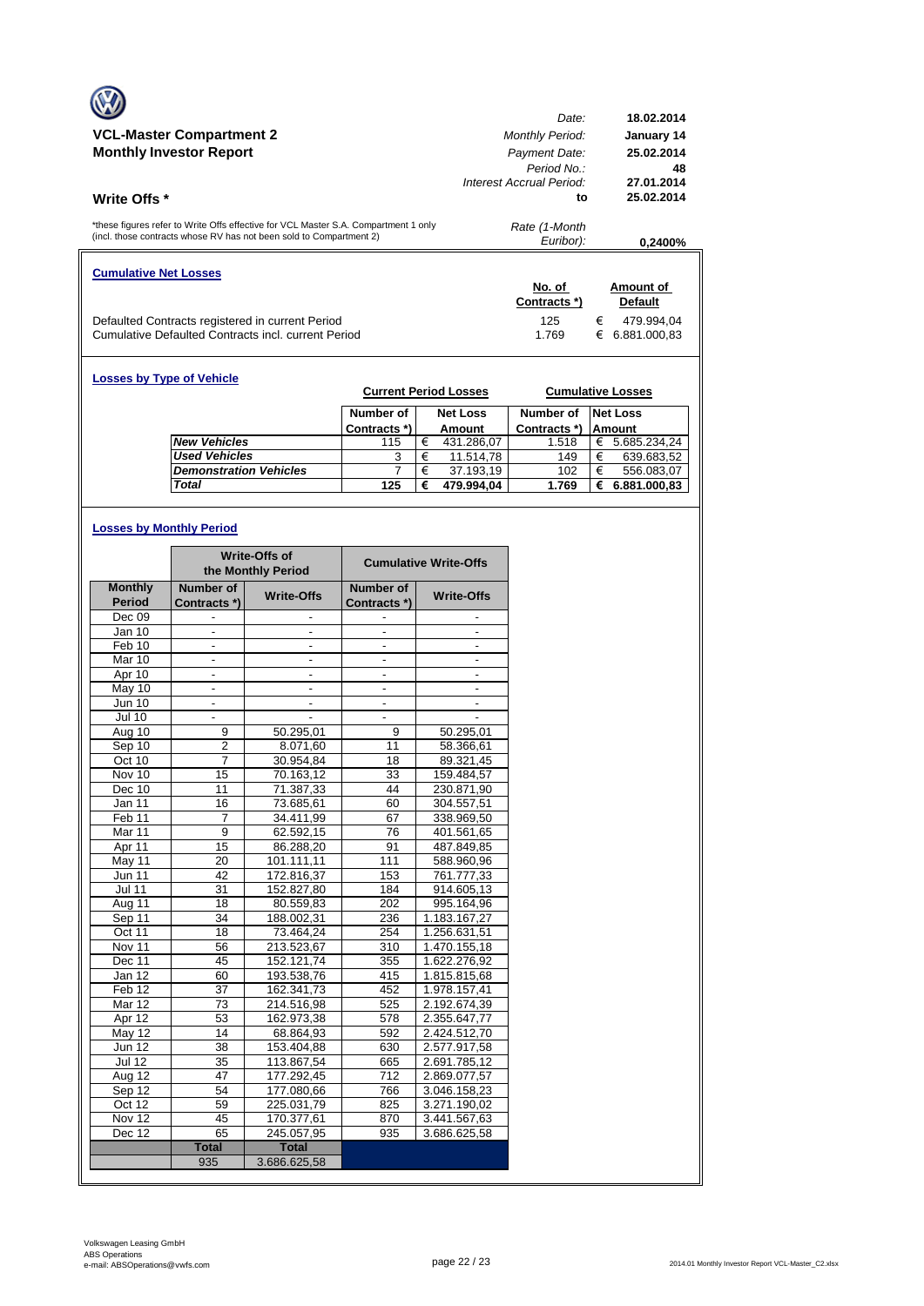|                                                                                                                                                            | Date:                                                   | 18.02.2014                     |
|------------------------------------------------------------------------------------------------------------------------------------------------------------|---------------------------------------------------------|--------------------------------|
| <b>VCL-Master Compartment 2</b>                                                                                                                            | <b>Monthly Period:</b>                                  | January 14                     |
| <b>Monthly Investor Report</b>                                                                                                                             | Payment Date:<br>Period No.<br>Interest Accrual Period: | 25.02.2014<br>48<br>27.01.2014 |
| <b>Write Offs</b> *                                                                                                                                        | to                                                      | 25.02.2014                     |
|                                                                                                                                                            |                                                         |                                |
| *these figures refer to Write Offs effective for VCL Master S.A. Compartment 1 only<br>(incl. those contracts whose RV has not been sold to Compartment 2) | Rate (1-Month<br>Euribor):                              | 0.2400%                        |
| <b>Cumulative Net Losses</b>                                                                                                                               |                                                         |                                |
|                                                                                                                                                            | No. of<br>Contracts *)                                  | Amount of<br><b>Default</b>    |

| <b>Losses by Type of Vehicle</b> |              |   | <b>Current Period Losses</b> |              |   | <b>Cumulative Losses</b> |
|----------------------------------|--------------|---|------------------------------|--------------|---|--------------------------|
|                                  | Number of    |   | <b>Net Loss</b>              | Number of    |   | <b>Net Loss</b>          |
|                                  | Contracts *) |   | Amount                       | Contracts *) |   | Amount                   |
| <b>New Vehicles</b>              | 115          | € | 431.286,07                   | 1.518        | € | 5.685.234,24             |
| <b>Used Vehicles</b>             | 3            | € | 11.514,78                    | 149          | € | 639.683,52               |
| <b>Demonstration Vehicles</b>    |              | € | 37.193,19                    | 102          | € | 556.083,07               |
| <b>Total</b>                     | 125          | € | 479.994,04                   | 1.769        | € | 6.881.000,83             |

# **Losses by Monthly Period**

|                   |                          | Write-Offs of<br>the Monthly Period |                          | <b>Cumulative Write-Offs</b> |
|-------------------|--------------------------|-------------------------------------|--------------------------|------------------------------|
| <b>Monthly</b>    | Number of                | <b>Write-Offs</b>                   | Number of                | <b>Write-Offs</b>            |
| <b>Period</b>     | Contracts *)             |                                     | Contracts *)             |                              |
| Dec 09            |                          |                                     |                          |                              |
| Jan 10            |                          |                                     |                          |                              |
| Feb 10            | $\overline{\phantom{a}}$ | $\frac{1}{2}$                       | $\overline{\phantom{a}}$ | $\frac{1}{2}$                |
| Mar 10            | ä,                       | $\overline{a}$                      | L.                       | $\overline{a}$               |
| Apr 10            |                          |                                     |                          |                              |
| May 10            | -                        | $\overline{\phantom{a}}$            | $\overline{\phantom{a}}$ | $\overline{\phantom{a}}$     |
| <b>Jun 10</b>     | $\frac{1}{2}$            | $\qquad \qquad \blacksquare$        | $\overline{\phantom{a}}$ | $\overline{\phantom{a}}$     |
| <b>Jul 10</b>     |                          |                                     |                          |                              |
| Aug 10            | 9                        | 50.295,01                           | 9                        | 50.295,01                    |
| Sep 10            | $\overline{c}$           | 8.071,60                            | 11                       | 58.366,61                    |
| Oct 10            | 7                        | 30.954,84                           | 18                       | 89.321,45                    |
| Nov 10            | 15                       | 70.163.12                           | 33                       | 159.484,57                   |
| Dec 10            | 11                       | 71.387,33                           | 44                       | 230.871,90                   |
| Jan 11            | 16                       | 73.685,61                           | 60                       | 304.557,51                   |
| Feb <sub>11</sub> | 7                        | 34.411,99                           | 67                       | 338.969,50                   |
| Mar 11            | 9                        | 62.592,15                           | 76                       | 401.561,65                   |
| Apr 11            | 15                       | 86.288,20                           | 91                       | 487.849,85                   |
| May 11            | 20                       | 101.111,11                          | 111                      | 588.960,96                   |
| <b>Jun 11</b>     | 42                       | 172.816,37                          | 153                      | 761.777,33                   |
| <b>Jul 11</b>     | 31                       | 152.827,80                          | 184                      | 914.605,13                   |
| Aug 11            | 18                       | 80.559,83                           | 202                      | 995.164,96                   |
| Sep 11            | 34                       | 188.002,31                          | 236                      | 1.183.167,27                 |
| Oct 11            | 18                       | 73.464,24                           | 254                      | 1.256.631,51                 |
| Nov 11            | 56                       | 213.523,67                          | 310                      | 1.470.155,18                 |
| Dec 11            | 45                       | 152.121,74                          | 355                      | 1.622.276,92                 |
| Jan 12            | 60                       | 193.538,76                          | 415                      | 1.815.815,68                 |
| Feb <sub>12</sub> | 37                       | 162.341,73                          | 452                      | 1.978.157,41                 |
| Mar 12            | 73                       | 214.516,98                          | 525                      | 2.192.674,39                 |
| Apr 12            | 53                       | 162.973,38                          | 578                      | 2.355.647,77                 |
| $M$ ay 12         | 14                       | 68.864.93                           | 592                      | 2.424.512.70                 |
| <b>Jun 12</b>     | 38                       | 153.404,88                          | 630                      | 2.577.917,58                 |
| <b>Jul 12</b>     | 35                       | 113.867,54                          | 665                      | 2.691.785,12                 |
| Aug $12$          | 47                       | 177.292,45                          | 712                      | 2.869.077,57                 |
| Sep 12            | 54                       | 177.080,66                          | 766                      | 3.046.158,23                 |
| Oct 12            | 59                       | 225.031,79                          | 825                      | 3.271.190,02                 |
| Nov 12            | 45                       | 170.377,61                          | 870                      | 3.441.567,63                 |
| Dec 12            | 65                       | 245.057,95                          | 935                      | 3.686.625,58                 |
|                   | <b>Total</b>             | <b>Total</b>                        |                          |                              |
|                   | 935                      | 3.686.625,58                        |                          |                              |